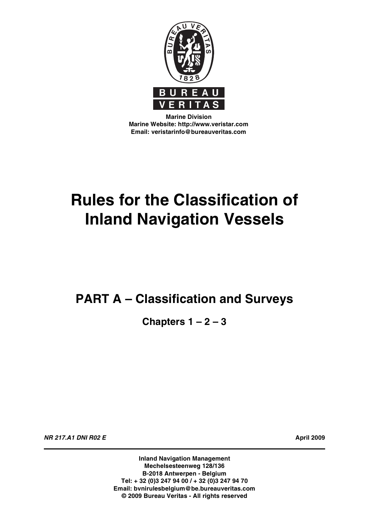

**Marine Division Marine Website: http://www.veristar.com Email: veristarinfo@bureauveritas.com**

# **Rules for the Classification of Inland Navigation Vessels**

# **PART A – Classification and Surveys**

**Chapters 1 – 2 – 3**

**NR 217.A1 DNI R02 E April 2009**

**Inland Navigation Management Mechelsesteenweg 128/136 B-2018 Antwerpen - Belgium Tel: + 32 (0)3 247 94 00 / + 32 (0)3 247 94 70 Email: bvnirulesbelgium@be.bureauveritas.com © 2009 Bureau Veritas - All rights reserved**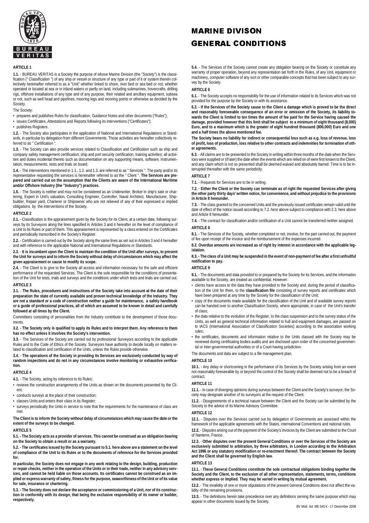

#### **ADTICLE 1**

**1.1.** - BUREAU VERITAS is a Society the purpose of whose Marine Division (the "Society") is the classification (" Classification ") of any ship or vessel or structure of any type or part of it or system therein collectively hereinafter referred to as a "Unit" whether linked to shore, river bed or sea bed or not, whether operated or located at sea or in inland waters or partly on land, including submarines, hovercrafts, drilling rigs, offshore installations of any type and of any purpose, their related and ancillary equipment, subsea or not, such as well head and pipelines, mooring legs and mooring points or otherwise as decided by the Society.

#### The Society:

• prepares and publishes Rules for classification, Guidance Notes and other documents ("Rules");

- issues Certificates, Attestations and Reports following its interventions ("Certificates");
- publishes Registers.

**1.2.** - The Society also participates in the application of National and International Regulations or Standards, in particular by delegation from different Governments. Those activities are hereafter collectively referred to as " Certification"

**1.3.** - The Society can also provide services related to Classification and Certification such as ship and company safety management certification; ship and port security certification, training activities; all activi-ties and duties incidental thereto such as documentation on any supporting means, software, instrumentation, measurements, tests and trials on board.

1.4. - The interventions mentioned in 1.1., 1.2. and 1.3. are referred to as " Services ". The party and/or its<br>representative requesting the services is hereinafter referred to as the " Client ". T**he Services are prepared and carried out on the assumption that the Clients are aware of the International Maritime and/or Offshore Industry (the "Industry") practices.**

**1.5.** - The Society is neither and may not be considered as an Underwriter, Broker in ship's sale or chartering, Expert in Unit's valuation, Consulting Engineer, Controller, Naval Architect, Manufacturer, Shipbuilder, Repair yard, Charterer or Shipowner who are not relieved of any of their expressed or implied obligations by the interventions of the Society.

#### **ARTICLE 2**

**2.1.** - Classification is the appraisement given by the Society for its Client, at a certain date, following surveys by its Surveyors along the lines specified in Articles 3 and 4 hereafter on the level of compliance of a Unit to its Rules or part of them. This appraisement is represented by a class entered on the Certificates and periodically transcribed in the Society's Register.

**2.2.** - Certification is carried out by the Society along the same lines as set out in Articles 3 and 4 hereafter and with reference to the applicable National and International Regulations or Standards.

**2.3.** - **It is incumbent upon the Client to maintain the condition of the Unit after surveys, to present the Unit for surveys and to inform the Society without delay of circumstances which may affect the given appraisement or cause to modify its scope.**

**2.4.** - The Client is to give to the Society all access and information necessary for the safe and efficient performance of the requested Services. The Client is the sole responsible for the conditions of presentation of the Unit for tests, trials and surveys and the conditions under which tests and trials are carried out.

#### **ARTICLE 3**

**3.1.** - **The Rules, procedures and instructions of the Society take into account at the date of their preparation the state of currently available and proven technical knowledge of the Industry. They are not a standard or a code of construction neither a guide for maintenance, a safety handbook or a guide of professional practices, all of which are assumed to be known in detail and carefully followed at all times by the Client.**

Committees consisting of personalities from the Industry contribute to the development of those documents.

**3.2. - The Society only is qualified to apply its Rules and to interpret them. Any reference to them has no effect unless it involves the Society's intervention.**

**3.3.** - The Services of the Society are carried out by professional Surveyors according to the applicable Rules and to the Code of Ethics of the Society. Surveyors have authority to decide locally on matters re-lated to classification and certification of the Units, unless the Rules provide otherwise.

#### **3.4.** - **The operations of the Society in providing its Services are exclusively conducted by way of random inspections and do not in any circumstances involve monitoring or exhaustive verification.**

#### **ARTICLE 4**

**4.1.** - The Society, acting by reference to its Rules:

- reviews the construction arrangements of the Units as shown on the documents presented by the Client;
- conducts surveys at the place of their construction;
- classes Units and enters their class in its Register;
- surveys periodically the Units in service to note that the requirements for the maintenance of class are met.

#### **The Client is to inform the Society without delay of circumstances which may cause the date or the extent of the surveys to be changed.**

#### **ARTICLE 5**

**5.1. - The Society acts as a provider of services. This cannot be construed as an obligation bearing on the Society to obtain a result or as a warranty.**

**5.2. - The certificates issued by the Society pursuant to 5.1. here above are a statement on the level of compliance of the Unit to its Rules or to the documents of reference for the Services provided for.**

**In particular, the Society does not engage in any work relating to the design, building, production or repair checks, neither in the operation of the Units or in their trade, neither in any advisory services, and cannot be held liable on those accounts. Its certificates cannot be construed as an implied or express warranty of safety, fitness for the purpose, seaworthiness of the Unit or of its value for sale, insurance or chartering.**

**5.3. - The Society does not declare the acceptance or commissioning of a Unit, nor of its construction in conformity with its design, that being the exclusive responsibility of its owner or builder, respectively.**

### **MARINE DIVISON GENERAL CONDITIONS**

**5.4.** - The Services of the Society cannot create any obligation bearing on the Society or constitute any warranty of proper operation, beyond any representation set forth in the Rules, of any Unit, equipment or machinery, computer software of any sort or other comparable concepts that has been subject to any survey by the Society.

#### **ARTICLE 6**

**6.1.** - The Society accepts no responsibility for the use of information related to its Services which was not provided for the purpose by the Society or with its assistance.

**6.2. - If the Services of the Society cause to the Client a damage which is proved to be the direct and reasonably foreseeable consequence of an error or omission of the Society, its liability towards the Client is limited to ten times the amount of fee paid for the Service having caused the damage, provided however that this limit shall be subject to a minimum of eight thousand (8,000) Euro, and to a maximum which is the greater of eight hundred thousand (800,000) Euro and one and a half times the above mentioned fee. IDIT**<br>and critical and the Society of the Society<br>sis limit the green defect to the Society of the Society<br>is limit the green feed feed feed that the Society<br>when the Society of the Society<br>is in writing to the Society<br>an

#### **The Society bears no liability for indirect or consequential loss such as e.g. loss of revenue, loss of profit, loss of production, loss relative to other contracts and indemnities for termination of other agreements.**

6.3. - All claims are to be presented to the Society in writing within three months of the date when the Serv-<br>ices were supplied or (if later) the date when the events which are relied on of were first known to the Client and any claim which is not so presented shall be deemed waived and absolutely barred. Time is to be interrupted thereafter with the same periodicity.

#### **ARTICLE 7**

**7.1.** - Requests for Services are to be in writing.

**7.2.** - **Either the Client or the Society can terminate as of right the requested Services after giving the other party thirty days' written notice, for convenience, and without prejudice to the provisions in Article 8 hereunder.**

**7.3.** - The class granted to the concerned Units and the previously issued certificates remain valid until the date of effect of the notice issued according to 7.2. here above subject to compliance with 2.3. here above and Article 8 hereunder.

**7.4.** - The contract for classification and/or certification of a Unit cannot be transferred neither assigned. **ARTICLE 8** 

**8.1.** - The Services of the Society, whether completed or not, involve, for the part carried out, the payment of fee upon receipt of the invoice and the reimbursement of the expenses incurred.

**8.2. Overdue amounts are increased as of right by interest in accordance with the applicable legislation.**

#### **8.3. - The class of a Unit may be suspended in the event of non-payment of fee after a first unfruitful notification to pay.**

#### **ARTICLE 9**

**9.1.** - The documents and data provided to or prepared by the Society for its Services, and the information available to the Society, are treated as confidential. However:

- clients have access to the data they have provided to the Society and, during the period of classification of the Unit for them, to the **classification file** consisting of survey reports and certificates which have been prepared at any time by the Society for the classification of the Unit;
- copy of the documents made available for the classification of the Unit and of available survey reports can be handed over to another Classification Society, where appropriate, in case of the Unit's transfer of class;
- the data relative to the evolution of the Register, to the class suspension and to the survey status of the<br>I lnits as well as general technical information related to bull and equipment damages, are nassed on Units, as well as general technical information related to hull and equipment damages, are passed on to IACS (International Association of Classification Societies) according to the association working rules;
- the certificates, documents and information relative to the Units classed with the Society may be reviewed during certificating bodies audits and are disclosed upon order of the concerned governmental or inter-governmental authorities or of a Court having jurisdiction.

The documents and data are subject to a file management plan.

#### **ARTICLE 10**

**10.1.** - Any delay or shortcoming in the performance of its Services by the Society arising from an event<br>not reasonably foreseeable by or beyond the control of the Society shall be deemed not to be a breach of contract.

#### **ARTICLE 11**

**11.1.** - In case of diverging opinions during surveys between the Client and the Society's surveyor, the Society may designate another of its surveyors at the request of the Client.

**11.2.** - Disagreements of a technical nature between the Client and the Society can be submitted by the Society to the advice of its Marine Advisory Committee.

### **ARTICLE 12**

**12.1.** - Disputes over the Services carried out by delegation of Governments are assessed within the framework of the applicable agreements with the States, international Conventions and national rules.

**12.2.** - Disputes arising out of the payment of the Society's invoices by the Client are submitted to the Court of Nanterre, France.

**12.3.** - **Other disputes over the present General Conditions or over the Services of the Society are exclusively submitted to arbitration, by three arbitrators, in London according to the Arbitration Act 1996 or any statutory modification or re-enactment thereof. The contract between the Society and the Client shall be governed by English law.**

#### **ARTICLE 13**

**13.1.** - **These General Conditions constitute the sole contractual obligations binding together the Society and the Client, to the exclusion of all other representation, statements, terms, conditions whether express or implied. They may be varied in writing by mutual agreement.**

**13.2.** - The invalidity of one or more stipulations of the present General Conditions does not affect the validity of the remaining provisions.

**13.3.** - The definitions herein take precedence over any definitions serving the same purpose which may appear in other documents issued by the Society.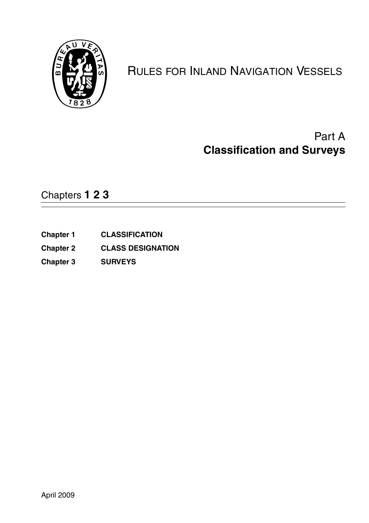

# RULES FOR INLAND NAVIGATION VESSELS

# Part A **Classification and Surveys**

Chapters **123**

- **Chapter 1 CLASSIFICATION**
- **Chapter 2 CLASS DESIGNATION**
- **Chapter 3 SURVEYS**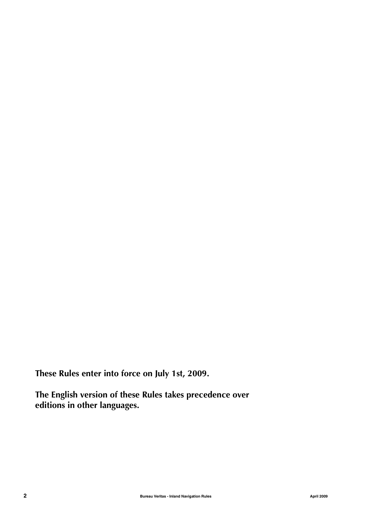**These Rules enter into force on July 1st, 2009.**

**The English version of these Rules takes precedence over editions in other languages.**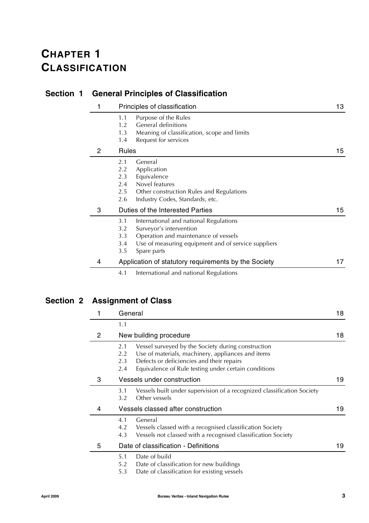# **CHAPTER 1 CLASSIFICATION**

|                | actional intropics of orassingation    |                                                                                                                                                                                 |     |
|----------------|----------------------------------------|---------------------------------------------------------------------------------------------------------------------------------------------------------------------------------|-----|
| 1              |                                        | Principles of classification                                                                                                                                                    | 13. |
|                | 1.1<br>1.2<br>1.3<br>1.4               | Purpose of the Rules<br>General definitions<br>Meaning of classification, scope and limits<br>Request for services                                                              |     |
| $\overline{2}$ | <b>Rules</b>                           |                                                                                                                                                                                 | 15  |
|                | 2.1<br>2.2<br>2.3<br>2.4<br>2.5<br>2.6 | General<br>Application<br>Equivalence<br>Novel features<br>Other construction Rules and Regulations<br>Industry Codes, Standards, etc.                                          |     |
| 3              |                                        | Duties of the Interested Parties                                                                                                                                                | 15  |
|                | 3.1<br>3.2<br>3.3<br>3.4<br>3.5        | International and national Regulations<br>Surveyor's intervention<br>Operation and maintenance of vessels<br>Use of measuring equipment and of service suppliers<br>Spare parts |     |
| 4              |                                        | Application of statutory requirements by the Society                                                                                                                            | 17  |
|                | 4.1                                    | International and national Regulations                                                                                                                                          |     |

## **Section 1 General Principles of Classification**

## **Section 2 Assignment of Class**

|   | General                  |                                                                                                                                                                                                              | 18  |
|---|--------------------------|--------------------------------------------------------------------------------------------------------------------------------------------------------------------------------------------------------------|-----|
|   | 1.1                      |                                                                                                                                                                                                              |     |
| 2 |                          | New building procedure                                                                                                                                                                                       | 18  |
|   | 2.1<br>2.2<br>2.3<br>2.4 | Vessel surveyed by the Society during construction<br>Use of materials, machinery, appliances and items<br>Defects or deficiencies and their repairs<br>Equivalence of Rule testing under certain conditions |     |
| 3 |                          | Vessels under construction                                                                                                                                                                                   | 19  |
|   | 3.1<br>3.2               | Vessels built under supervision of a recognized classification Society<br>Other vessels                                                                                                                      |     |
| 4 |                          | Vessels classed after construction                                                                                                                                                                           | 19. |
|   | 4.1<br>4.2<br>4.3        | General<br>Vessels classed with a recognised classification Society<br>Vessels not classed with a recognised classification Society                                                                          |     |
| 5 |                          | Date of classification - Definitions                                                                                                                                                                         | 19  |
|   | 5.1<br>5.2<br>5.3        | Date of build<br>Date of classification for new buildings<br>Date of classification for existing vessels                                                                                                     |     |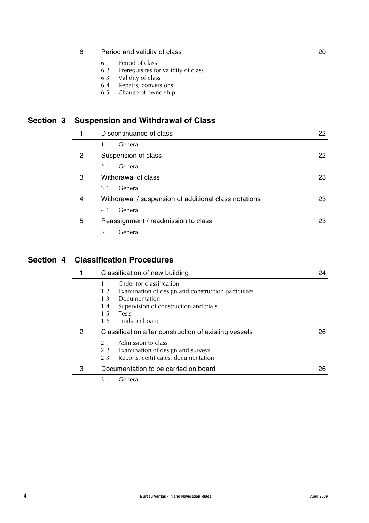| 6                     | Period and validity of class                                         |    |
|-----------------------|----------------------------------------------------------------------|----|
|                       | Period of class<br>6.1                                               |    |
|                       | Prerequisites for validity of class<br>6.2                           |    |
|                       | Validity of class<br>6.3                                             |    |
|                       | Repairs, conversions<br>6.4                                          |    |
|                       | Change of ownership<br>6.5                                           |    |
|                       | <b>Suspension and Withdrawal of Class</b><br>Discontinuance of class | 22 |
|                       | General<br>1.1                                                       |    |
| $\mathbf{2}^{\prime}$ | Suspension of class                                                  | 22 |
|                       | General<br>2.1                                                       |    |
| 3                     | Withdrawal of class                                                  | 23 |
|                       |                                                                      |    |

|   | General<br>3.1                                        |    |
|---|-------------------------------------------------------|----|
| 4 | Withdrawal / suspension of additional class notations | 23 |
|   | General<br>4.1                                        |    |
| 5 | Reassignment / readmission to class                   | 23 |
|   |                                                       |    |

5.1 General

### **Section 4 Classification Procedures**

**Section 3** 

|   | Classification of new building                            | 24 |
|---|-----------------------------------------------------------|----|
|   | Order for classification<br>1.1                           |    |
|   | Examination of design and construction particulars<br>1.2 |    |
|   | Documentation<br>1.3                                      |    |
|   | Supervision of construction and trials<br>1.4             |    |
|   | $1.5^{\circ}$<br><b>Tests</b>                             |    |
|   | Trials on board<br>1.6                                    |    |
| 2 | Classification after construction of existing vessels     | 26 |
|   | Admission to class<br>2.1                                 |    |
|   | Examination of design and surveys<br>2.2                  |    |
|   | Reports, certificates, documentation<br>2.3               |    |
| 3 | Documentation to be carried on board                      | 26 |
|   | 3.1<br>General                                            |    |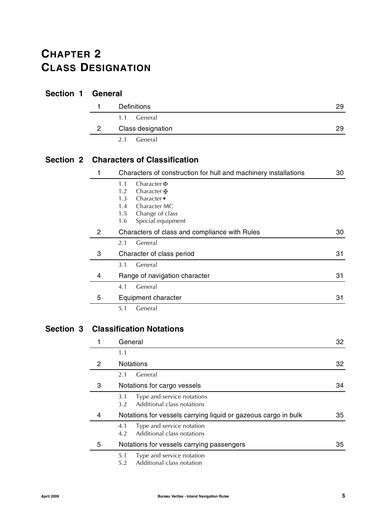# **CHAPTER 2 CLASS DESIGNATION**

### **Section 1 General**

|   | <b>Definitions</b> | 29 |
|---|--------------------|----|
|   | 1.1 General        |    |
| 2 | Class designation  | 29 |
|   | General<br>2.1     |    |

### **Section 2 Characters of Classification**

|   | Characters of construction for hull and machinery installations                                                                                            | 30 |
|---|------------------------------------------------------------------------------------------------------------------------------------------------------------|----|
|   | 1.1<br>Character <b>H</b><br>1.2<br>Character H<br>Character $\bullet$<br>1.3<br>Character MC<br>1.4<br>Change of class<br>1.5<br>Special equipment<br>1.6 |    |
| 2 | Characters of class and compliance with Rules                                                                                                              | 30 |
|   | General<br>2.1                                                                                                                                             |    |
| 3 | Character of class period                                                                                                                                  | 31 |
|   | General<br>3.1                                                                                                                                             |    |
| 4 | Range of navigation character                                                                                                                              | 31 |
|   | General<br>4.1                                                                                                                                             |    |
| 5 | Equipment character                                                                                                                                        | 31 |
|   | General<br>5.1                                                                                                                                             |    |

### **Section 3 Classification Notations**

|   | General                                                                          | 32 |
|---|----------------------------------------------------------------------------------|----|
|   | 1.1                                                                              |    |
| 2 | <b>Notations</b>                                                                 | 32 |
|   | General<br>2.1                                                                   |    |
| 3 | Notations for cargo vessels                                                      | 34 |
|   | Type and service notations<br>3.1<br>Additional class notations<br>$3.2^{\circ}$ |    |
| 4 | Notations for vessels carrying liquid or gazeous cargo in bulk                   | 35 |
|   | Type and service notation<br>4.1<br>Additional class notations<br>4.2            |    |
| 5 | Notations for vessels carrying passengers                                        | 35 |
|   | Type and service notation<br>5.1<br>Additional class notation<br>5.2             |    |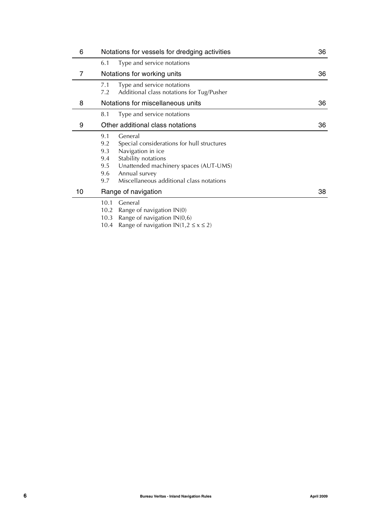| 6  | Notations for vessels for dredging activities                                                                                                                                                                                                            | 36 |
|----|----------------------------------------------------------------------------------------------------------------------------------------------------------------------------------------------------------------------------------------------------------|----|
|    | Type and service notations<br>6.1                                                                                                                                                                                                                        |    |
| 7  | Notations for working units                                                                                                                                                                                                                              | 36 |
|    | Type and service notations<br>7.1<br>Additional class notations for Tug/Pusher<br>7.2                                                                                                                                                                    |    |
| 8  | Notations for miscellaneous units                                                                                                                                                                                                                        | 36 |
|    | Type and service notations<br>8.1                                                                                                                                                                                                                        |    |
| 9  | Other additional class notations                                                                                                                                                                                                                         | 36 |
|    | General<br>9.1<br>Special considerations for hull structures<br>9.2<br>Navigation in ice<br>9.3<br>Stability notations<br>9.4<br>Unattended machinery spaces (AUT-UMS)<br>9.5<br>Annual survey<br>9.6<br>Miscellaneous additional class notations<br>9.7 |    |
| 10 | Range of navigation                                                                                                                                                                                                                                      | 38 |
|    | General<br>10.1<br>10.2<br>Range of navigation $IN(0)$<br>Range of navigation $IN(0,6)$<br>10.3                                                                                                                                                          |    |

10.4 Range of navigation  $IN(1, 2 \le x \le 2)$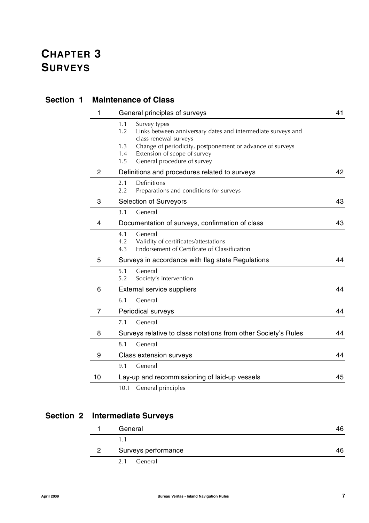| <b>Section 1</b> | <b>Maintenance of Class</b> |                                                                                                                                                                                                                                                                      |    |  |
|------------------|-----------------------------|----------------------------------------------------------------------------------------------------------------------------------------------------------------------------------------------------------------------------------------------------------------------|----|--|
|                  | 1                           | General principles of surveys                                                                                                                                                                                                                                        | 41 |  |
|                  |                             | 1.1<br>Survey types<br>1.2<br>Links between anniversary dates and intermediate surveys and<br>class renewal surveys<br>1.3<br>Change of periodicity, postponement or advance of surveys<br>1.4<br>Extension of scope of survey<br>1.5<br>General procedure of survey |    |  |
|                  | $\overline{c}$              | Definitions and procedures related to surveys                                                                                                                                                                                                                        | 42 |  |
|                  |                             | Definitions<br>2.1<br>2.2<br>Preparations and conditions for surveys                                                                                                                                                                                                 |    |  |
|                  | 3                           | <b>Selection of Surveyors</b>                                                                                                                                                                                                                                        | 43 |  |
|                  |                             | General<br>3.1                                                                                                                                                                                                                                                       |    |  |
|                  | 4                           | Documentation of surveys, confirmation of class                                                                                                                                                                                                                      | 43 |  |
|                  |                             | 4.1<br>General<br>4.2<br>Validity of certificates/attestations<br>4.3<br>Endorsement of Certificate of Classification                                                                                                                                                |    |  |
|                  | 5                           | Surveys in accordance with flag state Regulations                                                                                                                                                                                                                    | 44 |  |
|                  |                             | 5.1<br>General<br>5.2<br>Society's intervention                                                                                                                                                                                                                      |    |  |
|                  | 6                           | External service suppliers                                                                                                                                                                                                                                           | 44 |  |
|                  |                             | General<br>6.1                                                                                                                                                                                                                                                       |    |  |
|                  | $\overline{7}$              | Periodical surveys                                                                                                                                                                                                                                                   | 44 |  |
|                  |                             | General<br>7.1                                                                                                                                                                                                                                                       |    |  |
|                  | 8                           | Surveys relative to class notations from other Society's Rules                                                                                                                                                                                                       | 44 |  |
|                  |                             | 8.1<br>General                                                                                                                                                                                                                                                       |    |  |
|                  | 9                           | Class extension surveys                                                                                                                                                                                                                                              | 44 |  |
|                  |                             | 9.1<br>General                                                                                                                                                                                                                                                       |    |  |
|                  | 10                          | Lay-up and recommissioning of laid-up vessels                                                                                                                                                                                                                        | 45 |  |
|                  |                             | General principles<br>10.1                                                                                                                                                                                                                                           |    |  |

## **Section 2 Intermediate Surveys**

|              | General             | 46 |
|--------------|---------------------|----|
|              |                     |    |
| $\mathbf{2}$ | Surveys performance | 46 |
|              | General<br>2.1      |    |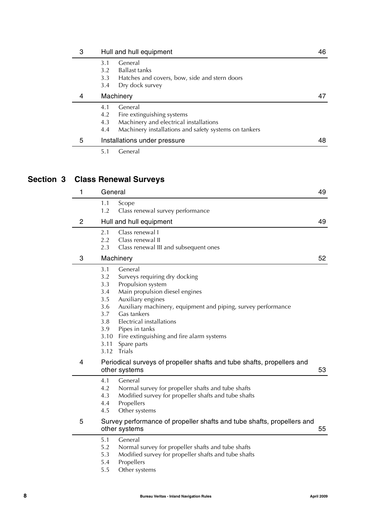| 3 | Hull and hull equipment                                                                                                                                              | 46 |
|---|----------------------------------------------------------------------------------------------------------------------------------------------------------------------|----|
|   | General<br>3.1<br><b>Ballast tanks</b><br>3.2<br>Hatches and covers, bow, side and stern doors<br>3.3                                                                |    |
|   | Dry dock survey<br>3.4                                                                                                                                               |    |
| 4 | Machinery                                                                                                                                                            | 47 |
|   | General<br>4.1<br>Fire extinguishing systems<br>4.2<br>Machinery and electrical installations<br>4.3<br>Machinery installations and safety systems on tankers<br>4.4 |    |
| 5 | Installations under pressure                                                                                                                                         | 48 |
|   | General<br>5.1                                                                                                                                                       |    |

## **Section 3 Class Renewal Surveys**

| 1              | General                                                                                                                                                                                                                                                                                                                                                                                                                       | 49 |
|----------------|-------------------------------------------------------------------------------------------------------------------------------------------------------------------------------------------------------------------------------------------------------------------------------------------------------------------------------------------------------------------------------------------------------------------------------|----|
|                | 1.1<br>Scope<br>1.2<br>Class renewal survey performance                                                                                                                                                                                                                                                                                                                                                                       |    |
| $\overline{2}$ | Hull and hull equipment                                                                                                                                                                                                                                                                                                                                                                                                       | 49 |
|                | 2.1<br>Class renewal I<br>2.2<br>Class renewal II                                                                                                                                                                                                                                                                                                                                                                             |    |
|                | 2.3<br>Class renewal III and subsequent ones                                                                                                                                                                                                                                                                                                                                                                                  |    |
| 3              | Machinery                                                                                                                                                                                                                                                                                                                                                                                                                     | 52 |
|                | 3.1<br>General<br>Surveys requiring dry docking<br>3.2<br>Propulsion system<br>3.3<br>Main propulsion diesel engines<br>3.4<br>Auxiliary engines<br>3.5<br>Auxiliary machinery, equipment and piping, survey performance<br>3.6<br>3.7<br>Gas tankers<br><b>Electrical installations</b><br>3.8<br>3.9<br>Pipes in tanks<br>3.10<br>Fire extinguishing and fire alarm systems<br>3.11<br>Spare parts<br><b>Trials</b><br>3.12 |    |
| 4              | Periodical surveys of propeller shafts and tube shafts, propellers and<br>other systems                                                                                                                                                                                                                                                                                                                                       | 53 |
|                | 4.1<br>General<br>4.2<br>Normal survey for propeller shafts and tube shafts<br>Modified survey for propeller shafts and tube shafts<br>4.3<br>Propellers<br>4.4<br>Other systems<br>4.5                                                                                                                                                                                                                                       |    |
| 5              | Survey performance of propeller shafts and tube shafts, propellers and<br>other systems                                                                                                                                                                                                                                                                                                                                       | 55 |
|                | General<br>5.1<br>5.2<br>Normal survey for propeller shafts and tube shafts<br>Modified survey for propeller shafts and tube shafts<br>5.3<br>Propellers<br>5.4                                                                                                                                                                                                                                                               |    |

5.5 Other systems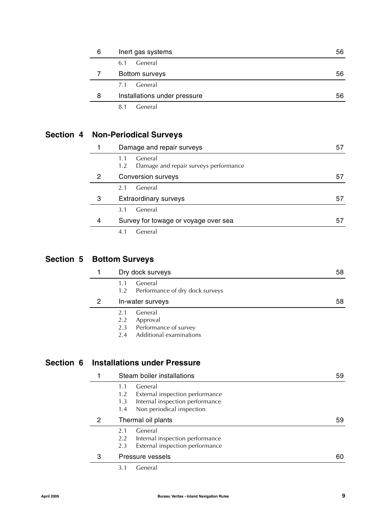| 6 | Inert gas systems            | 56 |
|---|------------------------------|----|
|   | General<br>6.1               |    |
|   | Bottom surveys               | 56 |
|   | General<br>7.1               |    |
| 8 | Installations under pressure | 56 |
|   | General<br>8.1               |    |

## **Section 4 Non-Periodical Surveys**

|   | Damage and repair surveys                                      |    |
|---|----------------------------------------------------------------|----|
|   | General<br>1.1<br>Damage and repair surveys performance<br>1.2 |    |
| 2 | Conversion surveys                                             | 57 |
|   | General<br>2.1                                                 |    |
| 3 | <b>Extraordinary surveys</b>                                   | 57 |
|   | General<br>3.1                                                 |    |
| 4 | Survey for towage or voyage over sea                           | 57 |
|   | General<br>4.1                                                 |    |

### **Section 5 Bottom Surveys**

|   | Dry dock surveys                                         | 58 |
|---|----------------------------------------------------------|----|
|   | General<br>1.1<br>Performance of dry dock surveys<br>1.2 |    |
| 2 | In-water surveys                                         | 58 |
|   | General<br>2.1                                           |    |
|   | Approval<br>2.2                                          |    |
|   | 2.3 Performance of survey                                |    |
|   | Additional examinations<br>2.4                           |    |

### **Section 6 Installations under Pressure**

| Steam boiler installations |                                                                                                                                        | 59 |
|----------------------------|----------------------------------------------------------------------------------------------------------------------------------------|----|
|                            | General<br>1.1<br>External inspection performance<br>1.2<br>Internal inspection performance<br>1.3<br>Non periodical inspection<br>1.4 |    |
| 2                          | Thermal oil plants                                                                                                                     | 59 |
|                            | General<br>2.1<br>Internal inspection performance<br>2.2<br>External inspection performance<br>2.3                                     |    |
| 3                          | Pressure vessels                                                                                                                       | 60 |
|                            | 3.1<br>General                                                                                                                         |    |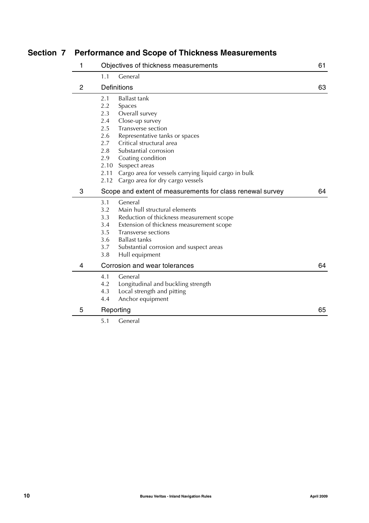## **Section 7 Performance and Scope of Thickness Measurements**

| 1              |      | Objectives of thickness measurements                      | 61 |
|----------------|------|-----------------------------------------------------------|----|
|                | 1.1  | General                                                   |    |
| $\overline{2}$ |      | <b>Definitions</b>                                        | 63 |
|                | 2.1  | <b>Ballast tank</b>                                       |    |
|                | 2.2  | Spaces                                                    |    |
|                | 2.3  | Overall survey                                            |    |
|                | 2.4  | Close-up survey                                           |    |
|                | 2.5  | Transverse section                                        |    |
|                | 2.6  | Representative tanks or spaces                            |    |
|                | 2.7  | Critical structural area                                  |    |
|                | 2.8  | Substantial corrosion                                     |    |
|                | 2.9  | Coating condition                                         |    |
|                |      | 2.10 Suspect areas                                        |    |
|                | 2.11 | Cargo area for vessels carrying liquid cargo in bulk      |    |
|                | 2.12 | Cargo area for dry cargo vessels                          |    |
| 3              |      | Scope and extent of measurements for class renewal survey | 64 |
|                | 3.1  | General                                                   |    |
|                | 3.2  | Main hull structural elements                             |    |
|                | 3.3  | Reduction of thickness measurement scope                  |    |
|                | 3.4  | Extension of thickness measurement scope                  |    |
|                | 3.5  | Transverse sections                                       |    |
|                | 3.6  | <b>Ballast tanks</b>                                      |    |
|                | 3.7  | Substantial corrosion and suspect areas                   |    |
|                | 3.8  | Hull equipment                                            |    |
| 4              |      | Corrosion and wear tolerances                             | 64 |
|                | 4.1  | General                                                   |    |
|                | 4.2  | Longitudinal and buckling strength                        |    |
|                | 4.3  | Local strength and pitting                                |    |
|                | 4.4  | Anchor equipment                                          |    |
| 5              |      | Reporting                                                 | 65 |
|                | 5.1  | General                                                   |    |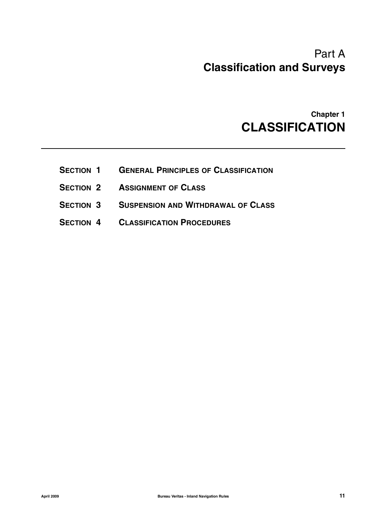# Part A **Classification and Surveys**

# **Chapter 1 CLASSIFICATION**

- **SECTION 1 GENERAL PRINCIPLES OF CLASSIFICATION**
- **SECTION 2 ASSIGNMENT OF CLASS**
- **SECTION 3 SUSPENSION AND WITHDRAWAL OF CLASS**
- **SECTION 4 CLASSIFICATION PROCEDURES**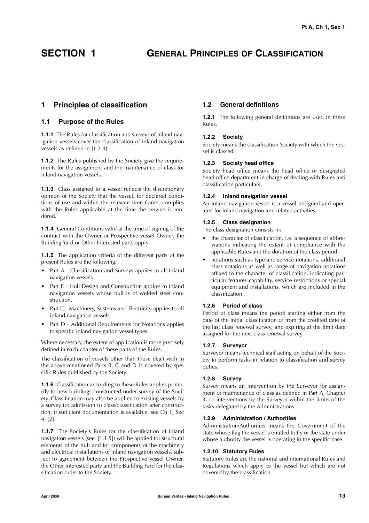## **SECTION 1 GENERAL PRINCIPLES OF CLASSIFICATION**

### **1 Principles of classification**

### **1.1 Purpose of the Rules**

**1.1.1** The Rules for classification and surveys of inland navigation vessels cover the classification of inland navigation vessels as defined in [1.2.4].

**1.1.2** The Rules published by the Society give the requirements for the assignment and the maintenance of class for inland navigation vessels.

**1.1.3** Class assigned to a vessel reflects the discretionary opinion of the Society that the vessel, for declared conditions of use and within the relevant time frame, complies with the Rules applicable at the time the service is rendered.

**1.1.4** General Conditions valid at the time of signing of the contract with the Owner or Prospective vessel Owner, the Building Yard or Other Interested party apply.

**1.1.5** The application criteria of the different parts of the present Rules are the following:

- Part A Classification and Surveys applies to all inland navigation vessels.
- Part B Hull Design and Construction applies to inland navigation vessels whose hull is of welded steel construction.
- Part C Machinery, Systems and Electricity applies to all inland navigation vessels.
- Part D Additional Requirements for Notations applies to specific inland navigation vessel types.

Where necessary, the extent of application is more precisely defined in each chapter of these parts of the Rules.

The classification of vessels other than those dealt with in the above-mentioned Parts B, C and D is covered by specific Rules published by the Society.

**1.1.6** Classification according to these Rules applies primarily to new buildings constructed under survey of the Society. Classification may also be applied to existing vessels by a survey for admission to class/classification after construction, if sufficient documentation is available, see Ch 1, Sec 4, [2].

**1.1.7** The Society's Rules for the classification of inland navigation vessels (see [1.1.5]) will be applied for structural elements of the hull and for components of the machinery and electrical installations of inland navigation vessels, subject to agreement between the Prospective vessel Owner, the Other Interested party and the Building Yard for the classification order to the Society.

### **1.2 General definitions**

**1.2.1** The following general definitions are used in these Rules.

### **1.2.2 Society**

Society means the classification Society with which the vessel is classed.

### **1.2.3 Society head office**

Society head office means the head office or designated head office department in charge of dealing with Rules and classification particulars.

### **1.2.4 Inland navigation vessel**

An inland navigation vessel is a vessel designed and operated for inland navigation and related activities.

### **1.2.5 Class designation**

The class designation consists in:

- the character of classification, i.e. a sequence of abbreviations indicating the extent of compliance with the applicable Rules and the duration of the class period
- notations such as type and service notations, additional class notations as well as range of navigation notations affixed to the character of classification, indicating particular features capability, service restrictions or special equipment and installations, which are included in the classification.

### **1.2.6 Period of class**

Period of class means the period starting either from the date of the initial classification or from the credited date of the last class renewal survey, and expiring at the limit date assigned for the next class renewal survey.

### **1.2.7 Surveyor**

Surveyor means technical staff acting on behalf of the Society to perform tasks in relation to classification and survey duties.

### **1.2.8 Survey**

Survey means an intervention by the Surveyor for assignment or maintenance of class as defined in Part A, Chapter 3, or interventions by the Surveyor within the limits of the tasks delegated by the Administrations.

### **1.2.9 Administration / Authorities**

Administration/Authorities means the Government of the state whose flag the vessel is entitled to fly or the state under whose authority the vessel is operating in the specific case.

### **1.2.10 Statutory Rules**

Statutory Rules are the national and international Rules and Regulations which apply to the vessel but which are not covered by the classification.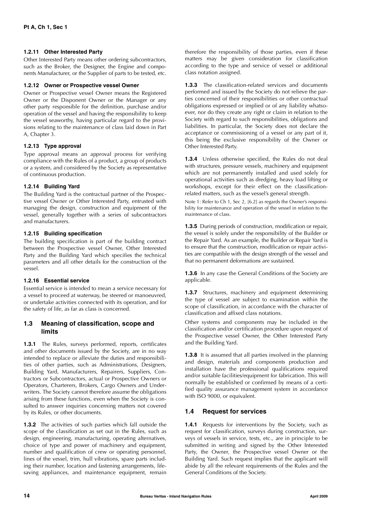### **1.2.11 Other Interested Party**

Other Interested Party means other ordering subcontractors, such as the Broker, the Designer, the Engine and components Manufacturer, or the Supplier of parts to be tested, etc.

### **1.2.12 Owner or Prospective vessel Owner**

Owner or Prospective vessel Owner means the Registered Owner or the Disponent Owner or the Manager or any other party responsible for the definition, purchase and/or operation of the vessel and having the responsibility to keep the vessel seaworthy, having particular regard to the provisions relating to the maintenance of class laid down in Part A, Chapter 3.

### **1.2.13 Type approval**

Type approval means an approval process for verifying compliance with the Rules of a product, a group of products or a system, and considered by the Society as representative of continuous production.

### **1.2.14 Building Yard**

The Building Yard is the contractual partner of the Prospective vessel Owner or Other Interested Party, entrusted with managing the design, construction and equipment of the vessel, generally together with a series of subcontractors and manufacturers.

### **1.2.15 Building specification**

The building specification is part of the building contract between the Prospective vessel Owner, Other Interested Party and the Building Yard which specifies the technical parameters and all other details for the construction of the vessel.

### **1.2.16 Essential service**

Essential service is intended to mean a service necessary for a vessel to proceed at waterway, be steered or manoeuvred, or undertake activities connected with its operation, and for the safety of life, as far as class is concerned.

### **1.3 Meaning of classification, scope and limits**

**1.3.1** The Rules, surveys performed, reports, certificates and other documents issued by the Society, are in no way intended to replace or alleviate the duties and responsibilities of other parties, such as Administrations, Designers, Building Yard, Manufacturers, Repairers, Suppliers, Contractors or Subcontractors, actual or Prospective Owners or Operators, Charterers, Brokers, Cargo Owners and Underwriters. The Society cannot therefore assume the obligations arising from these functions, even when the Society is consulted to answer inquiries concerning matters not covered by its Rules, or other documents.

**1.3.2** The activities of such parties which fall outside the scope of the classification as set out in the Rules, such as design, engineering, manufacturing, operating alternatives, choice of type and power of machinery and equipment, number and qualification of crew or operating personnel, lines of the vessel, trim, hull vibrations, spare parts including their number, location and fastening arrangements, lifesaving appliances, and maintenance equipment, remain therefore the responsibility of those parties, even if these matters may be given consideration for classification according to the type and service of vessel or additional class notation assigned.

**1.3.3** The classification-related services and documents performed and issued by the Society do not relieve the parties concerned of their responsibilities or other contractual obligations expressed or implied or of any liability whatsoever, nor do they create any right or claim in relation to the Society with regard to such responsibilities, obligations and liabilities. In particular, the Society does not declare the acceptance or commissioning of a vessel or any part of it, this being the exclusive responsibility of the Owner or Other Interested Party.

**1.3.4** Unless otherwise specified, the Rules do not deal with structures, pressure vessels, machinery and equipment which are not permanently installed and used solely for operational activities such as dredging, heavy load lifting or workshops, except for their effect on the classificationrelated matters, such as the vessel's general strength.

Note 1: Refer to Ch 1, Sec 2, [6.2] as regards the Owner's responsibility for maintenance and operation of the vessel in relation to the maintenance of class.

**1.3.5** During periods of construction, modification or repair, the vessel is solely under the responsibility of the Builder or the Repair Yard. As an example, the Builder or Repair Yard is to ensure that the construction, modification or repair activities are compatible with the design strength of the vessel and that no permanent deformations are sustained.

**1.3.6** In any case the General Conditions of the Society are applicable.

**1.3.7** Structures, machinery and equipment determining the type of vessel are subject to examination within the scope of classification, in accordance with the character of classification and affixed class notations.

Other systems and components may be included in the classification and/or certification procedure upon request of the Prospective vessel Owner, the Other Interested Party and the Building Yard.

**1.3.8** It is assumed that all parties involved in the planning and design, materials and components production and installation have the professional qualifications required and/or suitable facilities/equipment for fabrication. This will normally be established or confirmed by means of a certified quality assurance management system in accordance with ISO 9000, or equivalent.

### **1.4 Request for services**

**1.4.1** Requests for interventions by the Society, such as request for classification, surveys during construction, surveys of vessels in service, tests, etc., are in principle to be submitted in writing and signed by the Other Interested Party, the Owner, the Prospective vessel Owner or the Building Yard. Such request implies that the applicant will abide by all the relevant requirements of the Rules and the General Conditions of the Society.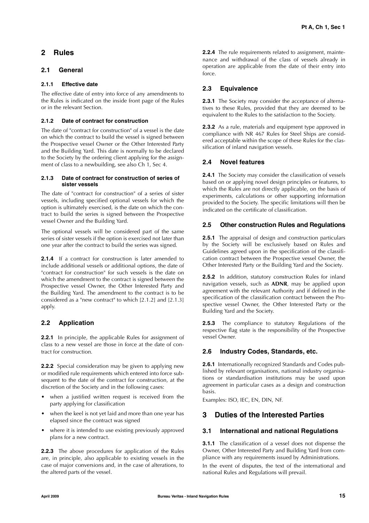### **2 Rules**

### **2.1 General**

### **2.1.1 Effective date**

The effective date of entry into force of any amendments to the Rules is indicated on the inside front page of the Rules or in the relevant Section.

### **2.1.2 Date of contract for construction**

The date of "contract for construction" of a vessel is the date on which the contract to build the vessel is signed between the Prospective vessel Owner or the Other Interested Party and the Building Yard. This date is normally to be declared to the Society by the ordering client applying for the assignment of class to a newbuilding, see also  $\overrightarrow{Ch}$  1, Sec 4.

### **2.1.3 Date of contract for construction of series of sister vessels**

The date of "contract for construction" of a series of sister vessels, including specified optional vessels for which the option is ultimately exercised, is the date on which the contract to build the series is signed between the Prospective vessel Owner and the Building Yard.

The optional vessels will be considered part of the same series of sister vessels if the option is exercised not later than one year after the contract to build the series was signed.

**2.1.4** If a contract for construction is later amended to include additional vessels or additional options, the date of "contract for construction" for such vessels is the date on which the amendment to the contract is signed between the Prospective vessel Owner, the Other Interested Party and the Building Yard. The amendment to the contract is to be considered as a "new contract" to which [2.1.2] and [2.1.3] apply.

### **2.2 Application**

**2.2.1** In principle, the applicable Rules for assignment of class to a new vessel are those in force at the date of contract for construction.

**2.2.2** Special consideration may be given to applying new or modified rule requirements which entered into force subsequent to the date of the contract for construction, at the discretion of the Society and in the following cases:

- when a justified written request is received from the party applying for classification
- when the keel is not yet laid and more than one year has elapsed since the contract was signed
- where it is intended to use existing previously approved plans for a new contract.

**2.2.3** The above procedures for application of the Rules are, in principle, also applicable to existing vessels in the case of major conversions and, in the case of alterations, to the altered parts of the vessel.

**2.2.4** The rule requirements related to assignment, maintenance and withdrawal of the class of vessels already in operation are applicable from the date of their entry into force.

### **2.3 Equivalence**

**2.3.1** The Society may consider the acceptance of alternatives to these Rules, provided that they are deemed to be equivalent to the Rules to the satisfaction to the Society.

**2.3.2** As a rule, materials and equipment type approved in compliance with NR 467 Rules for Steel Ships are considered acceptable within the scope of these Rules for the classification of inland navigation vessels.

### **2.4 Novel features**

**2.4.1** The Society may consider the classification of vessels based on or applying novel design principles or features, to which the Rules are not directly applicable, on the basis of experiments, calculations or other supporting information provided to the Society. The specific limitations will then be indicated on the certificate of classification.

### **2.5 Other construction Rules and Regulations**

**2.5.1** The appraisal of design and construction particulars by the Society will be exclusively based on Rules and Guidelines agreed upon in the specification of the classification contract between the Prospective vessel Owner, the Other Interested Party or the Building Yard and the Society.

**2.5.2** In addition, statutory construction Rules for inland navigation vessels, such as **ADNR**, may be applied upon agreement with the relevant Authority and if defined in the specification of the classification contract between the Prospective vessel Owner, the Other Interested Party or the Building Yard and the Society.

**2.5.3** The compliance to statutory Regulations of the respective flag state is the responsibility of the Prospective vessel Owner.

### **2.6 Industry Codes, Standards, etc.**

**2.6.1** Internationally recognized Standards and Codes published by relevant organisations, national industry organisations or standardisation institutions may be used upon agreement in particular cases as a design and construction basis.

Examples: ISO, IEC, EN, DIN, NF.

### **3 Duties of the Interested Parties**

### **3.1 International and national Regulations**

**3.1.1** The classification of a vessel does not dispense the Owner, Other Interested Party and Building Yard from compliance with any requirements issued by Administrations.

In the event of disputes, the text of the international and national Rules and Regulations will prevail.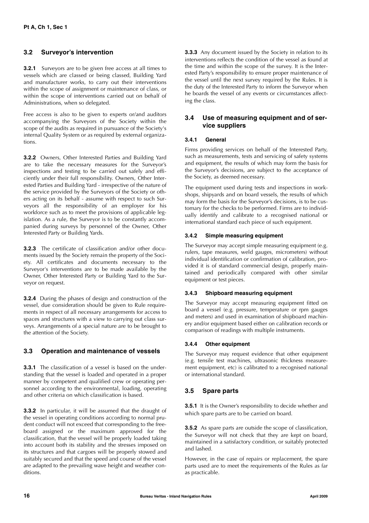### **3.2 Surveyor's intervention**

**3.2.1** Surveyors are to be given free access at all times to vessels which are classed or being classed, Building Yard and manufacturer works, to carry out their interventions within the scope of assignment or maintenance of class, or within the scope of interventions carried out on behalf of Administrations, when so delegated.

Free access is also to be given to experts or/and auditors accompanying the Surveyors of the Society within the scope of the audits as required in pursuance of the Society's internal Quality System or as required by external organizations.

**3.2.2** Owners, Other Interested Parties and Building Yard are to take the necessary measures for the Surveyor's inspections and testing to be carried out safely and efficiently under their full responsibility. Owners, Other Interested Parties and Building Yard - irrespective of the nature of the service provided by the Surveyors of the Society or others acting on its behalf - assume with respect to such Surveyors all the responsibility of an employer for his workforce such as to meet the provisions of applicable legislation. As a rule, the Surveyor is to be constantly accompanied during surveys by personnel of the Owner, Other Interested Party or Building Yards.

**3.2.3** The certificate of classification and/or other documents issued by the Society remain the property of the Society. All certificates and documents necessary to the Surveyor's interventions are to be made available by the Owner, Other Interested Party or Building Yard to the Surveyor on request.

**3.2.4** During the phases of design and construction of the vessel, due consideration should be given to Rule requirements in respect of all necessary arrangements for access to spaces and structures with a view to carrying out class surveys. Arrangements of a special nature are to be brought to the attention of the Society.

### **3.3 Operation and maintenance of vessels**

**3.3.1** The classification of a vessel is based on the understanding that the vessel is loaded and operated in a proper manner by competent and qualified crew or operating personnel according to the environmental, loading, operating and other criteria on which classification is based.

**3.3.2** In particular, it will be assumed that the draught of the vessel in operating conditions according to normal prudent conduct will not exceed that corresponding to the freeboard assigned or the maximum approved for the classification, that the vessel will be properly loaded taking into account both its stability and the stresses imposed on its structures and that cargoes will be properly stowed and suitably secured and that the speed and course of the vessel are adapted to the prevailing wave height and weather conditions.

**3.3.3** Any document issued by the Society in relation to its interventions reflects the condition of the vessel as found at the time and within the scope of the survey. It is the Interested Party's responsibility to ensure proper maintenance of the vessel until the next survey required by the Rules. It is the duty of the Interested Party to inform the Surveyor when he boards the vessel of any events or circumstances affecting the class.

### **3.4 Use of measuring equipment and of service suppliers**

### **3.4.1 General**

Firms providing services on behalf of the Interested Party, such as measurements, tests and servicing of safety systems and equipment, the results of which may form the basis for the Surveyor's decisions, are subject to the acceptance of the Society, as deemed necessary.

The equipment used during tests and inspections in workshops, shipyards and on board vessels, the results of which may form the basis for the Surveyor's decisions, is to be customary for the checks to be performed. Firms are to individually identify and calibrate to a recognised national or international standard each piece of such equipment.

### **3.4.2 Simple measuring equipment**

The Surveyor may accept simple measuring equipment (e.g. rulers, tape measures, weld gauges, micrometers) without individual identification or confirmation of calibration, provided it is of standard commercial design, properly maintained and periodically compared with other similar equipment or test pieces.

### **3.4.3 Shipboard measuring equipment**

The Surveyor may accept measuring equipment fitted on board a vessel (e.g. pressure, temperature or rpm gauges and meters) and used in examination of shipboard machinery and/or equipment based either on calibration records or comparison of readings with multiple instruments.

### **3.4.4 Other equipment**

The Surveyor may request evidence that other equipment (e.g. tensile test machines, ultrasonic thickness measurement equipment, etc) is calibrated to a recognised national or international standard.

### **3.5 Spare parts**

**3.5.1** It is the Owner's responsibility to decide whether and which spare parts are to be carried on board.

**3.5.2** As spare parts are outside the scope of classification, the Surveyor will not check that they are kept on board, maintained in a satisfactory condition, or suitably protected and lashed.

However, in the case of repairs or replacement, the spare parts used are to meet the requirements of the Rules as far as practicable.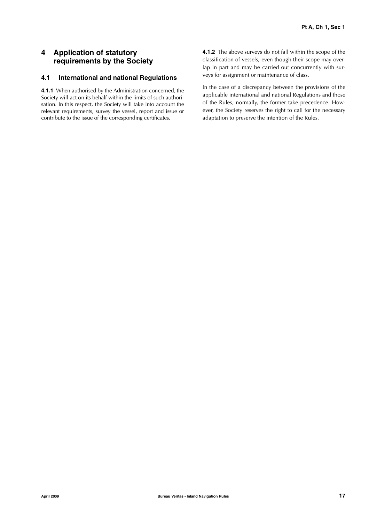### **4 Application of statutory requirements by the Society**

### **4.1 International and national Regulations**

**4.1.1** When authorised by the Administration concerned, the Society will act on its behalf within the limits of such authorisation. In this respect, the Society will take into account the relevant requirements, survey the vessel, report and issue or contribute to the issue of the corresponding certificates.

**4.1.2** The above surveys do not fall within the scope of the classification of vessels, even though their scope may overlap in part and may be carried out concurrently with surveys for assignment or maintenance of class.

In the case of a discrepancy between the provisions of the applicable international and national Regulations and those of the Rules, normally, the former take precedence. However, the Society reserves the right to call for the necessary adaptation to preserve the intention of the Rules.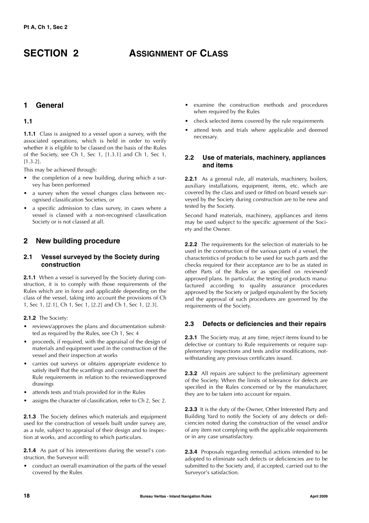## **SECTION 2 ASSIGNMENT OF CLASS**

### **1 General**

### **1.1**

**1.1.1** Class is assigned to a vessel upon a survey, with the associated operations, which is held in order to verify whether it is eligible to be classed on the basis of the Rules of the Society, see Ch 1, Sec 1, [1.3.1] and Ch 1, Sec 1, [1.3.2].

This may be achieved through:

- the completion of a new building, during which a survey has been performed
- a survey when the vessel changes class between recognised classification Societies, or
- a specific admission to class survey, in cases where a vessel is classed with a non-recognised classification Society or is not classed at all.

### **2 New building procedure**

### **2.1 Vessel surveyed by the Society during construction**

**2.1.1** When a vessel is surveyed by the Society during construction, it is to comply with those requirements of the Rules which are in force and applicable depending on the class of the vessel, taking into account the provisions of Ch 1, Sec 1, [2.1], Ch 1, Sec 1, [2.2] and Ch 1, Sec 1, [2.3].

**2.1.2** The Society:

- reviews/approves the plans and documentation submitted as required by the Rules, see Ch 1, Sec 4
- proceeds, if required, with the appraisal of the design of materials and equipment used in the construction of the vessel and their inspection at works
- carries out surveys or obtains appropriate evidence to satisfy itself that the scantlings and construction meet the Rule requirements in relation to the reviewed/approved drawings
- attends tests and trials provided for in the Rules
- assigns the character of classification, refer to Ch 2, Sec 2.

**2.1.3** The Society defines which materials and equipment used for the construction of vessels built under survey are, as a rule, subject to appraisal of their design and to inspection at works, and according to which particulars.

**2.1.4** As part of his interventions during the vessel's construction, the Surveyor will:

• conduct an overall examination of the parts of the vessel covered by the Rules

- examine the construction methods and procedures when required by the Rules
- check selected items covered by the rule requirements
- attend tests and trials where applicable and deemed necessary.

### **2.2 Use of materials, machinery, appliances and items**

**2.2.1** As a general rule, all materials, machinery, boilers, auxiliary installations, equipment, items, etc. which are covered by the class and used or fitted on board vessels surveyed by the Society during construction are to be new and tested by the Society.

Second hand materials, machinery, appliances and items may be used subject to the specific agreement of the Society and the Owner.

**2.2.2** The requirements for the selection of materials to be used in the construction of the various parts of a vessel, the characteristics of products to be used for such parts and the checks required for their acceptance are to be as stated in other Parts of the Rules or as specified on reviewed/ approved plans. In particular, the testing of products manufactured according to quality assurance procedures approved by the Society or judged equivalent by the Society and the approval of such procedures are governed by the requirements of the Society.

### **2.3 Defects or deficiencies and their repairs**

**2.3.1** The Society may, at any time, reject items found to be defective or contrary to Rule requirements or require supplementary inspections and tests and/or modifications, notwithstanding any previous certificates issued.

**2.3.2** All repairs are subject to the preliminary agreement of the Society. When the limits of tolerance for defects are specified in the Rules concerned or by the manufacturer, they are to be taken into account for repairs.

**2.3.3** It is the duty of the Owner, Other Interested Party and Building Yard to notify the Society of any defects or deficiencies noted during the construction of the vessel and/or of any item not complying with the applicable requirements or in any case unsatisfactory.

**2.3.4** Proposals regarding remedial actions intended to be adopted to eliminate such defects or deficiencies are to be submitted to the Society and, if accepted, carried out to the Surveyor's satisfaction.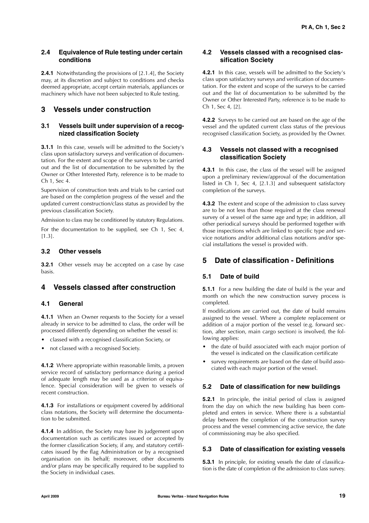### **2.4 Equivalence of Rule testing under certain conditions**

**2.4.1** Notwithstanding the provisions of [2.1.4], the Society may, at its discretion and subject to conditions and checks deemed appropriate, accept certain materials, appliances or machinery which have not been subjected to Rule testing.

### **3 Vessels under construction**

### **3.1 Vessels built under supervision of a recognized classification Society**

**3.1.1** In this case, vessels will be admitted to the Society's class upon satisfactory surveys and verification of documentation. For the extent and scope of the surveys to be carried out and the list of documentation to be submitted by the Owner or Other Interested Party, reference is to be made to Ch 1, Sec 4.

Supervision of construction tests and trials to be carried out are based on the completion progress of the vessel and the updated current construction/class status as provided by the previous classification Society.

Admission to class may be conditioned by statutory Regulations.

For the documentation to be supplied, see Ch 1, Sec 4, [1.3].

### **3.2 Other vessels**

**3.2.1** Other vessels may be accepted on a case by case basis.

### **4 Vessels classed after construction**

### **4.1 General**

**4.1.1** When an Owner requests to the Society for a vessel already in service to be admitted to class, the order will be processed differently depending on whether the vessel is:

- classed with a recognised classification Society, or
- not classed with a recognised Society.

**4.1.2** Where appropriate within reasonable limits, a proven service record of satisfactory performance during a period of adequate length may be used as a criterion of equivalence. Special consideration will be given to vessels of recent construction.

**4.1.3** For installations or equipment covered by additional class notations, the Society will determine the documentation to be submitted.

**4.1.4** In addition, the Society may base its judgement upon documentation such as certificates issued or accepted by the former classification Society, if any, and statutory certificates issued by the flag Administration or by a recognised organisation on its behalf; moreover, other documents and/or plans may be specifically required to be supplied to the Society in individual cases.

### **4.2 Vessels classed with a recognised classification Society**

**4.2.1** In this case, vessels will be admitted to the Society's class upon satisfactory surveys and verification of documentation. For the extent and scope of the surveys to be carried out and the list of documentation to be submitted by the Owner or Other Interested Party, reference is to be made to Ch 1, Sec 4, [2].

**4.2.2** Surveys to be carried out are based on the age of the vessel and the updated current class status of the previous recognised classification Society, as provided by the Owner.

### **4.3 Vessels not classed with a recognised classification Society**

**4.3.1** In this case, the class of the vessel will be assigned upon a preliminary review/approval of the documentation listed in Ch 1, Sec 4, [2.1.3] and subsequent satisfactory completion of the surveys.

**4.3.2** The extent and scope of the admission to class survey are to be not less than those required at the class renewal survey of a vessel of the same age and type; in addition, all other periodical surveys should be performed together with those inspections which are linked to specific type and service notations and/or additional class notations and/or special installations the vessel is provided with.

### **5 Date of classification - Definitions**

### **5.1 Date of build**

**5.1.1** For a new building the date of build is the year and month on which the new construction survey process is completed.

If modifications are carried out, the date of build remains assigned to the vessel. Where a complete replacement or addition of a major portion of the vessel (e.g. forward section, after section, main cargo section) is involved, the following applies:

- the date of build associated with each major portion of the vessel is indicated on the classification certificate
- survey requirements are based on the date of build associated with each major portion of the vessel.

### **5.2 Date of classification for new buildings**

**5.2.1** In principle, the initial period of class is assigned from the day on which the new building has been completed and enters in service. Where there is a substantial delay between the completion of the construction survey process and the vessel commencing active service, the date of commissioning may be also specified.

### **5.3 Date of classification for existing vessels**

**5.3.1** In principle, for existing vessels the date of classification is the date of completion of the admission to class survey.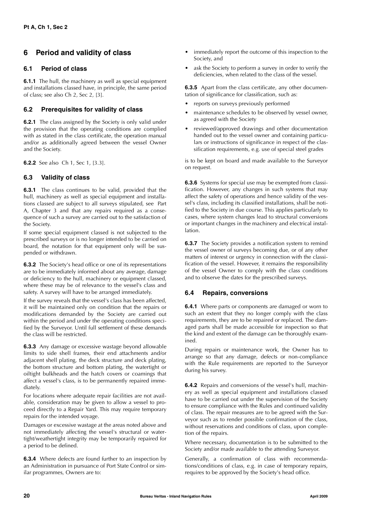### **6 Period and validity of class**

### **6.1 Period of class**

**6.1.1** The hull, the machinery as well as special equipment and installations classed have, in principle, the same period of class; see also Ch 2, Sec 2, [3].

### **6.2 Prerequisites for validity of class**

**6.2.1** The class assigned by the Society is only valid under the provision that the operating conditions are complied with as stated in the class certificate, the operation manual and/or as additionally agreed between the vessel Owner and the Society.

**6.2.2** See also Ch 1, Sec 1, [3.3].

### **6.3 Validity of class**

**6.3.1** The class continues to be valid, provided that the hull, machinery as well as special equipment and installations classed are subject to all surveys stipulated, see Part A, Chapter 3 and that any repairs required as a consequence of such a survey are carried out to the satisfaction of the Society.

If some special equipment classed is not subjected to the prescribed surveys or is no longer intended to be carried on board, the notation for that equipment only will be suspended or withdrawn.

**6.3.2** The Society's head office or one of its representations are to be immediately informed about any average, damage or deficiency to the hull, machinery or equipment classed, where these may be of relevance to the vessel's class and safety. A survey will have to be arranged immediately.

If the survey reveals that the vessel's class has been affected, it will be maintained only on condition that the repairs or modifications demanded by the Society are carried out within the period and under the operating conditions specified by the Surveyor. Until full settlement of these demands the class will be restricted.

**6.3.3** Any damage or excessive wastage beyond allowable limits to side shell frames, their end attachments and/or adjacent shell plating, the deck structure and deck plating, the bottom structure and bottom plating, the watertight or oiltight bulkheads and the hatch covers or coamings that affect a vessel's class, is to be permanently repaired immediately.

For locations where adequate repair facilities are not available, consideration may be given to allow a vessel to proceed directly to a Repair Yard. This may require temporary repairs for the intended voyage.

Damages or excessive wastage at the areas noted above and not immediately affecting the vessel's structural or watertight/weathertight integrity may be temporarily repaired for a period to be defined.

**6.3.4** Where defects are found further to an inspection by an Administration in pursuance of Port State Control or similar programmes, Owners are to:

- immediately report the outcome of this inspection to the Society, and
- ask the Society to perform a survey in order to verify the deficiencies, when related to the class of the vessel.

**6.3.5** Apart from the class certificate, any other documentation of significance for classification, such as:

- reports on surveys previously performed
- maintenance schedules to be observed by vessel owner, as agreed with the Society
- reviewed/approved drawings and other documentation handed out to the vessel owner and containing particulars or instructions of significance in respect of the classification requirements, e.g. use of special steel grades

is to be kept on board and made available to the Surveyor on request.

**6.3.6** Systems for special use may be exempted from classification. However, any changes in such systems that may affect the safety of operations and hence validity of the vessel's class, including its classified installations, shall be notified to the Society in due course. This applies particularly to cases, where system changes lead to structural conversions or important changes in the machinery and electrical installation.

**6.3.7** The Society provides a notification system to remind the vessel owner of surveys becoming due, or of any other matters of interest or urgency in connection with the classification of the vessel. However, it remains the responsibility of the vessel Owner to comply with the class conditions and to observe the dates for the prescribed surveys.

### **6.4 Repairs, conversions**

**6.4.1** Where parts or components are damaged or worn to such an extent that they no longer comply with the class requirements, they are to be repaired or replaced. The damaged parts shall be made accessible for inspection so that the kind and extent of the damage can be thoroughly examined.

During repairs or maintenance work, the Owner has to arrange so that any damage, defects or non-compliance with the Rule requirements are reported to the Surveyor during his survey.

**6.4.2** Repairs and conversions of the vessel's hull, machinery as well as special equipment and installations classed have to be carried out under the supervision of the Society to ensure compliance with the Rules and continued validity of class. The repair measures are to be agreed with the Surveyor such as to render possible confirmation of the class, without reservations and conditions of class, upon completion of the repairs.

Where necessary, documentation is to be submitted to the Society and/or made available to the attending Surveyor.

Generally, a confirmation of class with recommendations/conditions of class, e.g. in case of temporary repairs, requires to be approved by the Society's head office.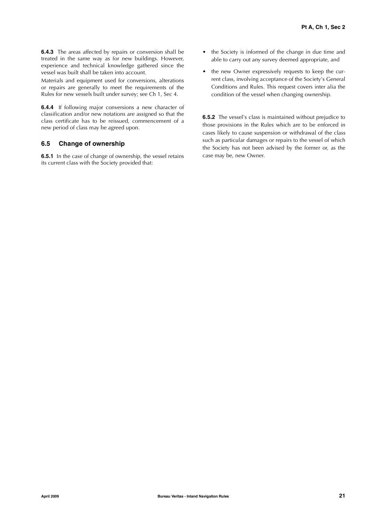**6.4.3** The areas affected by repairs or conversion shall be treated in the same way as for new buildings. However, experience and technical knowledge gathered since the vessel was built shall be taken into account.

Materials and equipment used for conversions, alterations or repairs are generally to meet the requirements of the Rules for new vessels built under survey; see Ch 1, Sec 4.

**6.4.4** If following major conversions a new character of classification and/or new notations are assigned so that the class certificate has to be reissued, commencement of a new period of class may be agreed upon.

### **6.5 Change of ownership**

**6.5.1** In the case of change of ownership, the vessel retains its current class with the Society provided that:

- the Society is informed of the change in due time and able to carry out any survey deemed appropriate, and
- the new Owner expressively requests to keep the current class, involving acceptance of the Society's General Conditions and Rules. This request covers inter alia the condition of the vessel when changing ownership.

**6.5.2** The vessel's class is maintained without prejudice to those provisions in the Rules which are to be enforced in cases likely to cause suspension or withdrawal of the class such as particular damages or repairs to the vessel of which the Society has not been advised by the former or, as the case may be, new Owner.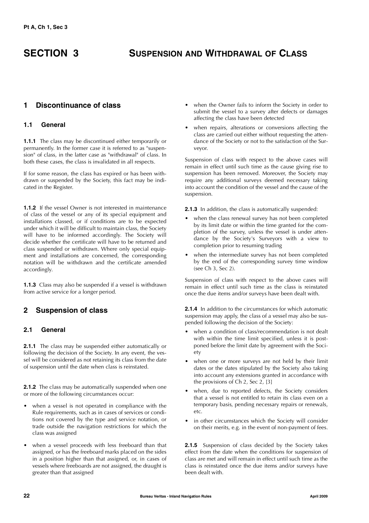## **SECTION 3 SUSPENSION AND WITHDRAWAL OF CLASS**

### **1 Discontinuance of class**

### **1.1 General**

**1.1.1** The class may be discontinued either temporarily or permanently. In the former case it is referred to as "suspension" of class, in the latter case as "withdrawal" of class. In both these cases, the class is invalidated in all respects.

If for some reason, the class has expired or has been withdrawn or suspended by the Society, this fact may be indicated in the Register.

**1.1.2** If the vessel Owner is not interested in maintenance of class of the vessel or any of its special equipment and installations classed, or if conditions are to be expected under which it will be difficult to maintain class, the Society will have to be informed accordingly. The Society will decide whether the certificate will have to be returned and class suspended or withdrawn. Where only special equipment and installations are concerned, the corresponding notation will be withdrawn and the certificate amended accordingly.

**1.1.3** Class may also be suspended if a vessel is withdrawn from active service for a longer period.

### **2 Suspension of class**

### **2.1 General**

**2.1.1** The class may be suspended either automatically or following the decision of the Society. In any event, the vessel will be considered as not retaining its class from the date of suspension until the date when class is reinstated.

**2.1.2** The class may be automatically suspended when one or more of the following circumstances occur:

- when a vessel is not operated in compliance with the Rule requirements, such as in cases of services or conditions not covered by the type and service notation, or trade outside the navigation restrictions for which the class was assigned
- when a vessel proceeds with less freeboard than that assigned, or has the freeboard marks placed on the sides in a position higher than that assigned, or, in cases of vessels where freeboards are not assigned, the draught is greater than that assigned
- when the Owner fails to inform the Society in order to submit the vessel to a survey after defects or damages affecting the class have been detected
- when repairs, alterations or conversions affecting the class are carried out either without requesting the attendance of the Society or not to the satisfaction of the Surveyor.

Suspension of class with respect to the above cases will remain in effect until such time as the cause giving rise to suspension has been removed. Moreover, the Society may require any additional surveys deemed necessary taking into account the condition of the vessel and the cause of the suspension.

**2.1.3** In addition, the class is automatically suspended:

- when the class renewal survey has not been completed by its limit date or within the time granted for the completion of the survey, unless the vessel is under attendance by the Society's Surveyors with a view to completion prior to resuming trading
- when the intermediate survey has not been completed by the end of the corresponding survey time window (see Ch 3, Sec 2).

Suspension of class with respect to the above cases will remain in effect until such time as the class is reinstated once the due items and/or surveys have been dealt with.

**2.1.4** In addition to the circumstances for which automatic suspension may apply, the class of a vessel may also be suspended following the decision of the Society:

- when a condition of class/recommendation is not dealt with within the time limit specified, unless it is postponed before the limit date by agreement with the Society
- when one or more surveys are not held by their limit dates or the dates stipulated by the Society also taking into account any extensions granted in accordance with the provisions of Ch 2, Sec 2, [3]
- when, due to reported defects, the Society considers that a vessel is not entitled to retain its class even on a temporary basis, pending necessary repairs or renewals, etc.
- in other circumstances which the Society will consider on their merits, e.g. in the event of non-payment of fees.

2.1.5 Suspension of class decided by the Society takes effect from the date when the conditions for suspension of class are met and will remain in effect until such time as the class is reinstated once the due items and/or surveys have been dealt with.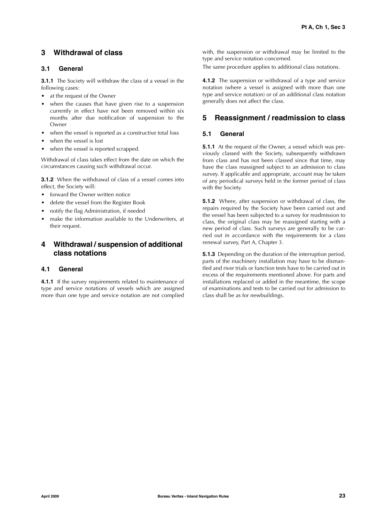### **3 Withdrawal of class**

### **3.1 General**

**3.1.1** The Society will withdraw the class of a vessel in the following cases:

- at the request of the Owner
- when the causes that have given rise to a suspension currently in effect have not been removed within six months after due notification of suspension to the **Owner**
- when the vessel is reported as a constructive total loss
- when the vessel is lost
- when the vessel is reported scrapped.

Withdrawal of class takes effect from the date on which the circumstances causing such withdrawal occur.

**3.1.2** When the withdrawal of class of a vessel comes into effect, the Society will:

- forward the Owner written notice
- delete the vessel from the Register Book
- notify the flag Administration, if needed
- make the information available to the Underwriters, at their request.

### **4 Withdrawal / suspension of additional class notations**

### **4.1 General**

**4.1.1** If the survey requirements related to maintenance of type and service notations of vessels which are assigned more than one type and service notation are not complied with, the suspension or withdrawal may be limited to the type and service notation concerned.

The same procedure applies to additional class notations.

**4.1.2** The suspension or withdrawal of a type and service notation (where a vessel is assigned with more than one type and service notation) or of an additional class notation generally does not affect the class.

### **5 Reassignment / readmission to class**

### **5.1 General**

**5.1.1** At the request of the Owner, a vessel which was previously classed with the Society, subsequently withdrawn from class and has not been classed since that time, may have the class reassigned subject to an admission to class survey. If applicable and appropriate, account may be taken of any periodical surveys held in the former period of class with the Society.

**5.1.2** Where, after suspension or withdrawal of class, the repairs required by the Society have been carried out and the vessel has been subjected to a survey for readmission to class, the original class may be reassigned starting with a new period of class. Such surveys are generally to be carried out in accordance with the requirements for a class renewal survey, Part A, Chapter 3.

**5.1.3** Depending on the duration of the interruption period, parts of the machinery installation may have to be dismantled and river trials or function tests have to be carried out in excess of the requirements mentioned above. For parts and installations replaced or added in the meantime, the scope of examinations and tests to be carried out for admission to class shall be as for newbuildings.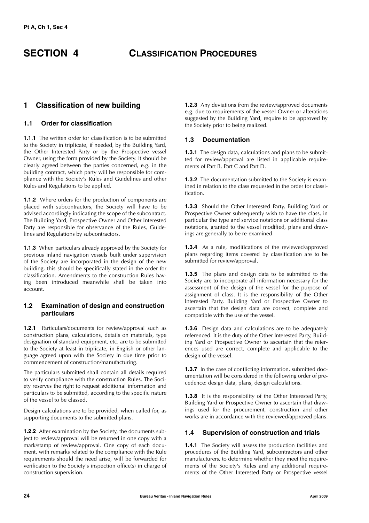### **SECTION 4 CLASSIFICATION PROCEDURES**

### **1 Classification of new building**

### **1.1 Order for classification**

**1.1.1** The written order for classification is to be submitted to the Society in triplicate, if needed, by the Building Yard, the Other Interested Party or by the Prospective vessel Owner, using the form provided by the Society. It should be clearly agreed between the parties concerned, e.g. in the building contract, which party will be responsible for compliance with the Society's Rules and Guidelines and other Rules and Regulations to be applied.

**1.1.2** Where orders for the production of components are placed with subcontractors, the Society will have to be advised accordingly indicating the scope of the subcontract. The Building Yard, Prospective Owner and Other Interested Party are responsible for observance of the Rules, Guidelines and Regulations by subcontractors.

**1.1.3** When particulars already approved by the Society for previous inland navigation vessels built under supervision of the Society are incorporated in the design of the new building, this should be specifically stated in the order for classification. Amendments to the construction Rules having been introduced meanwhile shall be taken into account.

### **1.2 Examination of design and construction particulars**

**1.2.1** Particulars/documents for review/approval such as construction plans, calculations, details on materials, type designation of standard equipment, etc. are to be submitted to the Society at least in triplicate, in English or other language agreed upon with the Society in due time prior to commencement of construction/manufacturing.

The particulars submitted shall contain all details required to verify compliance with the construction Rules. The Society reserves the right to request additional information and particulars to be submitted, according to the specific nature of the vessel to be classed.

Design calculations are to be provided, when called for, as supporting documents to the submitted plans.

**1.2.2** After examination by the Society, the documents subject to review/approval will be returned in one copy with a mark/stamp of review/approval. One copy of each document, with remarks related to the compliance with the Rule requirements should the need arise, will be forwarded for verification to the Society's inspection office(s) in charge of construction supervision.

**1.2.3** Any deviations from the review/approved documents e.g. due to requirements of the vessel Owner or alterations suggested by the Building Yard, require to be approved by the Society prior to being realized.

### **1.3 Documentation**

**1.3.1** The design data, calculations and plans to be submitted for review/approval are listed in applicable requirements of Part B, Part C and Part D.

**1.3.2** The documentation submitted to the Society is examined in relation to the class requested in the order for classification.

**1.3.3** Should the Other Interested Party, Building Yard or Prospective Owner subsequently wish to have the class, in particular the type and service notations or additional class notations, granted to the vessel modified, plans and drawings are generally to be re-examined.

**1.3.4** As a rule, modifications of the reviewed/approved plans regarding items covered by classification are to be submitted for review/approval.

**1.3.5** The plans and design data to be submitted to the Society are to incorporate all information necessary for the assessment of the design of the vessel for the purpose of assignment of class. It is the responsibility of the Other Interested Party, Building Yard or Prospective Owner to ascertain that the design data are correct, complete and compatible with the use of the vessel.

**1.3.6** Design data and calculations are to be adequately referenced. It is the duty of the Other Interested Party, Building Yard or Prospective Owner to ascertain that the references used are correct, complete and applicable to the design of the vessel.

**1.3.7** In the case of conflicting information, submitted documentation will be considered in the following order of precedence: design data, plans, design calculations.

**1.3.8** It is the responsibility of the Other Interested Party, Building Yard or Prospective Owner to ascertain that drawings used for the procurement, construction and other works are in accordance with the reviewed/approved plans.

### **1.4 Supervision of construction and trials**

**1.4.1** The Society will assess the production facilities and procedures of the Building Yard, subcontractors and other manufacturers, to determine whether they meet the requirements of the Society's Rules and any additional requirements of the Other Interested Party or Prospective vessel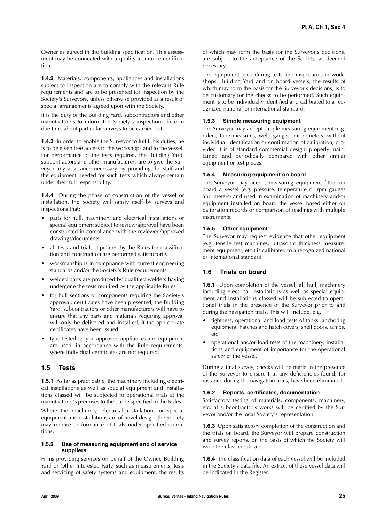Owner as agreed in the building specification. This assessment may be connected with a quality assurance certification.

**1.4.2** Materials, components, appliances and installations subject to inspection are to comply with the relevant Rule requirements and are to be presented for inspection by the Society's Surveyors, unless otherwise provided as a result of special arrangements agreed upon with the Society.

It is the duty of the Building Yard, subcontractors and other manufacturers to inform the Society's inspection office in due time about particular surveys to be carried out.

**1.4.3** In order to enable the Surveyor to fulfill his duties, he is to be given free access to the workshops and to the vessel. For performance of the tests required, the Building Yard, subcontractors and other manufacturers are to give the Surveyor any assistance necessary by providing the staff and the equipment needed for such tests which always remain under their full responsibility.

**1.4.4** During the phase of construction of the vessel or installation, the Society will satisfy itself by surveys and inspections that:

- parts for hull, machinery and electrical installations or special equipment subject to review/approval have been constructed in compliance with the reviewed/approved drawings/documents
- all tests and trials stipulated by the Rules for classification and construction are performed satisfactorily
- workmanship is in compliance with current engineering standards and/or the Society's Rule requirements
- welded parts are produced by qualified welders having undergone the tests required by the applicable Rules
- for hull sections or components requiring the Society's approval, certificates have been presented; the Building Yard, subcontractors or other manufacturers will have to ensure that any parts and materials requiring approval will only be delivered and installed, if the appropriate certificates have been issued
- type-tested or type-approved appliances and equipment are used, in accordance with the Rule requirements, where individual certificates are not required.

### **1.5 Tests**

**1.5.1** As far as practicable, the machinery including electrical installations as well as special equipment and installations classed will be subjected to operational trials at the manufacturer's premises to the scope specified in the Rules.

Where the machinery, electrical installations or special equipment and installations are of novel design, the Society may require performance of trials under specified conditions.

### **1.5.2 Use of measuring equipment and of service suppliers**

Firms providing services on behalf of the Owner, Building Yard or Other Interested Party, such as measurements, tests and servicing of safety systems and equipment, the results

of which may form the basis for the Surveyor's decisions, are subject to the acceptance of the Society, as deemed necessary.

The equipment used during tests and inspections in workshops, Building Yard and on board vessels, the results of which may form the basis for the Surveyor's decisions, is to be customary for the checks to be performed. Such equipment is to be individually identified and calibrated to a recognized national or international standard.

### **1.5.3 Simple measuring equipment**

The Surveyor may accept simple measuring equipment (e.g. rulers, tape measures, weld gauges, micrometers) without individual identification or confirmation of calibration, provided it is of standard commercial design, properly maintained and periodically compared with other similar equipment or test pieces.

### **1.5.4 Measuring equipment on board**

The Surveyor may accept measuring equipment fitted on board a vessel (e.g. pressure, temperature or rpm gauges and meters) and used in examination of machinery and/or equipment installed on board the vessel based either on calibration records or comparison of readings with multiple instruments.

### **1.5.5 Other equipment**

The Surveyor may request evidence that other equipment (e.g. tensile test machines, ultrasonic thickness measurement equipment, etc.) is calibrated to a recognized national or international standard.

### **1.6 Trials on board**

**1.6.1** Upon completion of the vessel, all hull, machinery  $including$  electrical installations as well as special equipment and installations classed will be subjected to operational trials in the presence of the Surveyor prior to and during the navigation trials. This will include, e.g.:

- tightness, operational and load tests of tanks, anchoring equipment, hatches and hatch covers, shell doors, ramps, etc.
- operational and/or load tests of the machinery, installations and equipment of importance for the operational safety of the vessel.

During a final survey, checks will be made in the presence of the Surveyor to ensure that any deficiencies found, for instance during the navigation trials, have been eliminated.

### **1.6.2 Reports, certificates, documentation**

Satisfactory testing of materials, components, machinery, etc. at subcontractor's works will be certified by the Surveyor and/or the local Society's representation.

**1.6.3** Upon satisfactory completion of the construction and the trials on board, the Surveyor will prepare construction and survey reports, on the basis of which the Society will issue the class certificate.

**1.6.4** The classification data of each vessel will be included in the Society's data file. An extract of these vessel data will be indicated in the Register.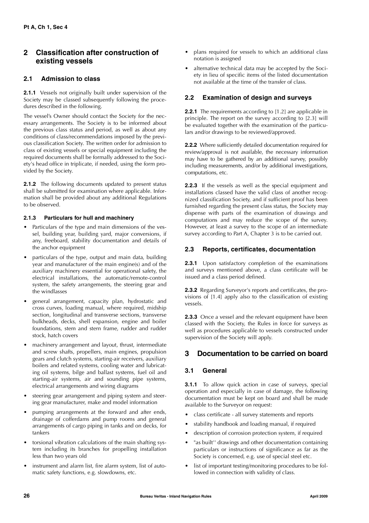### **2 Classification after construction of existing vessels**

### **2.1 Admission to class**

**2.1.1** Vessels not originally built under supervision of the Society may be classed subsequently following the procedures described in the following.

The vessel's Owner should contact the Society for the necessary arrangements. The Society is to be informed about the previous class status and period, as well as about any conditions of class/recommendations imposed by the previous classification Society. The written order for admission to class of existing vessels or special equipment including the required documents shall be formally addressed to the Society's head office in triplicate, if needed, using the form provided by the Society.

**2.1.2** The following documents updated to present status shall be submitted for examination where applicable. Information shall be provided about any additional Regulations to be observed.

### **2.1.3 Particulars for hull and machinery**

- Particulars of the type and main dimensions of the vessel, building year, building yard, major conversions, if any, freeboard, stability documentation and details of the anchor equipment
- particulars of the type, output and main data, building year and manufacturer of the main engine(s) and of the auxiliary machinery essential for operational safety, the electrical installations, the automatic/remote-control system, the safety arrangements, the steering gear and the windlasses
- general arrangement, capacity plan, hydrostatic and cross curves, loading manual, where required, midship section, longitudinal and transverse sections, transverse bulkheads, decks, shell expansion, engine and boiler foundations, stem and stern frame, rudder and rudder stock, hatch covers
- machinery arrangement and layout, thrust, intermediate and screw shafts, propellers, main engines, propulsion gears and clutch systems, starting-air receivers, auxiliary boilers and related systems, cooling water and lubricating oil systems, bilge and ballast systems, fuel oil and starting-air systems, air and sounding pipe systems, electrical arrangements and wiring diagrams
- steering gear arrangement and piping system and steering gear manufacturer, make and model information
- pumping arrangements at the forward and after ends, drainage of cofferdams and pump rooms and general arrangements of cargo piping in tanks and on decks, for tankers
- torsional vibration calculations of the main shafting system including its branches for propelling installation less than two years old
- instrument and alarm list, fire alarm system, list of automatic safety functions, e.g. slowdowns, etc.
- plans required for vessels to which an additional class notation is assigned
- alternative technical data may be accepted by the Society in lieu of specific items of the listed documentation not available at the time of the transfer of class.

### **2.2 Examination of design and surveys**

**2.2.1** The requirements according to [1.2] are applicable in principle. The report on the survey according to [2.3] will be evaluated together with the examination of the particulars and/or drawings to be reviewed/approved.

**2.2.2** Where sufficiently detailed documentation required for review/approval is not available, the necessary information may have to be gathered by an additional survey, possibly including measurements, and/or by additional investigations, computations, etc.

**2.2.3** If the vessels as well as the special equipment and installations classed have the valid class of another recognized classification Society, and if sufficient proof has been furnished regarding the present class status, the Society may dispense with parts of the examination of drawings and computations and may reduce the scope of the survey. However, at least a survey to the scope of an intermediate survey according to Part A, Chapter 3 is to be carried out.

### **2.3 Reports, certificates, documentation**

**2.3.1** Upon satisfactory completion of the examinations and surveys mentioned above, a class certificate will be issued and a class period defined.

**2.3.2** Regarding Surveyor's reports and certificates, the provisions of [1.4] apply also to the classification of existing vessels.

**2.3.3** Once a vessel and the relevant equipment have been classed with the Society, the Rules in force for surveys as well as procedures applicable to vessels constructed under supervision of the Society will apply.

### **3 Documentation to be carried on board**

### **3.1 General**

**3.1.1** To allow quick action in case of surveys, special operation and especially in case of damage, the following documentation must be kept on board and shall be made available to the Surveyor on request:

- class certificate all survey statements and reports
- stability handbook and loading manual, if required
- description of corrosion protection system, if required
- "as built" drawings and other documentation containing particulars or instructions of significance as far as the Society is concerned, e.g. use of special steel etc.
- list of important testing/monitoring procedures to be followed in connection with validity of class.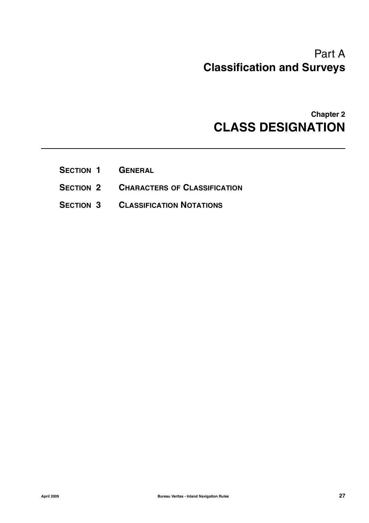# Part A **Classification and Surveys**

# **Chapter 2 CLASS DESIGNATION**

- **SECTION 1 GENERAL**
- **SECTION 2 CHARACTERS OF CLASSIFICATION**
- **SECTION 3 CLASSIFICATION NOTATIONS**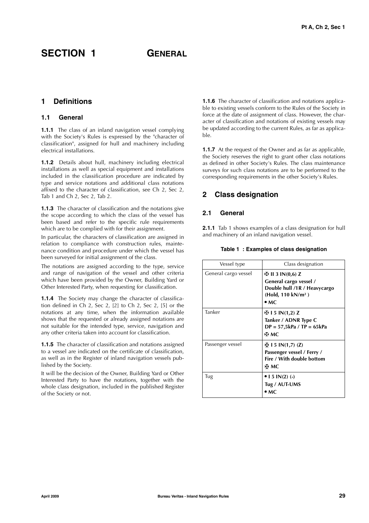### SECTION 1 **GENERAL**

### **1 Definitions**

### **1.1 General**

**1.1.1** The class of an inland navigation vessel complying with the Society's Rules is expressed by the "character of classification", assigned for hull and machinery including electrical installations.

**1.1.2** Details about hull, machinery including electrical installations as well as special equipment and installations included in the classification procedure are indicated by type and service notations and additional class notations affixed to the character of classification, see Ch 2, Sec 2, Tab 1 and Ch 2, Sec 2, Tab 2.

**1.1.3** The character of classification and the notations give the scope according to which the class of the vessel has been based and refer to the specific rule requirements which are to be complied with for their assignment.

In particular, the characters of classification are assigned in relation to compliance with construction rules, maintenance condition and procedure under which the vessel has been surveyed for initial assignment of the class.

The notations are assigned according to the type, service and range of navigation of the vessel and other criteria which have been provided by the Owner, Building Yard or Other Interested Party, when requesting for classification.

**1.1.4** The Society may change the character of classification defined in Ch 2, Sec 2, [2] to Ch 2, Sec 2, [5] or the notations at any time, when the information available shows that the requested or already assigned notations are not suitable for the intended type, service, navigation and any other criteria taken into account for classification.

**1.1.5** The character of classification and notations assigned to a vessel are indicated on the certificate of classification, as well as in the Register of inland navigation vessels published by the Society.

It will be the decision of the Owner, Building Yard or Other Interested Party to have the notations, together with the whole class designation, included in the published Register of the Society or not.

**1.1.6** The character of classification and notations applicable to existing vessels conform to the Rules of the Society in force at the date of assignment of class. However, the character of classification and notations of existing vessels may be updated according to the current Rules, as far as applicable.

**1.1.7** At the request of the Owner and as far as applicable, the Society reserves the right to grant other class notations as defined in other Society's Rules. The class maintenance surveys for such class notations are to be performed to the corresponding requirements in the other Society's Rules.

### **2 Class designation**

### **2.1 General**

**2.1.1** Tab 1 shows examples of a class designation for hull and machinery of an inland navigation vessel.

|  |  |  |  | Table 1 :Examples of class designation |  |
|--|--|--|--|----------------------------------------|--|
|--|--|--|--|----------------------------------------|--|

| Vessel type          | Class designation                                                                                                             |
|----------------------|-------------------------------------------------------------------------------------------------------------------------------|
| General cargo vessel | HH 11 3 IN(0,6) Z<br>General cargo vessel /<br>Double hull /1R / Heavycargo<br>(Hold, 110 kN/m <sup>2</sup> )<br>$\bullet$ MC |
| Tanker               | H−l 5 IN(1,2) Z<br>Tanker / ADNR Type C<br>$DP = 57,5kPa / TP = 65kPa$<br>ஈ мс                                                |
| Passenger vessel     | HH 15 IN(1,7) (Z)<br>Passenger vessel / Ferry /<br>Fire / With double bottom<br>⊕ МС                                          |
| Tug                  | $\bullet$ 1 5 IN(2) (-)<br>Tug / AUT-UMS<br>• MC                                                                              |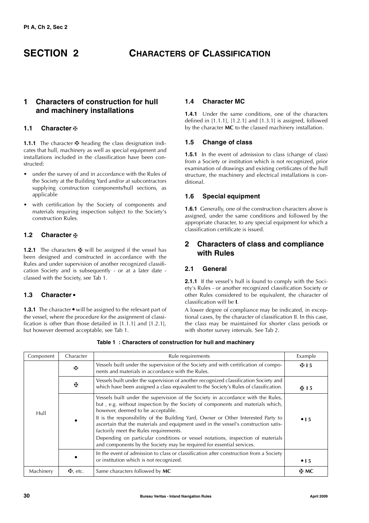### **SECTION 2 CHARACTERS OF CLASSIFICATION**

### **1 Characters of construction for hull and machinery installations**

### **1.1 Character**

1.1.1 The character  $\mathbf F$  heading the class designation indicates that hull, machinery as well as special equipment and installations included in the classification have been constructed:

- under the survey of and in accordance with the Rules of the Society at the Building Yard and/or at subcontractors supplying construction components/hull sections, as applicable
- with certification by the Society of components and materials requiring inspection subject to the Society's construction Rules.

### **1.2 Character**

**1.2.1** The characters  $\mathbf{\underline{F}}$  will be assigned if the vessel has been designed and constructed in accordance with the Rules and under supervision of another recognized classification Society and is subsequently - or at a later date classed with the Society, see Tab 1.

### **1.3 Character** -

**1.3.1** The character • will be assigned to the relevant part of the vecel where the procedure for the assignment of classithe vessel, where the procedure for the assignment of classification is other than those detailed in  $[1.1.1]$  and  $[1.2.1]$ , but however deemed acceptable, see Tab 1.

### **1.4 Character MC**

**1.4.1** Under the same conditions, one of the characters defined in [1.1.1], [1.2.1] and [1.3.1] is assigned, followed by the character **MC** to the classed machinery installation.

### **1.5 Change of class**

**1.5.1** In the event of admission to class (change of class) from a Society or institution which is not recognized, prior examination of drawings and existing certificates of the hull structure, the machinery and electrical installations is conditional.

### **1.6 Special equipment**

**1.6.1** Generally, one of the construction characters above is assigned, under the same conditions and followed by the appropriate character, to any special equipment for which a classification certificate is issued.

### **2 Characters of class and compliance with Rules**

### **2.1 General**

2.1.1 If the vessel's hull is found to comply with the Society's Rules - or another recognized classification Society or other Rules considered to be equivalent, the character of classification will be **I**.

A lower degree of compliance may be indicated, in exceptional cases, by the character of classification II. In this case, the class may be maintained for shorter class periods or with shorter survey intervals. See Tab 2.

| Component | Character  | Rule requirements                                                                                                                                                                                                                                                                                                                                                                                                                                                                                                                                                                         | Example     |
|-----------|------------|-------------------------------------------------------------------------------------------------------------------------------------------------------------------------------------------------------------------------------------------------------------------------------------------------------------------------------------------------------------------------------------------------------------------------------------------------------------------------------------------------------------------------------------------------------------------------------------------|-------------|
|           | Ж          | Vessels built under the supervision of the Society and with certification of compo-<br>nents and materials in accordance with the Rules.                                                                                                                                                                                                                                                                                                                                                                                                                                                  | H15         |
|           | 巫          | Vessels built under the supervision of another recognized classification Society and<br>which have been assigned a class equivalent to the Society's Rules of classification.                                                                                                                                                                                                                                                                                                                                                                                                             | Η Ι5        |
| Hull      |            | Vessels built under the supervision of the Society in accordance with the Rules,<br>but, e.g. without inspection by the Society of components and materials which,<br>however, deemed to be acceptable.<br>It is the responsibility of the Building Yard, Owner or Other Interested Party to<br>ascertain that the materials and equipment used in the vessel's construction satis-<br>factorily meet the Rules requirements.<br>Depending on particular conditions or vessel notations, inspection of materials<br>and components by the Society may be required for essential services. | $\cdot$ 1.5 |
|           |            | In the event of admission to class or classification after construction from a Society<br>or institution which is not recognized.                                                                                                                                                                                                                                                                                                                                                                                                                                                         | $\cdot$ 15  |
| Machinery | $H$ , etc. | Same characters followed by MC                                                                                                                                                                                                                                                                                                                                                                                                                                                                                                                                                            | ⊕ MC        |

**Table 1 : Characters of construction for hull and machinery**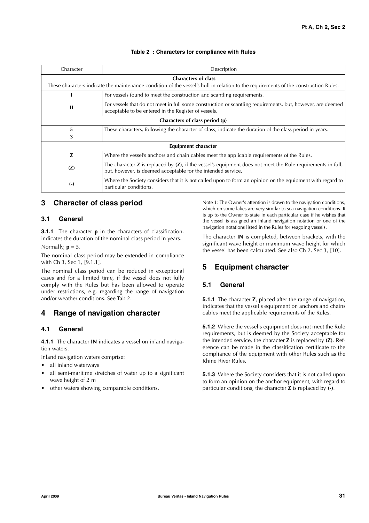### **Table 2 : Characters for compliance with Rules**

| Character                      | Description                                                                                                                                                                     |  |  |  |
|--------------------------------|---------------------------------------------------------------------------------------------------------------------------------------------------------------------------------|--|--|--|
|                                | <b>Characters of class</b>                                                                                                                                                      |  |  |  |
|                                | These characters indicate the maintenance condition of the vessel's hull in relation to the requirements of the construction Rules.                                             |  |  |  |
|                                | For vessels found to meet the construction and scantling requirements.                                                                                                          |  |  |  |
| $\mathbf{H}$                   | For vessels that do not meet in full some construction or scantling requirements, but, however, are deemed<br>acceptable to be entered in the Register of vessels.              |  |  |  |
| Characters of class period (p) |                                                                                                                                                                                 |  |  |  |
| 5                              | These characters, following the character of class, indicate the duration of the class period in years.                                                                         |  |  |  |
| 3                              |                                                                                                                                                                                 |  |  |  |
| Equipment character            |                                                                                                                                                                                 |  |  |  |
| Z                              | Where the vessel's anchors and chain cables meet the applicable requirements of the Rules.                                                                                      |  |  |  |
| (Z)                            | The character $Z$ is replaced by $(Z)$ , if the vessel's equipment does not meet the Rule requirements in full,<br>but, however, is deemed acceptable for the intended service. |  |  |  |
| $(-)$                          | Where the Society considers that it is not called upon to form an opinion on the equipment with regard to<br>particular conditions.                                             |  |  |  |

### **3 Character of class period**

### **3.1 General**

**3.1.1** The character **p** in the characters of classification, indicates the duration of the nominal class period in years. Normally,  $p = 5$ .

The nominal class period may be extended in compliance with Ch 3, Sec 1, [9.1.1].

The nominal class period can be reduced in exceptional cases and for a limited time, if the vessel does not fully comply with the Rules but has been allowed to operate under restrictions, e.g. regarding the range of navigation and/or weather conditions. See Tab 2.

### **4 Range of navigation character**

### **4.1 General**

**4.1.1** The character **IN** indicates a vessel on inland navigation waters.

Inland navigation waters comprise:

- all inland waterways
- all semi-maritime stretches of water up to a significant wave height of 2 m
- other waters showing comparable conditions.

Note 1: The Owner's attention is drawn to the navigation conditions, which on some lakes are very similar to sea navigation conditions. It is up to the Owner to state in each particular case if he wishes that the vessel is assigned an inland navigation notation or one of the navigation notations listed in the Rules for seagoing vessels.

The character **IN** is completed, between brackets, with the significant wave height or maximum wave height for which the vessel has been calculated. See also Ch 2, Sec 3, [10].

### **5 Equipment character**

### **5.1 General**

**5.1.1** The character **Z**, placed after the range of navigation, indicates that the vessel's equipment on anchors and chains cables meet the applicable requirements of the Rules.

**5.1.2** Where the vessel's equipment does not meet the Rule requirements, but is deemed by the Society acceptable for the intended service, the character **Z** is replaced by **(Z)**. Reference can be made in the classification certificate to the compliance of the equipment with other Rules such as the Rhine River Rules.

**5.1.3** Where the Society considers that it is not called upon to form an opinion on the anchor equipment, with regard to particular conditions, the character **Z** is replaced by **(-)**.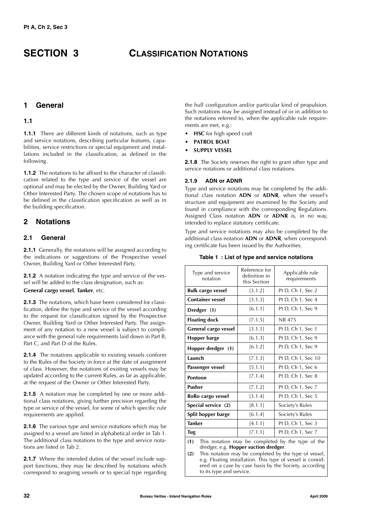### **SECTION 3 CLASSIFICATION NOTATIONS**

### **1 General**

### **1.1**

**1.1.1** There are different kinds of notations, such as type and service notations, describing particular features, capabilities, service restrictions or special equipment and installations included in the classification, as defined in the following.

**1.1.2** The notations to be affixed to the character of classification related to the type and service of the vessel are optional and may be elected by the Owner, Building Yard or Other Interested Party. The chosen scope of notations has to be defined in the classification specification as well as in the building specification.

### **2 Notations**

### **2.1 General**

**2.1.1** Generally, the notations will be assigned according to the indications or suggestions of the Prospective vessel Owner, Building Yard or Other Interested Party.

**2.1.2** A notation indicating the type and service of the vessel will be added to the class designation, such as:

### **General cargo vessel**, **Tanker**, etc.

**2.1.3** The notations, which have been considered for classification, define the type and service of the vessel according to the request for classification signed by the Prospective Owner, Building Yard or Other Interested Party. The assignment of any notation to a new vessel is subject to compliance with the general rule requirements laid down in Part B, Part C, and Part D of the Rules.

**2.1.4** The notations applicable to existing vessels conform to the Rules of the Society in force at the date of assignment of class. However, the notations of existing vessels may be updated according to the current Rules, as far as applicable, at the request of the Owner or Other Interested Party.

**2.1.5** A notation may be completed by one or more additional class notations, giving further precision regarding the type or service of the vessel, for some of which specific rule requirements are applied.

**2.1.6** The various type and service notations which may be assigned to a vessel are listed in alphabetical order in Tab 1. The additional class notations to the type and service notations are listed in Tab 2.

**2.1.7** Where the intended duties of the vessel include support functions, they may be described by notations which correspond to seagoing vessels or to special type regarding the hull configuration and/or particular kind of propulsion. Such notations may be assigned instead of or in addition to the notations referred to, when the applicable rule requirements are met, e.g.:

- **HSC** for high speed craft
- **PATROL BOAT**
- **SUPPLY VESSEL**

**2.1.8** The Society reserves the right to grant other type and service notations or additional class notations.

### **2.1.9 ADN or ADNR**

Type and service notations may be completed by the additional class notation **ADN** or **ADNR**, when the vessel's structure and equipment are examined by the Society and found in compliance with the corresponding Regulations. Assigned Class notation **ADN** or **ADNR** is, in no way, intended to replace statutory certificate.

Type and service notations may also be completed by the additional class notation **ADN** or **ADNR**, when corresponding certificate has been issued by the Authorities.

| Reference for<br>definition in<br>this Section | Applicable rule<br>requirements                        |
|------------------------------------------------|--------------------------------------------------------|
| [3.1.2]                                        | Pt D, Ch 1, Sec 2                                      |
| [3.1.3]                                        | Pt D, Ch 1, Sec 4                                      |
| [6.1.1]                                        | Pt D, Ch 1, Sec 9                                      |
| [7.1.5]                                        | NR 475                                                 |
| [3.1.1]                                        | Pt D, Ch 1, Sec 1                                      |
| [6.1.3]                                        | Pt D, Ch 1, Sec 9                                      |
| [6.1.2]                                        | Pt D, Ch 1, Sec 9                                      |
| [7.1.3]                                        | Pt D, Ch 1, Sec 10                                     |
| [5.1.1]                                        | Pt D, Ch 1, Sec 6                                      |
| [7.1.4]                                        | Pt D, Ch 1, Sec 8                                      |
| [7.1.2]                                        | Pt D, Ch 1, Sec 7                                      |
| [3.1.4]                                        | Pt D, Ch 1, Sec 5                                      |
| [8.1.1]                                        | Society's Rules                                        |
| [6.1.4]                                        | Society's Rules                                        |
| [4.1.1]                                        | Pt D, Ch 1, Sec 3                                      |
| [7.1.1]                                        | Pt D, Ch 1, Sec 7                                      |
|                                                | الملائك والمسابق والملازمينا المتعمل ويتمرض الماليانية |

#### **Table 1 : List of type and service notations**

**(1)** This notation may be completed by the type of the dredger, e.g. **Hopper suction dredger**.

**(2)** This notation may be completed by the type of vessel, e.g. Floating installation. This type of vessel is considered on a case by case basis by the Society, according to its type and service.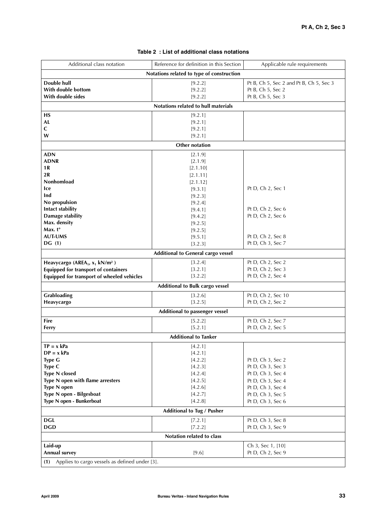| Additional class notation                                 | Reference for definition in this Section  | Applicable rule requirements            |  |  |  |  |
|-----------------------------------------------------------|-------------------------------------------|-----------------------------------------|--|--|--|--|
|                                                           | Notations related to type of construction |                                         |  |  |  |  |
| Double hull                                               | [9.2.2]                                   | Pt B, Ch 5, Sec 2 and Pt B, Ch 5, Sec 3 |  |  |  |  |
| With double bottom                                        | [9.2.2]                                   | Pt B, Ch 5, Sec 2                       |  |  |  |  |
| With double sides                                         | [9.2.2]                                   | Pt B, Ch 5, Sec 3                       |  |  |  |  |
|                                                           | Notations related to hull materials       |                                         |  |  |  |  |
| <b>HS</b>                                                 | [9.2.1]                                   |                                         |  |  |  |  |
| AL                                                        | [9.2.1]                                   |                                         |  |  |  |  |
| C                                                         | [9.2.1]                                   |                                         |  |  |  |  |
| W                                                         | [9.2.1]                                   |                                         |  |  |  |  |
|                                                           | Other notation                            |                                         |  |  |  |  |
| <b>ADN</b>                                                | [2.1.9]                                   |                                         |  |  |  |  |
| <b>ADNR</b>                                               | [2.1.9]                                   |                                         |  |  |  |  |
| 1 R<br>2R                                                 | [2.1.10]<br>[2.1.11]                      |                                         |  |  |  |  |
| Nonhomload                                                | [2.1.12]                                  |                                         |  |  |  |  |
| lce                                                       | [9.3.1]                                   | Pt D, Ch 2, Sec 1                       |  |  |  |  |
| Ind                                                       | [9.2.3]                                   |                                         |  |  |  |  |
| No propulsion                                             | [9.2.4]                                   |                                         |  |  |  |  |
| Intact stability                                          | [9.4.1]                                   | Pt D, Ch 2, Sec 6                       |  |  |  |  |
| Damage stability                                          | [9.4.2]                                   | Pt D, Ch 2, Sec 6                       |  |  |  |  |
| Max. density                                              | [9.2.5]                                   |                                         |  |  |  |  |
| Max. $t^{\circ}$                                          | [9.2.5]                                   |                                         |  |  |  |  |
| <b>AUT-UMS</b>                                            | [9.5.1]                                   | Pt D, Ch 2, Sec 8                       |  |  |  |  |
| DG(1)                                                     | [3.2.3]                                   | Pt D, Ch 3, Sec 7                       |  |  |  |  |
|                                                           | <b>Additional to General cargo vessel</b> |                                         |  |  |  |  |
| Heavycargo (AREA <sub>1</sub> , $x_1$ kN/m <sup>2</sup> ) | [3.2.4]                                   | Pt D, Ch 2, Sec 2                       |  |  |  |  |
| Equipped for transport of containers                      | [3.2.1]                                   | Pt D, Ch 2, Sec 3                       |  |  |  |  |
| Equipped for transport of wheeled vehicles                | [3.2.2]                                   | Pt D, Ch 2, Sec 4                       |  |  |  |  |
|                                                           | Additional to Bulk cargo vessel           |                                         |  |  |  |  |
| <b>Grabloading</b>                                        | [3.2.6]                                   | Pt D, Ch 2, Sec 10                      |  |  |  |  |
| Heavycargo                                                | [3.2.5]                                   | Pt D, Ch 2, Sec 2                       |  |  |  |  |
|                                                           | Additional to passenger vessel            |                                         |  |  |  |  |
| <b>Fire</b>                                               | [5.2.2]                                   | Pt D, Ch 2, Sec 7                       |  |  |  |  |
| Ferry                                                     | [5.2.1]                                   | Pt D, Ch 2, Sec 5                       |  |  |  |  |
| <b>Additional to Tanker</b>                               |                                           |                                         |  |  |  |  |
| $TP = x kPa$                                              | [4.2.1]                                   |                                         |  |  |  |  |
| $DP = x kPa$                                              | [4.2.1]                                   |                                         |  |  |  |  |
| Type G                                                    | [4.2.2]                                   | Pt D, Ch 3, Sec 2                       |  |  |  |  |
| Type C                                                    | [4.2.3]                                   | Pt D, Ch 3, Sec 3                       |  |  |  |  |
| <b>Type N closed</b><br>Type N open with flame arresters  | [4.2.4]<br>[4.2.5]                        | Pt D, Ch 3, Sec 4<br>Pt D, Ch 3, Sec 4  |  |  |  |  |
| Type N open                                               | [4.2.6]                                   | Pt D, Ch 3, Sec 4                       |  |  |  |  |
| Type N open - Bilgesboat                                  | [4.2.7]                                   | Pt D, Ch 3, Sec 5                       |  |  |  |  |
| Type N open - Bunkerboat                                  | [4.2.8]                                   | Pt D, Ch 3, Sec 6                       |  |  |  |  |
| Additional to Tug / Pusher                                |                                           |                                         |  |  |  |  |
| <b>DGL</b>                                                | [7.2.1]                                   | Pt D, Ch 3, Sec 8                       |  |  |  |  |
| <b>DGD</b>                                                | [7.2.2]                                   | Pt D, Ch 3, Sec 9                       |  |  |  |  |
|                                                           | Notation related to class                 |                                         |  |  |  |  |
|                                                           |                                           |                                         |  |  |  |  |
| Laid-up<br>Annual survey                                  | [9.6]                                     | Ch 3, Sec 1, [10]<br>Pt D, Ch 2, Sec 9  |  |  |  |  |
| (1) Applies to cargo vessels as defined under [3].        |                                           |                                         |  |  |  |  |

### **Table 2 : List of additional class notations**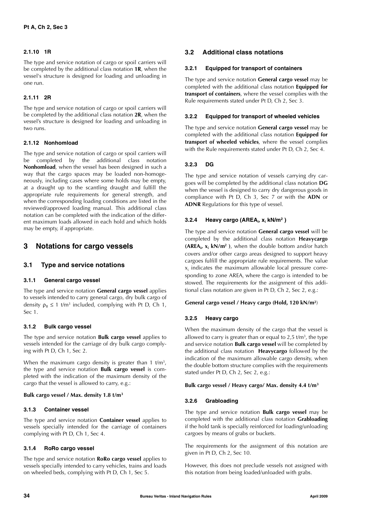### **2.1.10 1R**

The type and service notation of cargo or spoil carriers will be completed by the additional class notation **1R**, when the vessel's structure is designed for loading and unloading in one run.

### **2.1.11 2R**

The type and service notation of cargo or spoil carriers will be completed by the additional class notation **2R**, when the vessel's structure is designed for loading and unloading in two runs.

### **2.1.12 Nonhomload**

The type and service notation of cargo or spoil carriers will be completed by the additional class notation **Nonhomload**, when the vessel has been designed in such a way that the cargo spaces may be loaded non-homogeneously, including cases where some holds may be empty, at a draught up to the scantling draught and fulfill the appropriate rule requirements for general strength, and when the corresponding loading conditions are listed in the reviewed/approved loading manual. This additional class notation can be completed with the indication of the different maximum loads allowed in each hold and which holds may be empty, if appropriate.

### **3 Notations for cargo vessels**

### **3.1 Type and service notations**

### **3.1.1 General cargo vessel**

The type and service notation **General cargo vessel** applies to vessels intended to carry general cargo, dry bulk cargo of density  $\rho_B \le 1$  t/m<sup>3</sup> included, complying with Pt D, Ch 1, Sec 1.

### **3.1.2 Bulk cargo vessel**

The type and service notation **Bulk cargo vessel** applies to vessels intended for the carriage of dry bulk cargo complying with Pt D, Ch 1, Sec 2.

When the maximum cargo density is greater than 1  $t/m<sup>3</sup>$ , the type and service notation **Bulk cargo vessel** is completed with the indication of the maximum density of the cargo that the vessel is allowed to carry, e.g.:

#### **Bulk cargo vessel / Max. density 1.8 t/m3**

### **3.1.3 Container vessel**

The type and service notation **Container vessel** applies to vessels specially intended for the carriage of containers complying with Pt D, Ch 1, Sec 4.

### **3.1.4 RoRo cargo vessel**

The type and service notation **RoRo cargo vessel** applies to vessels specially intended to carry vehicles, trains and loads on wheeled beds, complying with Pt D, Ch 1, Sec 5.

### **3.2 Additional class notations**

#### **3.2.1 Equipped for transport of containers**

The type and service notation **General cargo vessel** may be completed with the additional class notation **Equipped for transport of containers**, where the vessel complies with the Rule requirements stated under Pt D, Ch 2, Sec 3.

### **3.2.2 Equipped for transport of wheeled vehicles**

The type and service notation **General cargo vessel** may be completed with the additional class notation **Equipped for transport of wheeled vehicles**, where the vessel complies with the Rule requirements stated under Pt D, Ch 2, Sec 4.

#### **3.2.3 DG**

The type and service notation of vessels carrying dry cargoes will be completed by the additional class notation **DG** when the vessel is designed to carry dry dangerous goods in compliance with Pt D, Ch 3, Sec 7 or with the **ADN** or **ADNR** Regulations for this type of vessel.

### **3.2.4 Heavy cargo (AREAi , xi kN/m2 )**

The type and service notation **General cargo vessel** will be completed by the additional class notation **Heavycargo (AREAi, xi kN/m2 )**, when the double bottom and/or hatch covers and/or other cargo areas designed to support heavy cargoes fulfill the appropriate rule requirements. The value  $\mathsf{x}_{\mathsf{i}}$  indicates the maximum allowable local pressure corresponding to zone  $AREA_i$  where the cargo is intended to be stowed. The requirements for the assignment of this additional class notation are given in Pt D, Ch 2, Sec 2, e.g.:

### **General cargo vessel / Heavy cargo (Hold, 120 kN/m2**)

### **3.2.5 Heavy cargo**

When the maximum density of the cargo that the vessel is allowed to carry is greater than or equal to 2,5  $t/m<sup>3</sup>$ , the type and service notation **Bulk cargo vessel** will be completed by the additional class notation **Heavycargo** followed by the indication of the maximum allowable cargo density, when the double bottom structure complies with the requirements stated under Pt D, Ch 2, Sec 2, e.g.:

#### **Bulk cargo vessel / Heavy cargo/ Max. density 4.4 t/m3**

### **3.2.6 Grabloading**

The type and service notation **Bulk cargo vessel** may be completed with the additional class notation **Grabloading** if the hold tank is specially reinforced for loading/unloading cargoes by means of grabs or buckets.

The requirements for the assignment of this notation are given in Pt D, Ch 2, Sec 10.

However, this does not preclude vessels not assigned with this notation from being loaded/unloaded with grabs.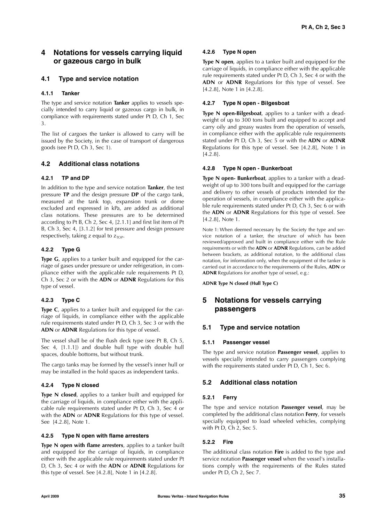### **4 Notations for vessels carrying liquid or gazeous cargo in bulk**

### **4.1 Type and service notation**

### **4.1.1 Tanker**

The type and service notation **Tanker** applies to vessels specially intended to carry liquid or gazeous cargo in bulk, in compliance with requirements stated under Pt D, Ch 1, Sec 3.

The list of cargoes the tanker is allowed to carry will be issued by the Society, in the case of transport of dangerous goods (see Pt D, Ch 3, Sec 1).

### **4.2 Additional class notations**

### **4.2.1 TP and DP**

In addition to the type and service notation **Tanker**, the test pressure **TP** and the design pressure **DP** of the cargo tank, measured at the tank top, expansion trunk or dome excluded and expressed in kPa, are added as additional class notations. These pressures are to be determined according to Pt B, Ch 2, Sec 4, [2.1.1] and first list item of Pt B, Ch 3, Sec 4, [3.1.2] for test pressure and design pressure respectively, taking z equal to  $z_{\text{TOP}}$ .

### **4.2.2 Type G**

**Type G**, applies to a tanker built and equipped for the carriage of gases under pressure or under refrigeration, in compliance either with the applicable rule requirements Pt D, Ch 3, Sec 2 or with the **ADN** or **ADNR** Regulations for this type of vessel.

### **4.2.3 Type C**

**Type C**, applies to a tanker built and equipped for the carriage of liquids, in compliance either with the applicable rule requirements stated under Pt D, Ch 3, Sec 3 or with the **ADN** or **ADNR** Regulations for this type of vessel.

The vessel shall be of the flush deck type (see Pt B, Ch 5, Sec 4, [1.1.1]) and double hull type with double hull spaces, double bottoms, but without trunk.

The cargo tanks may be formed by the vessel's inner hull or may be installed in the hold spaces as independent tanks.

### **4.2.4 Type N closed**

**Type N closed**, applies to a tanker built and equipped for the carriage of liquids, in compliance either with the applicable rule requirements stated under Pt D, Ch 3, Sec 4 or with the **ADN** or **ADNR** Regulations for this type of vessel. See [4.2.8], Note 1.

### **4.2.5 Type N open with flame arresters**

**Type N open with flame arresters**, applies to a tanker built and equipped for the carriage of liquids, in compliance either with the applicable rule requirements stated under Pt D, Ch 3, Sec 4 or with the **ADN** or **ADNR** Regulations for this type of vessel. See  $[4.2.8]$ , Note 1 in  $[4.2.8]$ .

### **4.2.6 Type N open**

**Type N open**, applies to a tanker built and equipped for the carriage of liquids, in compliance either with the applicable rule requirements stated under Pt D, Ch 3, Sec 4 or with the **ADN** or **ADNR** Regulations for this type of vessel. See [4.2.8], Note 1 in [4.2.8].

### **4.2.7 Type N open - Bilgesboat**

**Type N open-Bilgesboat**, applies to a tanker with a deadweight of up to 300 tons built and equipped to accept and carry oily and greasy wastes from the operation of vessels, in compliance either with the applicable rule requirements stated under Pt D, Ch 3, Sec 5 or with the **ADN** or **ADNR** Regulations for this type of vessel. See [4.2.8], Note 1 in [4.2.8].

### **4.2.8 Type N open - Bunkerboat**

**Type N open- Bunkerboat**, applies to a tanker with a deadweight of up to 300 tons built and equipped for the carriage and delivery to other vessels of products intended for the operation of vessels, in compliance either with the applicable rule requirements stated under Pt D, Ch 3, Sec 6 or with the **ADN** or **ADNR** Regulations for this type of vessel. See [4.2.8], Note 1.

Note 1: When deemed necessary by the Society the type and service notation of a tanker, the structure of which has been reviewed/approved and built in compliance either with the Rule requirements or with the **ADN** or **ADNR** Regulations, can be added between brackets, as additional notation, to the additional class notation, for information only, when the equipment of the tanker is carried out in accordance to the requirements of the Rules, **ADN** or **ADNR** Regulations for another type of vessel, e.g.:

**ADNR Type N closed (Hull Type C)**

### **5 Notations for vessels carrying passengers**

### **5.1 Type and service notation**

### **5.1.1 Passenger vessel**

The type and service notation **Passenger vessel**, applies to vessels specially intended to carry passengers complying with the requirements stated under Pt D, Ch 1, Sec 6.

### **5.2 Additional class notation**

### **5.2.1 Ferry**

The type and service notation **Passenger vessel**, may be completed by the additional class notation **Ferry**, for vessels specially equipped to load wheeled vehicles, complying with Pt D, Ch 2, Sec 5.

### **5.2.2 Fire**

The additional class notation **Fire** is added to the type and service notation **Passenger vessel** when the vessel's installations comply with the requirements of the Rules stated under Pt D, Ch 2, Sec 7.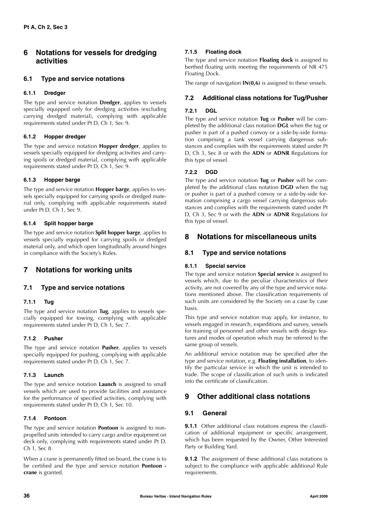### **6 Notations for vessels for dredging activities**

### **6.1 Type and service notations**

### **6.1.1 Dredger**

The type and service notation **Dredger**, applies to vessels specially equipped only for dredging activities (excluding carrying dredged material), complying with applicable requirements stated under Pt D, Ch 1, Sec 9.

### **6.1.2 Hopper dredger**

The type and service notation **Hopper dredger**, applies to vessels specially equipped for dredging activities and carrying spoils or dredged material, complying with applicable requirements stated under Pt D, Ch 1, Sec 9.

### **6.1.3 Hopper barge**

The type and service notation **Hopper barge**, applies to vessels specially equipped for carrying spoils or dredged material only, complying with applicable requirements stated under Pt D, Ch 1, Sec 9.

### **6.1.4 Split hopper barge**

The type and service notation **Split hopper barge**, applies to vessels specially equipped for carrying spoils or dredged material only, and which open longitudinally around hinges in compliance with the Society's Rules.

### **7 Notations for working units**

### **7.1 Type and service notations**

### **7.1.1 Tug**

The type and service notation **Tug**, applies to vessels specially equipped for towing, complying with applicable requirements stated under Pt D, Ch 1, Sec 7.

### **7.1.2 Pusher**

The type and service notation **Pusher**, applies to vessels specially equipped for pushing, complying with applicable requirements stated under Pt D, Ch 1, Sec 7.

### **7.1.3 Launch**

The type and service notation **Launch** is assigned to small vessels which are used to provide facilities and assistance for the performance of specified activities, complying with requirements stated under Pt D, Ch 1, Sec 10.

### **7.1.4 Pontoon**

The type and service notation **Pontoon** is assigned to nonpropelled units intended to carry cargo and/or equipment on deck only, complying with requirements stated under Pt D, Ch 1, Sec 8.

When a crane is permanently fitted on board, the crane is to be certified and the type and service notation **Pontoon crane** is granted.

### **7.1.5 Floating dock**

The type and service notation **Floating dock** is assigned to berthed floating units meeting the requirements of NR 475 Floating Dock.

The range of navigation **IN(0,6)** is assigned to these vessels.

### **7.2 Additional class notations for Tug/Pusher**

### **7.2.1 DGL**

The type and service notation **Tug** or **Pusher** will be completed by the additional class notation **DGL** when the tug or pusher is part of a pushed convoy or a side-by-side formation comprising a tank vessel carrying dangerous substances and complies with the requirements stated under Pt D, Ch 3, Sec 8 or with the **ADN** or **ADNR** Regulations for this type of vessel.

### **7.2.2 DGD**

The type and service notation **Tug** or **Pusher** will be completed by the additional class notation **DGD** when the tug or pusher is part of a pushed convoy or a side-by-side formation comprising a cargo vessel carrying dangerous substances and complies with the requirements stated under Pt D, Ch 3, Sec 9 or with the **ADN** or **ADNR** Regulations for this type of vessel.

### **8 Notations for miscellaneous units**

### **8.1 Type and service notations**

### **8.1.1 Special service**

The type and service notation **Special service** is assigned to vessels which, due to the peculiar characteristics of their activity, are not covered by any of the type and service notations mentioned above. The classification requirements of such units are considered by the Society on a case by case basis.

This type and service notation may apply, for instance, to vessels engaged in research, expeditions and survey, vessels for training of personnel and other vessels with design features and modes of operation which may be referred to the same group of vessels.

An additional service notation may be specified after the type and service notation, e.g. **Floating installation**, to identify the particular service in which the unit is intended to trade. The scope of classification of such units is indicated into the certificate of classification.

### **9 Other additional class notations**

### **9.1 General**

**9.1.1** Other additional class notations express the classification of additional equipment or specific arrangement, which has been requested by the Owner, Other Interested Party or Building Yard.

**9.1.2** The assignment of these additional class notations is subject to the compliance with applicable additional Rule requirements.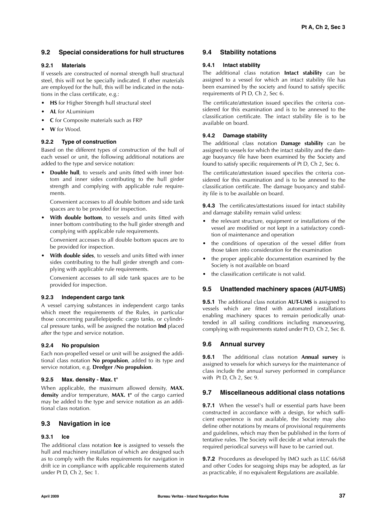### **9.2 Special considerations for hull structures**

### **9.2.1 Materials**

If vessels are constructed of normal strength hull structural steel, this will not be specially indicated. If other materials are employed for the hull, this will be indicated in the notations in the class certificate, e.g.:

- **HS** for Higher Strength hull structural steel
- **AL** for ALuminium
- **C** for Composite materials such as FRP
- **W** for Wood.

### **9.2.2 Type of construction**

Based on the different types of construction of the hull of each vessel or unit, the following additional notations are added to the type and service notation:

• **Double hull**, to vessels and units fitted with inner bottom and inner sides contributing to the hull girder strength and complying with applicable rule requirements.

Convenient accesses to all double bottom and side tank spaces are to be provided for inspection.

• **With double bottom**, to vessels and units fitted with inner bottom contributing to the hull girder strength and complying with applicable rule requirements.

Convenient accesses to all double bottom spaces are to be provided for inspection.

• **With double sides**, to vessels and units fitted with inner sides contributing to the hull girder strength and complying with applicable rule requirements.

Convenient accesses to all side tank spaces are to be provided for inspection.

### **9.2.3 Independent cargo tank**

A vessel carrying substances in independent cargo tanks which meet the requirements of the Rules, in particular those concerning parallelepipedic cargo tanks, or cylindrical pressure tanks, will be assigned the notation **Ind** placed after the type and service notation.

### **9.2.4 No propulsion**

Each non-propelled vessel or unit will be assigned the additional class notation **No propulsion**, added to its type and service notation, e.g. **Dredger /No propulsion**.

### **9.2.5 Max. density - Max. t°**

When applicable, the maximum allowed density, **MAX. density** and/or temperature, **MAX. t°** of the cargo carried may be added to the type and service notation as an additional class notation.

### **9.3 Navigation in ice**

### **9.3.1 Ice**

The additional class notation **Ice** is assigned to vessels the hull and machinery installation of which are designed such as to comply with the Rules requirements for navigation in drift ice in compliance with applicable requirements stated under Pt D, Ch 2, Sec 1.

### **9.4 Stability notations**

### **9.4.1 Intact stability**

The additional class notation **Intact stability** can be assigned to a vessel for which an intact stability file has been examined by the society and found to satisfy specific requirements of Pt D, Ch 2, Sec 6.

The certificate/attestation issued specifies the criteria considered for this examination and is to be annexed to the classification certificate. The intact stability file is to be available on board.

### **9.4.2 Damage stability**

The additional class notation **Damage stability** can be assigned to vessels for which the intact stability and the damage buoyancy file have been examined by the Society and found to satisfy specific requirements of Pt D, Ch 2, Sec 6.

The certificate/attestation issued specifies the criteria considered for this examination and is to be annexed to the classification certificate. The damage buoyancy and stability file is to be available on board.

**9.4.3** The certificates/attestations issued for intact stability and damage stability remain valid unless:

- the relevant structure, equipment or installations of the vessel are modified or not kept in a satisfactory condition of maintenance and operation
- the conditions of operation of the vessel differ from those taken into consideration for the examination
- the proper applicable documentation examined by the Society is not available on board
- the classification certificate is not valid.

### **9.5 Unattended machinery spaces (AUT-UMS)**

**9.5.1** The additional class notation **AUT-UMS** is assigned to vessels which are fitted with automated installations enabling machinery spaces to remain periodically unattended in all sailing conditions including manoeuvring, complying with requirements stated under Pt D, Ch 2, Sec 8.

### **9.6 Annual survey**

**9.6.1** The additional class notation **Annual survey** is assigned to vessels for which surveys for the maintenance of class include the annual survey performed in compliance with Pt D, Ch 2, Sec 9.

### **9.7 Miscellaneous additional class notations**

**9.7.1** When the vessel's hull or essential parts have been constructed in accordance with a design, for which sufficient experience is not available, the Society may also define other notations by means of provisional requirements and guidelines, which may then be published in the form of tentative rules. The Society will decide at what intervals the required periodical surveys will have to be carried out.

**9.7.2** Procedures as developed by IMO such as LLC 66/68 and other Codes for seagoing ships may be adopted, as far as practicable, if no equivalent Regulations are available.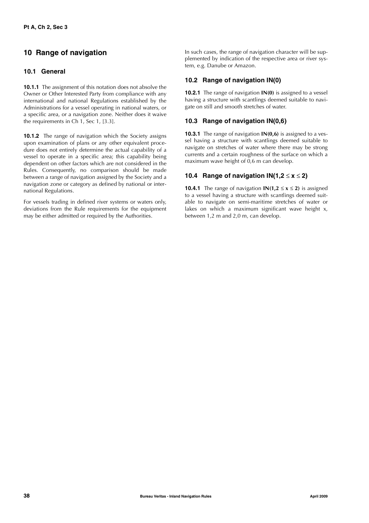### **10 Range of navigation**

### **10.1 General**

**10.1.1** The assignment of this notation does not absolve the Owner or Other Interested Party from compliance with any international and national Regulations established by the Administrations for a vessel operating in national waters, or a specific area, or a navigation zone. Neither does it waive the requirements in Ch 1, Sec 1, [3.3].

**10.1.2** The range of navigation which the Society assigns upon examination of plans or any other equivalent procedure does not entirely determine the actual capability of a vessel to operate in a specific area; this capability being dependent on other factors which are not considered in the Rules. Consequently, no comparison should be made between a range of navigation assigned by the Society and a navigation zone or category as defined by national or international Regulations.

For vessels trading in defined river systems or waters only, deviations from the Rule requirements for the equipment may be either admitted or required by the Authorities.

In such cases, the range of navigation character will be supplemented by indication of the respective area or river system, e.g. Danube or Amazon.

### **10.2 Range of navigation IN(0)**

**10.2.1** The range of navigation **IN(0)** is assigned to a vessel having a structure with scantlings deemed suitable to navigate on still and smooth stretches of water.

### **10.3 Range of navigation IN(0,6)**

**10.3.1** The range of navigation **IN(0,6)** is assigned to a vessel having a structure with scantlings deemed suitable to navigate on stretches of water where there may be strong currents and a certain roughness of the surface on which a maximum wave height of  $0.6$  m can develop.

### **10.4 Range of navigation**  $IN(1,2 \leq x \leq 2)$

**10.4.1** The range of navigation **IN(1.2**  $\leq$  **x**  $\leq$  **2)** is assigned to a vessel having a structure with scantlings deemed suitable to navigate on semi-maritime stretches of water or lakes on which a maximum significant wave height x, between 1,2 m and 2,0 m, can develop.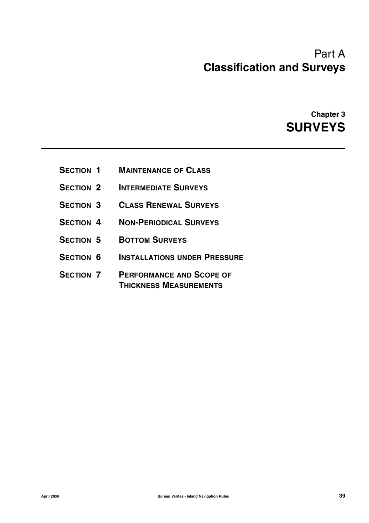# Part A **Classification and Surveys**

**Chapter 3 SURVEYS**

- **SECTION 1 MAINTENANCE OF CLASS**
- **SECTION 2 INTERMEDIATE SURVEYS**
- **SECTION 3 CLASS RENEWAL SURVEYS**
- **SECTION 4 NON-PERIODICAL SURVEYS**
- **SECTION 5 BOTTOM SURVEYS**
- **SECTION 6 INSTALLATIONS UNDER PRESSURE**
- **SECTION 7 PERFORMANCE AND SCOPE OF THICKNESS MEASUREMENTS**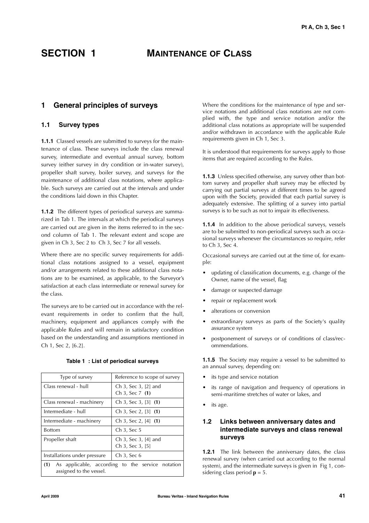### **SECTION 1 MAINTENANCE OF CLASS**

### **1 General principles of surveys**

### **1.1 Survey types**

**1.1.1** Classed vessels are submitted to surveys for the maintenance of class. These surveys include the class renewal survey, intermediate and eventual annual survey, bottom survey (either survey in dry condition or in-water survey), propeller shaft survey, boiler survey, and surveys for the maintenance of additional class notations, where applicable. Such surveys are carried out at the intervals and under the conditions laid down in this Chapter.

**1.1.2** The different types of periodical surveys are summarized in Tab 1. The intervals at which the periodical surveys are carried out are given in the items referred to in the second column of Tab 1. The relevant extent and scope are given in Ch 3, Sec 2 to Ch 3, Sec 7 for all vessels.

Where there are no specific survey requirements for additional class notations assigned to a vessel, equipment and/or arrangements related to these additional class notations are to be examined, as applicable, to the Surveyor's satisfaction at each class intermediate or renewal survey for the class.

The surveys are to be carried out in accordance with the relevant requirements in order to confirm that the hull, machinery, equipment and appliances comply with the applicable Rules and will remain in satisfactory condition based on the understanding and assumptions mentioned in Ch 1, Sec 2, [6.2].

| Type of survey                                                                  | Reference to scope of survey             |  |  |
|---------------------------------------------------------------------------------|------------------------------------------|--|--|
| Class renewal - hull                                                            | Ch 3, Sec 3, [2] and<br>Ch 3, Sec $7(1)$ |  |  |
| Class renewal - machinery                                                       | Ch 3, Sec 3, [3] $(1)$                   |  |  |
| Intermediate - hull                                                             | Ch 3, Sec 2, $[3]$ (1)                   |  |  |
| Intermediate - machinery                                                        | Ch 3, Sec 2, $[4]$ (1)                   |  |  |
| <b>Bottom</b>                                                                   | Ch 3, Sec 5                              |  |  |
| Propeller shaft                                                                 | Ch 3, Sec 3, [4] and<br>Ch 3, Sec 3, [5] |  |  |
| Installations under pressure                                                    | Ch 3, Sec 6                              |  |  |
| (1) As applicable, according to the service notation<br>assigned to the vessel. |                                          |  |  |

**Table 1 : List of periodical surveys**

Where the conditions for the maintenance of type and service notations and additional class notations are not complied with, the type and service notation and/or the additional class notations as appropriate will be suspended and/or withdrawn in accordance with the applicable Rule requirements given in Ch 1, Sec 3.

It is understood that requirements for surveys apply to those items that are required according to the Rules.

**1.1.3** Unless specified otherwise, any survey other than bottom survey and propeller shaft survey may be effected by carrying out partial surveys at different times to be agreed upon with the Society, provided that each partial survey is adequately extensive. The splitting of a survey into partial surveys is to be such as not to impair its effectiveness.

**1.1.4** In addition to the above periodical surveys, vessels are to be submitted to non-periodical surveys such as occasional surveys whenever the circumstances so require, refer to Ch 3, Sec 4.

Occasional surveys are carried out at the time of, for example:

- updating of classification documents, e.g. change of the Owner, name of the vessel, flag
- damage or suspected damage
- repair or replacement work
- alterations or conversion
- extraordinary surveys as parts of the Society's quality assurance system
- postponement of surveys or of conditions of class/recommendations.

**1.1.5** The Society may require a vessel to be submitted to an annual survey, depending on:

- its type and service notation
- its range of navigation and frequency of operations in semi-maritime stretches of water or lakes, and
- its age.

### **1.2 Links between anniversary dates and intermediate surveys and class renewal surveys**

**1.2.1** The link between the anniversary dates, the class renewal survey (when carried out according to the normal system), and the intermediate surveys is given in Fig 1, considering class period **p** = 5.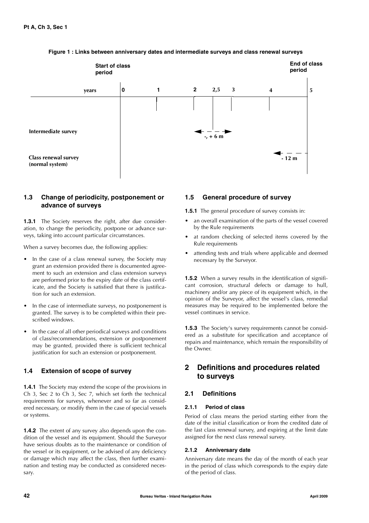

### **Figure 1 : Links between anniversary dates and intermediate surveys and class renewal surveys**

### **1.3 Change of periodicity, postponement or advance of surveys**

**1.3.1** The Society reserves the right, after due consideration, to change the periodicity, postpone or advance surveys, taking into account particular circumstances.

When a survey becomes due, the following applies:

- In the case of a class renewal survey, the Society may grant an extension provided there is documented agreement to such an extension and class extension surveys are performed prior to the expiry date of the class certificate, and the Society is satisfied that there is justification for such an extension.
- In the case of intermediate surveys, no postponement is granted. The survey is to be completed within their prescribed windows.
- In the case of all other periodical surveys and conditions of class/recommendations, extension or postponement may be granted, provided there is sufficient technical justification for such an extension or postponement.

### **1.4 Extension of scope of survey**

**1.4.1** The Society may extend the scope of the provisions in Ch 3, Sec 2 to Ch 3, Sec 7, which set forth the technical requirements for surveys, whenever and so far as considered necessary, or modify them in the case of special vessels or systems.

**1.4.2** The extent of any survey also depends upon the condition of the vessel and its equipment. Should the Surveyor have serious doubts as to the maintenance or condition of the vessel or its equipment, or be advised of any deficiency or damage which may affect the class, then further examination and testing may be conducted as considered necessary.

### **1.5 General procedure of survey**

**1.5.1** The general procedure of survey consists in:

- an overall examination of the parts of the vessel covered by the Rule requirements
- at random checking of selected items covered by the Rule requirements
- attending tests and trials where applicable and deemed necessary by the Surveyor.

**1.5.2** When a survey results in the identification of significant corrosion, structural defects or damage to hull, machinery and/or any piece of its equipment which, in the opinion of the Surveyor, affect the vessel's class, remedial measures may be required to be implemented before the vessel continues in service.

**1.5.3** The Society's survey requirements cannot be considered as a substitute for specification and acceptance of repairs and maintenance, which remain the responsibility of the Owner.

### **2 Definitions and procedures related to surveys**

### **2.1 Definitions**

### **2.1.1 Period of class**

Period of class means the period starting either from the date of the initial classification or from the credited date of the last class renewal survey, and expiring at the limit date assigned for the next class renewal survey.

### **2.1.2 Anniversary date**

Anniversary date means the day of the month of each year in the period of class which corresponds to the expiry date of the period of class.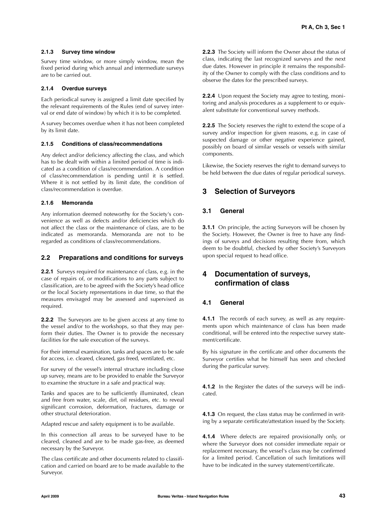### **2.1.3 Survey time window**

Survey time window, or more simply window, mean the fixed period during which annual and intermediate surveys are to be carried out.

### **2.1.4 Overdue surveys**

Each periodical survey is assigned a limit date specified by the relevant requirements of the Rules (end of survey interval or end date of window) by which it is to be completed.

A survey becomes overdue when it has not been completed by its limit date.

### **2.1.5 Conditions of class/recommendations**

Any defect and/or deficiency affecting the class, and which has to be dealt with within a limited period of time is indicated as a condition of class/recommendation. A condition of class/recommendation is pending until it is settled. Where it is not settled by its limit date, the condition of class/recommendation is overdue.

### **2.1.6 Memoranda**

Any information deemed noteworthy for the Society's convenience as well as defects and/or deficiencies which do not affect the class or the maintenance of class, are to be indicated as memoranda. Memoranda are not to be regarded as conditions of class/recommendations.

### **2.2 Preparations and conditions for surveys**

**2.2.1** Surveys required for maintenance of class, e.g. in the case of repairs of, or modifications to any parts subject to classification, are to be agreed with the Society's head office or the local Society representations in due time, so that the measures envisaged may be assessed and supervised as required.

**2.2.2** The Surveyors are to be given access at any time to the vessel and/or to the workshops, so that they may perform their duties. The Owner is to provide the necessary facilities for the safe execution of the surveys.

For their internal examination, tanks and spaces are to be safe for access, i.e. cleared, cleaned, gas freed, ventilated, etc.

For survey of the vessel's internal structure including close up survey, means are to be provided to enable the Surveyor to examine the structure in a safe and practical way.

Tanks and spaces are to be sufficiently illuminated, clean and free from water, scale, dirt, oil residues, etc. to reveal significant corrosion, deformation, fractures, damage or other structural deterioration.

Adapted rescue and safety equipment is to be available.

In this connection all areas to be surveyed have to be cleared, cleaned and are to be made gas-free, as deemed necessary by the Surveyor.

The class certificate and other documents related to classification and carried on board are to be made available to the Surveyor.

**2.2.3** The Society will inform the Owner about the status of class, indicating the last recognized surveys and the next due dates. However in principle it remains the responsibility of the Owner to comply with the class conditions and to observe the dates for the prescribed surveys.

**2.2.4** Upon request the Society may agree to testing, monitoring and analysis procedures as a supplement to or equivalent substitute for conventional survey methods.

**2.2.5** The Society reserves the right to extend the scope of a survey and/or inspection for given reasons, e.g. in case of suspected damage or other negative experience gained, possibly on board of similar vessels or vessels with similar components.

Likewise, the Society reserves the right to demand surveys to be held between the due dates of regular periodical surveys.

### **3 Selection of Surveyors**

### **3.1 General**

**3.1.1** On principle, the acting Surveyors will be chosen by the Society. However, the Owner is free to have any findings of surveys and decisions resulting there from, which deem to be doubtful, checked by other Society's Surveyors upon special request to head office.

### **4 Documentation of surveys, confirmation of class**

### **4.1 General**

**4.1.1** The records of each survey, as well as any requirements upon which maintenance of class has been made conditional, will be entered into the respective survey statement/certificate.

By his signature in the certificate and other documents the Surveyor certifies what he himself has seen and checked during the particular survey.

**4.1.2** In the Register the dates of the surveys will be indicated.

**4.1.3** On request, the class status may be confirmed in writing by a separate certificate/attestation issued by the Society.

**4.1.4** Where defects are repaired provisionally only, or where the Surveyor does not consider immediate repair or replacement necessary, the vessel's class may be confirmed for a limited period. Cancellation of such limitations will have to be indicated in the survey statement/certificate.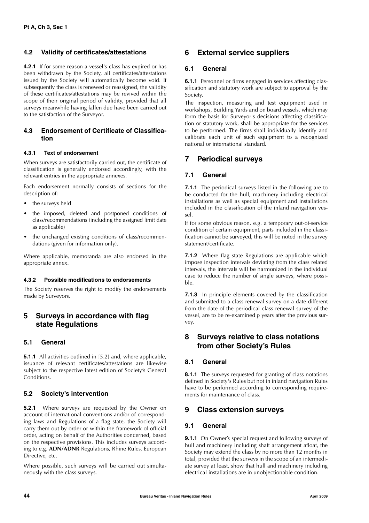### **4.2 Validity of certificates/attestations**

**4.2.1** If for some reason a vessel's class has expired or has been withdrawn by the Society, all certificates/attestations issued by the Society will automatically become void. If subsequently the class is renewed or reassigned, the validity of these certificates/attestations may be revived within the scope of their original period of validity, provided that all surveys meanwhile having fallen due have been carried out to the satisfaction of the Surveyor.

### **4.3 Endorsement of Certificate of Classification**

### **4.3.1 Text of endorsement**

When surveys are satisfactorily carried out, the certificate of classification is generally endorsed accordingly, with the relevant entries in the appropriate annexes.

Each endorsement normally consists of sections for the description of:

- the surveys held
- the imposed, deleted and postponed conditions of class/recommendations (including the assigned limit date as applicable)
- the unchanged existing conditions of class/recommendations (given for information only).

Where applicable, memoranda are also endorsed in the appropriate annex.

### **4.3.2 Possible modifications to endorsements**

The Society reserves the right to modify the endorsements made by Surveyors.

### **5 Surveys in accordance with flag state Regulations**

### **5.1 General**

**5.1.1** All activities outlined in [5.2] and, where applicable, issuance of relevant certificates/attestations are likewise subject to the respective latest edition of Society's General Conditions.

### **5.2 Society's intervention**

**5.2.1** Where surveys are requested by the Owner on account of international conventions and/or of corresponding laws and Regulations of a flag state, the Society will carry them out by order or within the framework of official order, acting on behalf of the Authorities concerned, based on the respective provisions. This includes surveys according to e.g. **ADN/ADNR** Regulations, Rhine Rules, European Directive, etc.

Where possible, such surveys will be carried out simultaneously with the class surveys.

### **6 External service suppliers**

### **6.1 General**

**6.1.1** Personnel or firms engaged in services affecting classification and statutory work are subject to approval by the Society.

The inspection, measuring and test equipment used in workshops, Building Yards and on board vessels, which may form the basis for Surveyor's decisions affecting classification or statutory work, shall be appropriate for the services to be performed. The firms shall individually identify and calibrate each unit of such equipment to a recognized national or international standard.

### **7 Periodical surveys**

### **7.1 General**

**7.1.1** The periodical surveys listed in the following are to be conducted for the hull, machinery including electrical installations as well as special equipment and installations included in the classification of the inland navigation vessel.

If for some obvious reason, e.g. a temporary out-of-service condition of certain equipment, parts included in the classification cannot be surveyed, this will be noted in the survey statement/certificate.

**7.1.2** Where flag state Regulations are applicable which impose inspection intervals deviating from the class related intervals, the intervals will be harmonized in the individual case to reduce the number of single surveys, where possible.

**7.1.3** In principle elements covered by the classification and submitted to a class renewal survey on a date different from the date of the periodical class renewal survey of the vessel, are to be re-examined p years after the previous survey.

### **8 Surveys relative to class notations from other Society's Rules**

### **8.1 General**

**8.1.1** The surveys requested for granting of class notations defined in Society's Rules but not in inland navigation Rules have to be performed according to corresponding requirements for maintenance of class.

### **9 Class extension surveys**

### **9.1 General**

**9.1.1** On Owner's special request and following surveys of hull and machinery including shaft arrangement afloat, the Society may extend the class by no more than 12 months in total, provided that the surveys in the scope of an intermediate survey at least, show that hull and machinery including electrical installations are in unobjectionable condition.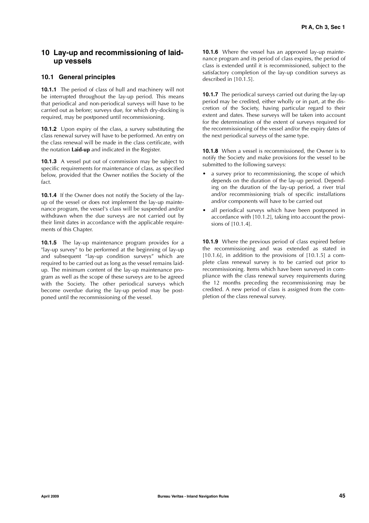### **10 Lay-up and recommissioning of laidup vessels**

### **10.1 General principles**

**10.1.1** The period of class of hull and machinery will not be interrupted throughout the lay-up period. This means that periodical and non-periodical surveys will have to be carried out as before; surveys due, for which dry-docking is required, may be postponed until recommissioning.

**10.1.2** Upon expiry of the class, a survey substituting the class renewal survey will have to be performed. An entry on the class renewal will be made in the class certificate, with the notation **Laid-up** and indicated in the Register.

**10.1.3** A vessel put out of commission may be subject to specific requirements for maintenance of class, as specified below, provided that the Owner notifies the Society of the fact.

**10.1.4** If the Owner does not notify the Society of the layup of the vessel or does not implement the lay-up maintenance program, the vessel's class will be suspended and/or withdrawn when the due surveys are not carried out by their limit dates in accordance with the applicable requirements of this Chapter.

**10.1.5** The lay-up maintenance program provides for a "lay-up survey" to be performed at the beginning of lay-up and subsequent "lay-up condition surveys" which are required to be carried out as long as the vessel remains laidup. The minimum content of the lay-up maintenance program as well as the scope of these surveys are to be agreed with the Society. The other periodical surveys which become overdue during the lay-up period may be postponed until the recommissioning of the vessel.

**10.1.6** Where the vessel has an approved lay-up maintenance program and its period of class expires, the period of class is extended until it is recommissioned, subject to the satisfactory completion of the lay-up condition surveys as described in [10.1.5].

**10.1.7** The periodical surveys carried out during the lay-up period may be credited, either wholly or in part, at the discretion of the Society, having particular regard to their extent and dates. These surveys will be taken into account for the determination of the extent of surveys required for the recommissioning of the vessel and/or the expiry dates of the next periodical surveys of the same type.

**10.1.8** When a vessel is recommissioned, the Owner is to notify the Society and make provisions for the vessel to be submitted to the following surveys:

- a survey prior to recommissioning, the scope of which depends on the duration of the lay-up period. Depending on the duration of the lay-up period, a river trial and/or recommissioning trials of specific installations and/or components will have to be carried out
- all periodical surveys which have been postponed in accordance with [10.1.2], taking into account the provisions of [10.1.4].

**10.1.9** Where the previous period of class expired before the recommissioning and was extended as stated in [10.1.6], in addition to the provisions of  $[10.1.5]$  a complete class renewal survey is to be carried out prior to recommissioning. Items which have been surveyed in compliance with the class renewal survey requirements during the 12 months preceding the recommissioning may be credited. A new period of class is assigned from the completion of the class renewal survey.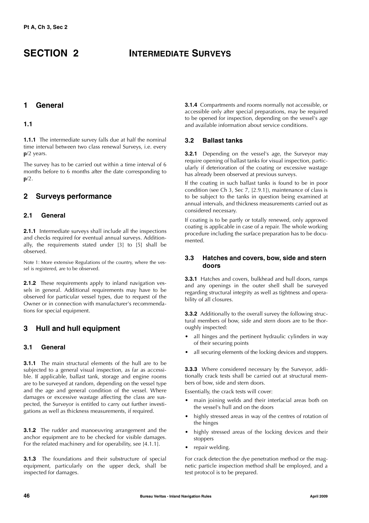### **SECTION 2 INTERMEDIATE SURVEYS**

### **1 General**

### **1.1**

**1.1.1** The intermediate survey falls due at half the nominal time interval between two class renewal Surveys, i.e. every **p**/2 years.

The survey has to be carried out within a time interval of 6 months before to 6 months after the date corresponding to **p**/2.

### **2 Surveys performance**

### **2.1 General**

**2.1.1** Intermediate surveys shall include all the inspections and checks required for eventual annual surveys. Additionally, the requirements stated under [3] to [5] shall be observed.

Note 1: More extensive Regulations of the country, where the vessel is registered, are to be observed.

**2.1.2** These requirements apply to inland navigation vessels in general. Additional requirements may have to be observed for particular vessel types, due to request of the Owner or in connection with manufacturer's recommendations for special equipment.

### **3 Hull and hull equipment**

### **3.1 General**

**3.1.1** The main structural elements of the hull are to be subjected to a general visual inspection, as far as accessible. If applicable, ballast tank, storage and engine rooms are to be surveyed at random, depending on the vessel type and the age and general condition of the vessel. Where damages or excessive wastage affecting the class are suspected, the Surveyor is entitled to carry out further investigations as well as thickness measurements, if required.

**3.1.2** The rudder and manoeuvring arrangement and the anchor equipment are to be checked for visible damages. For the related machinery and for operability, see [4.1.1].

**3.1.3** The foundations and their substructure of special equipment, particularly on the upper deck, shall be inspected for damages.

**3.1.4** Compartments and rooms normally not accessible, or accessible only after special preparations, may be required to be opened for inspection, depending on the vessel's age and available information about service conditions.

### **3.2 Ballast tanks**

**3.2.1** Depending on the vessel's age, the Surveyor may require opening of ballast tanks for visual inspection, particularly if deterioration of the coating or excessive wastage has already been observed at previous surveys.

If the coating in such ballast tanks is found to be in poor condition (see Ch 3, Sec 7, [2.9.1]), maintenance of class is to be subject to the tanks in question being examined at annual intervals, and thickness measurements carried out as considered necessary.

If coating is to be partly or totally renewed, only approved coating is applicable in case of a repair. The whole working procedure including the surface preparation has to be documented.

### **3.3 Hatches and covers, bow, side and stern doors**

**3.3.1** Hatches and covers, bulkhead and hull doors, ramps and any openings in the outer shell shall be surveyed regarding structural integrity as well as tightness and operability of all closures.

**3.3.2** Additionally to the overall survey the following structural members of bow, side and stern doors are to be thoroughly inspected:

- all hinges and the pertinent hydraulic cylinders in way of their securing points
- all securing elements of the locking devices and stoppers.

**3.3.3** Where considered necessary by the Surveyor, additionally crack tests shall be carried out at structural members of bow, side and stern doors.

Essentially, the crack tests will cover:

- main joining welds and their interfacial areas both on the vessel's hull and on the doors
- highly stressed areas in way of the centres of rotation of the hinges
- highly stressed areas of the locking devices and their stoppers
- repair welding.

For crack detection the dye penetration method or the magnetic particle inspection method shall be employed, and a test protocol is to be prepared.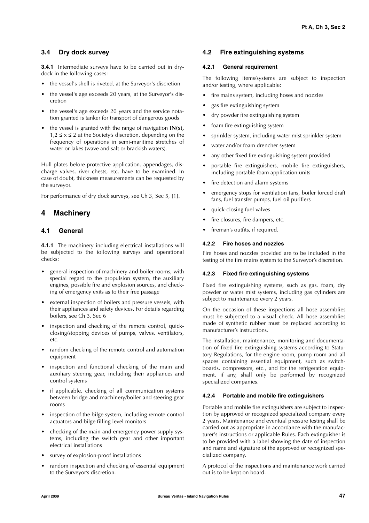### **3.4 Dry dock survey**

**3.4.1** Intermediate surveys have to be carried out in drydock in the following cases:

- the vessel's shell is riveted, at the Surveyor's discretion
- the vessel's age exceeds 20 years, at the Surveyor's discretion
- the vessel's age exceeds 20 years and the service notation granted is tanker for transport of dangerous goods
- the vessel is granted with the range of navigation **IN(x),**  $1,2 \le x \le 2$  at the Society's discretion, depending on the frequency of operations in semi-maritime stretches of water or lakes (wave and salt or brackish waters).

Hull plates before protective application, appendages, discharge valves, river chests, etc. have to be examined. In case of doubt, thickness measurements can be requested by the surveyor.

For performance of dry dock surveys, see Ch 3, Sec 5, [1].

### **4 Machinery**

### **4.1 General**

**4.1.1** The machinery including electrical installations will be subjected to the following surveys and operational checks:

- general inspection of machinery and boiler rooms, with special regard to the propulsion system, the auxiliary engines, possible fire and explosion sources, and checking of emergency exits as to their free passage
- external inspection of boilers and pressure vessels, with their appliances and safety devices. For details regarding boilers, see Ch 3, Sec 6
- inspection and checking of the remote control, quickclosing/stopping devices of pumps, valves, ventilators, etc.
- random checking of the remote control and automation equipment
- inspection and functional checking of the main and auxiliary steering gear, including their appliances and control systems
- if applicable, checking of all communication systems between bridge and machinery/boiler and steering gear rooms
- inspection of the bilge system, including remote control actuators and bilge filling level monitors
- checking of the main and emergency power supply systems, including the switch gear and other important electrical installations
- survey of explosion-proof installations
- random inspection and checking of essential equipment to the Surveyor's discretion.

### **4.2 Fire extinguishing systems**

### **4.2.1 General requirement**

The following items/systems are subject to inspection and/or testing, where applicable:

- fire mains system, including hoses and nozzles
- gas fire extinguishing system
- dry powder fire extinguishing system
- foam fire extinguishing system
- sprinkler system, including water mist sprinkler system
- water and/or foam drencher system
- any other fixed fire extinguishing system provided
- portable fire extinguishers, mobile fire extinguishers, including portable foam application units
- fire detection and alarm systems
- emergency stops for ventilation fans, boiler forced draft fans, fuel transfer pumps, fuel oil purifiers
- quick-closing fuel valves
- fire closures, fire dampers, etc.
- fireman's outfits, if required.

### **4.2.2 Fire hoses and nozzles**

Fire hoses and nozzles provided are to be included in the testing of the fire mains system to the Surveyor's discretion.

### **4.2.3 Fixed fire extinguishing systems**

Fixed fire extinguishing systems, such as gas, foam, dry powder or water mist systems, including gas cylinders are subject to maintenance every 2 years.

On the occasion of these inspections all hose assemblies must be subjected to a visual check. All hose assemblies made of synthetic rubber must be replaced according to manufacturer's instructions.

The installation, maintenance, monitoring and documentation of fixed fire extinguishing systems according to Statutory Regulations, for the engine room, pump room and all spaces containing essential equipment, such as switchboards, compressors, etc., and for the refrigeration equipment, if any, shall only be performed by recognized specialized companies.

### **4.2.4 Portable and mobile fire extinguishers**

Portable and mobile fire extinguishers are subject to inspection by approved or recognized specialized company every 2 years. Maintenance and eventual pressure testing shall be carried out as appropriate in accordance with the manufacturer's instructions or applicable Rules. Each extinguisher is to be provided with a label showing the date of inspection and name and signature of the approved or recognized specialized company.

A protocol of the inspections and maintenance work carried out is to be kept on board.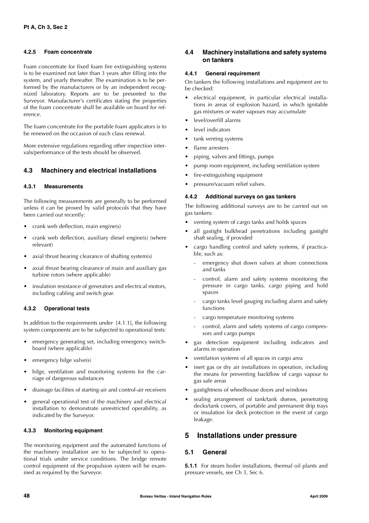### **4.2.5 Foam concentrate**

Foam concentrate for fixed foam fire extinguishing systems is to be examined not later than 3 years after filling into the system, and yearly thereafter. The examination is to be performed by the manufacturers or by an independent recognized laboratory. Reports are to be presented to the Surveyor. Manufacturer's certificates stating the properties of the foam concentrate shall be available on board for reference.

The foam concentrate for the portable foam applicators is to be renewed on the occasion of each class renewal.

More extensive regulations regarding other inspection intervals/performance of the tests should be observed.

### **4.3 Machinery and electrical installations**

### **4.3.1 Measurements**

The following measurements are generally to be performed unless it can be proved by valid protocols that they have been carried out recently:

- crank web deflection, main engine(s)
- crank web deflection, auxiliary diesel engine(s) (where relevant)
- axial thrust bearing clearance of shafting system(s)
- axial thrust bearing clearance of main and auxiliary gas turbine rotors (where applicable)
- insulation resistance of generators and electrical motors, including cabling and switch gear.

### **4.3.2 Operational tests**

In addition to the requirements under [4.1.1], the following system components are to be subjected to operational tests:

- emergency generating set, including emergency switchboard (where applicable)
- emergency bilge valve(s)
- bilge, ventilation and monitoring systems for the carriage of dangerous substances
- drainage facilities of starting-air and control-air receivers
- general operational test of the machinery and electrical installation to demonstrate unrestricted operability, as indicated by the Surveyor.

### **4.3.3 Monitoring equipment**

The monitoring equipment and the automated functions of the machinery installation are to be subjected to operational trials under service conditions. The bridge remote control equipment of the propulsion system will be examined as required by the Surveyor.

### **4.4 Machinery installations and safety systems on tankers**

### **4.4.1 General requirement**

On tankers the following installations and equipment are to be checked:

- electrical equipment, in particular electrical installations in areas of explosion hazard, in which ignitable gas mixtures or water vapours may accumulate
- level/overfill alarms
- level indicators
- tank venting systems
- flame arresters
- piping, valves and fittings, pumps
- pump room equipment, including ventilation system
- fire-extinguishing equipment
- pressure/vacuum relief valves.

### **4.4.2 Additional surveys on gas tankers**

The following additional surveys are to be carried out on gas tankers:

- venting system of cargo tanks and holds spaces
- all gastight bulkhead penetrations including gastight shaft sealing, if provided
- cargo handling control and safety systems, if practicable, such as:
	- emergency shut down valves at shore connections and tanks
	- control, alarm and safety systems monitoring the pressure in cargo tanks, cargo piping and hold spaces
	- cargo tanks level gauging including alarm and safety functions
	- cargo temperature monitoring systems
	- control, alarm and safety systems of cargo compressors and cargo pumps
- gas detection equipment including indicators and alarms in operation
- ventilation systems of all spaces in cargo area
- inert gas or dry air installations in operation, including the means for preventing backflow of cargo vapour to gas safe areas
- gastightness of wheelhouse doors and windows
- sealing arrangement of tank/tank domes, penetrating decks/tank covers, of portable and permanent drip trays or insulation for deck protection in the event of cargo leakage.

### **5 Installations under pressure**

### **5.1 General**

**5.1.1** For steam boiler installations, thermal oil plants and pressure vessels, see Ch 3, Sec 6.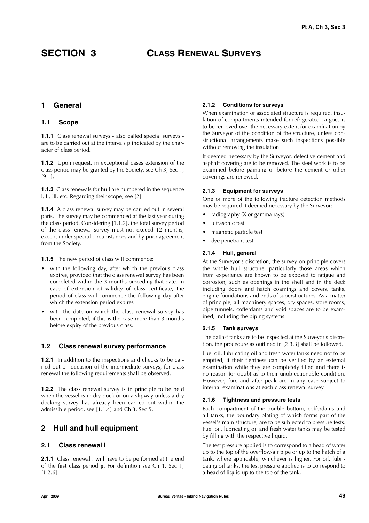### **SECTION 3 CLASS RENEWAL SURVEYS**

### **1 General**

### **1.1 Scope**

**1.1.1** Class renewal surveys - also called special surveys are to be carried out at the intervals p indicated by the character of class period.

**1.1.2** Upon request, in exceptional cases extension of the class period may be granted by the Society, see Ch 3, Sec 1, [9.1].

**1.1.3** Class renewals for hull are numbered in the sequence I, II, III, etc. Regarding their scope, see [2].

**1.1.4** A class renewal survey may be carried out in several parts. The survey may be commenced at the last year during the class period. Considering [1.1.2], the total survey period of the class renewal survey must not exceed 12 months, except under special circumstances and by prior agreement from the Society.

**1.1.5** The new period of class will commence:

- with the following day, after which the previous class expires, provided that the class renewal survey has been completed within the 3 months preceding that date. In case of extension of validity of class certificate, the period of class will commence the following day after which the extension period expires
- with the date on which the class renewal survey has been completed, if this is the case more than 3 months before expiry of the previous class.

### **1.2 Class renewal survey performance**

**1.2.1** In addition to the inspections and checks to be carried out on occasion of the intermediate surveys, for class renewal the following requirements shall be observed.

**1.2.2** The class renewal survey is in principle to be held when the vessel is in dry dock or on a slipway unless a dry docking survey has already been carried out within the admissible period, see [1.1.4] and Ch 3, Sec 5.

### **2 Hull and hull equipment**

### **2.1 Class renewal I**

**2.1.1** Class renewal I will have to be performed at the end of the first class period **p**. For definition see Ch 1, Sec 1,  $[1.2.6]$ .

### **2.1.2 Conditions for surveys**

When examination of associated structure is required, insulation of compartments intended for refrigerated cargoes is to be removed over the necessary extent for examination by the Surveyor of the condition of the structure, unless constructional arrangements make such inspections possible without removing the insulation.

If deemed necessary by the Surveyor, defective cement and asphalt covering are to be removed. The steel work is to be examined before painting or before the cement or other coverings are renewed.

### **2.1.3 Equipment for surveys**

One or more of the following fracture detection methods may be required if deemed necessary by the Surveyor:

- radiography (X or gamma rays)
- ultrasonic test
- magnetic particle test
- dye penetrant test.

#### **2.1.4 Hull, general**

At the Surveyor's discretion, the survey on principle covers the whole hull structure, particularly those areas which from experience are known to be exposed to fatigue and corrosion, such as openings in the shell and in the deck including doors and hatch coamings and covers, tanks, engine foundations and ends of superstructures. As a matter of principle, all machinery spaces, dry spaces, store rooms, pipe tunnels, cofferdams and void spaces are to be examined, including the piping systems.

### **2.1.5 Tank surveys**

The ballast tanks are to be inspected at the Surveyor's discretion, the procedure as outlined in [2.3.3] shall be followed.

Fuel oil, lubricating oil and fresh water tanks need not to be emptied, if their tightness can be verified by an external examination while they are completely filled and there is no reason for doubt as to their unobjectionable condition. However, fore and after peak are in any case subject to internal examinations at each class renewal survey.

### **2.1.6 Tightness and pressure tests**

Each compartment of the double bottom, cofferdams and all tanks, the boundary plating of which forms part of the vessel's main structure, are to be subjected to pressure tests. Fuel oil, lubricating oil and fresh water tanks may be tested by filling with the respective liquid.

The test pressure applied is to correspond to a head of water up to the top of the overflow/air pipe or up to the hatch of a tank, where applicable, whichever is higher. For oil, lubricating oil tanks, the test pressure applied is to correspond to a head of liquid up to the top of the tank.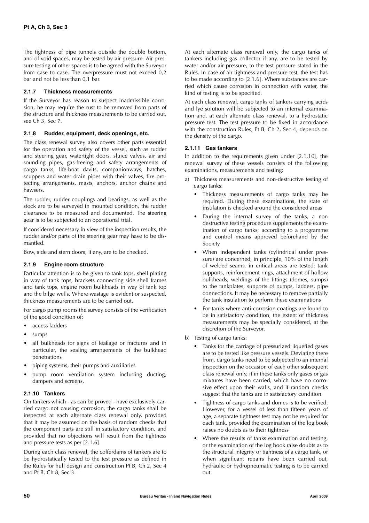The tightness of pipe tunnels outside the double bottom, and of void spaces, may be tested by air pressure. Air pressure testing of other spaces is to be agreed with the Surveyor from case to case. The overpressure must not exceed  $0.2$ bar and not be less than 0,1 bar.

### **2.1.7 Thickness measurements**

If the Surveyor has reason to suspect inadmissible corrosion, he may require the rust to be removed from parts of the structure and thickness measurements to be carried out, see Ch 3, Sec 7.

### **2.1.8 Rudder, equipment, deck openings, etc.**

The class renewal survey also covers other parts essential for the operation and safety of the vessel, such as rudder and steering gear, watertight doors, sluice valves, air and sounding pipes, gas-freeing and safety arrangements of cargo tanks, life-boat davits, companionways, hatches, scuppers and water drain pipes with their valves, fire protecting arrangements, masts, anchors, anchor chains and hawsers.

The rudder, rudder couplings and bearings, as well as the stock are to be surveyed in mounted condition, the rudder clearance to be measured and documented. The steering gear is to be subjected to an operational trial.

If considered necessary in view of the inspection results, the rudder and/or parts of the steering gear may have to be dismantled.

Bow, side and stern doors, if any, are to be checked.

### **2.1.9 Engine room structure**

Particular attention is to be given to tank tops, shell plating in way of tank tops, brackets connecting side shell frames and tank tops, engine room bulkheads in way of tank top and the bilge wells. Where wastage is evident or suspected, thickness measurements are to be carried out.

For cargo pump rooms the survey consists of the verification of the good condition of:

- access ladders
- sumps
- all bulkheads for signs of leakage or fractures and in particular, the sealing arrangements of the bulkhead penetrations
- piping systems, their pumps and auxiliaries
- pump room ventilation system including ducting, dampers and screens.

### **2.1.10 Tankers**

On tankers which - as can be proved - have exclusively carried cargo not causing corrosion, the cargo tanks shall be inspected at each alternate class renewal only, provided that it may be assumed on the basis of random checks that the component parts are still in satisfactory condition, and provided that no objections will result from the tightness and pressure tests as per [2.1.6].

During each class renewal, the cofferdams of tankers are to be hydrostatically tested to the test pressure as defined in the Rules for hull design and construction Pt B, Ch 2, Sec 4 and Pt B, Ch 8, Sec 3.

At each alternate class renewal only, the cargo tanks of tankers including gas collector if any, are to be tested by water and/or air pressure, to the test pressure stated in the Rules. In case of air tightness and pressure test, the test has to be made according to [2.1.6]. Where substances are carried which cause corrosion in connection with water, the kind of testing is to be specified.

At each class renewal, cargo tanks of tankers carrying acids and lye solution will be subjected to an internal examination and, at each alternate class renewal, to a hydrostatic pressure test. The test pressure to be fixed in accordance with the construction Rules, Pt B, Ch 2, Sec 4, depends on the density of the cargo.

### **2.1.11 Gas tankers**

In addition to the requirements given under [2.1.10], the renewal survey of these vessels consists of the following examinations, measurements and testing:

- Thickness measurements and non-destructive testing of cargo tanks:
	- Thickness measurements of cargo tanks may be required. During these examinations, the state of insulation is checked around the considered areas
	- During the internal survey of the tanks, a non destructive testing procedure supplements the examination of cargo tanks, according to a programme and control means approved beforehand by the Society
	- When independent tanks (cylindrical under pressure) are concerned, in principle, 10% of the length of welded seams, in critical areas are tested: tank supports, reinforcement rings, attachment of hollow bulkheads, weldings of the fittings (domes, sumps) to the tankplates, supports of pumps, ladders, pipe connections. It may be necessary to remove partially the tank insulation to perform these examinations
	- For tanks where anti-corrosion coatings are found to be in satisfactory condition, the extent of thickness measurements may be specially considered, at the discretion of the Surveyor.
- b) Testing of cargo tanks:
	- Tanks for the carriage of pressurized liquefied gases are to be tested like pressure vessels. Deviating there from, cargo tanks need to be subjected to an internal inspection on the occasion of each other subsequent class renewal only, if in these tanks only gases or gas mixtures have been carried, which have no corrosive effect upon their walls, and if random checks suggest that the tanks are in satisfactory condition
	- Tightness of cargo tanks and domes is to be verified. However, for a vessel of less than fifteen years of age, a separate tightness test may not be required for each tank, provided the examination of the log book raises no doubts as to their tightness
	- Where the results of tanks examination and testing, or the examination of the log book raise doubts as to the structural integrity or tightness of a cargo tank, or when significant repairs have been carried out, hydraulic or hydropneumatic testing is to be carried out.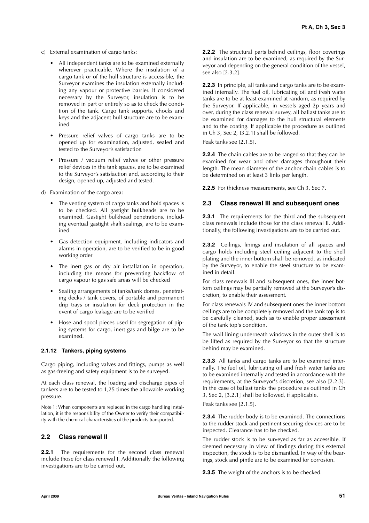- c) External examination of cargo tanks:
	- All independent tanks are to be examined externally wherever practicable. Where the insulation of a cargo tank or of the hull structure is accessible, the Surveyor examines the insulation externally including any vapour or protective barrier. If considered necessary by the Surveyor, insulation is to be removed in part or entirely so as to check the condition of the tank. Cargo tank supports, chocks and keys and the adjacent hull structure are to be examined
	- Pressure relief valves of cargo tanks are to be opened up for examination, adjusted, sealed and tested to the Surveyor's satisfaction
	- Pressure / vacuum relief valves or other pressure relief devices in the tank spaces, are to be examined to the Surveyor's satisfaction and, according to their design, opened up, adjusted and tested.
- d) Examination of the cargo area:
	- The venting system of cargo tanks and hold spaces is to be checked. All gastight bulkheads are to be examined. Gastight bulkhead penetrations, including eventual gastight shaft sealings, are to be examined
	- Gas detection equipment, including indicators and alarms in operation, are to be verified to be in good working order
	- The inert gas or dry air installation in operation, including the means for preventing backflow of cargo vapour to gas safe areas will be checked
	- Sealing arrangements of tanks/tank domes, penetrating decks / tank covers, of portable and permanent drip trays or insulation for deck protection in the event of cargo leakage are to be verified
	- Hose and spool pieces used for segregation of piping systems for cargo, inert gas and bilge are to be examined.

### **2.1.12 Tankers, piping systems**

Cargo piping, including valves and fittings, pumps as well as gas-freeing and safety equipment is to be surveyed.

At each class renewal, the loading and discharge pipes of tankers are to be tested to 1,25 times the allowable working pressure.

Note 1: When components are replaced in the cargo handling installation, it is the responsibility of the Owner to verify their compatibility with the chemical characteristics of the products transported.

### **2.2 Class renewal II**

2.2.1 The requirements for the second class renewal include those for class renewal I. Additionally the following investigations are to be carried out.

**2.2.2** The structural parts behind ceilings, floor coverings and insulation are to be examined, as required by the Surveyor and depending on the general condition of the vessel, see also [2.3.2].

**2.2.3** In principle, all tanks and cargo tanks are to be examined internally. The fuel oil, lubricating oil and fresh water tanks are to be at least examined at random, as required by the Surveyor. If applicable, in vessels aged 2p years and over, during the class renewal survey, all ballast tanks are to be examined for damages to the hull structural elements and to the coating. If applicable the procedure as outlined in Ch 3, Sec 2, [3.2.1] shall be followed.

Peak tanks see [2.1.5].

**2.2.4** The chain cables are to be ranged so that they can be examined for wear and other damages throughout their length. The mean diameter of the anchor chain cables is to be determined on at least 3 links per length.

**2.2.5** For thickness measurements, see Ch 3, Sec 7.

### **2.3 Class renewal III and subsequent ones**

**2.3.1** The requirements for the third and the subsequent class renewals include those for the class renewal II. Additionally, the following investigations are to be carried out.

**2.3.2** Ceilings, linings and insulation of all spaces and cargo holds including steel ceiling adjacent to the shell plating and the inner bottom shall be removed, as indicated by the Surveyor, to enable the steel structure to be examined in detail.

For class renewals III and subsequent ones, the inner bottom ceilings may be partially removed at the Surveyor's discretion, to enable their assessment.

For class renewals IV and subsequent ones the inner bottom ceilings are to be completely removed and the tank top is to be carefully cleaned, such as to enable proper assessment of the tank top's condition.

The wall lining underneath windows in the outer shell is to be lifted as required by the Surveyor so that the structure behind may be examined.

**2.3.3** All tanks and cargo tanks are to be examined internally. The fuel oil, lubricating oil and fresh water tanks are to be examined internally and tested in accordance with the requirements, at the Surveyor's discretion, see also [2.2.3]. In the case of ballast tanks the procedure as outlined in Ch 3, Sec 2, [3.2.1] shall be followed, if applicable.

Peak tanks see [2.1.5].

**2.3.4** The rudder body is to be examined. The connections to the rudder stock and pertinent securing devices are to be inspected. Clearance has to be checked.

The rudder stock is to be surveyed as far as accessible. If deemed necessary in view of findings during this external inspection, the stock is to be dismantled. In way of the bearings, stock and pintle are to be examined for corrosion.

**2.3.5** The weight of the anchors is to be checked.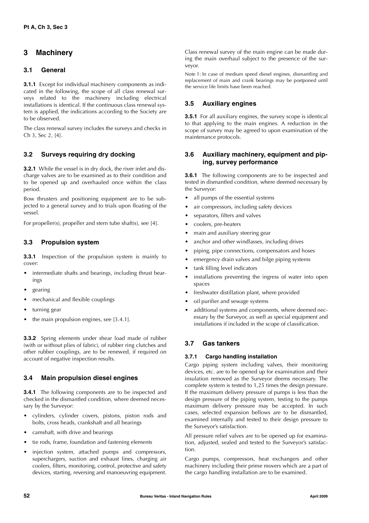### **3 Machinery**

### **3.1 General**

**3.1.1** Except for individual machinery components as indicated in the following, the scope of all class renewal surveys related to the machinery including electrical installations is identical. If the continuous class renewal system is applied, the indications according to the Society are to be observed.

The class renewal survey includes the surveys and checks in Ch 3, Sec 2, [4].

### **3.2 Surveys requiring dry docking**

**3.2.1** While the vessel is in dry dock, the river inlet and discharge valves are to be examined as to their condition and to be opened up and overhauled once within the class period.

Bow thrusters and positioning equipment are to be subjected to a general survey and to trials upon floating of the vessel.

For propeller(s), propeller and stern tube shaft(s), see [4].

### **3.3 Propulsion system**

**3.3.1** Inspection of the propulsion system is mainly to cover:

- intermediate shafts and bearings, including thrust bearings
- gearing
- mechanical and flexible couplings
- turning gear
- the main propulsion engines, see [3.4.1].

**3.3.2** Spring elements under shear load made of rubber (with or without plies of fabric), of rubber ring clutches and other rubber couplings, are to be renewed, if required on account of negative inspection results.

### **3.4 Main propulsion diesel engines**

**3.4.1** The following components are to be inspected and checked in the dismantled condition, where deemed necessary by the Surveyor:

- cylinders, cylinder covers, pistons, piston rods and bolts, cross heads, crankshaft and all bearings
- camshaft, with drive and bearings
- tie rods, frame, foundation and fastening elements
- injection system, attached pumps and compressors, superchargers, suction and exhaust lines, charging air coolers, filters, monitoring, control, protective and safety devices, starting, reversing and manoeuvring equipment.

Class renewal survey of the main engine can be made during the main overhaul subject to the presence of the surveyor.

Note 1: In case of medium speed diesel engines, dismantling and replacement of main and crank bearings may be postponed until the service life limits have been reached.

### **3.5 Auxiliary engines**

**3.5.1** For all auxiliary engines, the survey scope is identical to that applying to the main engines. A reduction in the scope of survey may be agreed to upon examination of the maintenance protocols.

### **3.6 Auxiliary machinery, equipment and piping, survey performance**

**3.6.1** The following components are to be inspected and tested in dismantled condition, where deemed necessary by the Surveyor:

- all pumps of the essential systems
- air compressors, including safety devices
- separators, filters and valves
- coolers, pre-heaters
- main and auxiliary steering gear
- anchor and other windlasses, including drives
- piping, pipe connections, compensators and hoses
- emergency drain valves and bilge piping systems
- tank filling level indicators
- installations preventing the ingress of water into open spaces
- freshwater distillation plant, where provided
- oil purifier and sewage systems
- additional systems and components, where deemed necessary by the Surveyor, as well as special equipment and installations if included in the scope of classification.

### **3.7 Gas tankers**

### **3.7.1 Cargo handling installation**

Cargo piping system including valves, their monitoring devices, etc. are to be opened up for examination and their insulation removed as the Surveyor deems necessary. The complete system is tested to 1,25 times the design pressure. If the maximum delivery pressure of pumps is less than the design pressure of the piping system, testing to the pumps maximum delivery pressure may be accepted. In such cases, selected expansion bellows are to be dismantled, examined internally and tested to their design pressure to the Surveyor's satisfaction.

All pressure relief valves are to be opened up for examination, adjusted, sealed and tested to the Surveyor's satisfaction.

Cargo pumps, compressors, heat exchangers and other machinery including their prime movers which are a part of the cargo handling installation are to be examined.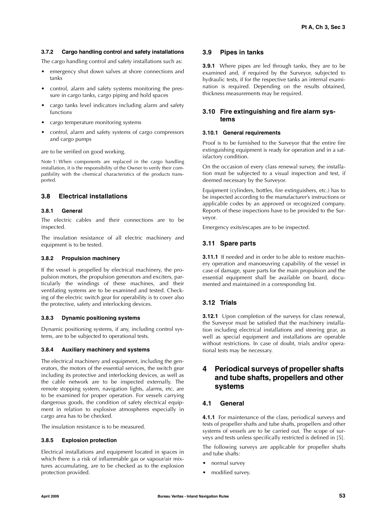### **3.7.2 Cargo handling control and safety installations**

The cargo handling control and safety installations such as:

- emergency shut down valves at shore connections and tanks
- control, alarm and safety systems monitoring the pressure in cargo tanks, cargo piping and hold spaces
- cargo tanks level indicators including alarm and safety functions
- cargo temperature monitoring systems
- control, alarm and safety systems of cargo compressors and cargo pumps

are to be verified on good working.

Note 1: When components are replaced in the cargo handling installation, it is the responsibility of the Owner to verify their compatibility with the chemical characteristics of the products transported.

### **3.8 Electrical installations**

#### **3.8.1 General**

The electric cables and their connections are to be inspected.

The insulation resistance of all electric machinery and equipment is to be tested.

### **3.8.2 Propulsion machinery**

If the vessel is propelled by electrical machinery, the propulsion motors, the propulsion generators and exciters, particularly the windings of these machines, and their ventilating systems are to be examined and tested. Checking of the electric switch gear for operability is to cover also the protective, safety and interlocking devices.

#### **3.8.3 Dynamic positioning systems**

Dynamic positioning systems, if any, including control systems, are to be subjected to operational tests.

### **3.8.4 Auxiliary machinery and systems**

The electrical machinery and equipment, including the generators, the motors of the essential services, the switch gear including its protective and interlocking devices, as well as the cable network are to be inspected externally. The remote stopping system, navigation lights, alarms, etc. are to be examined for proper operation. For vessels carrying dangerous goods, the condition of safety electrical equipment in relation to explosive atmospheres especially in cargo area has to be checked.

The insulation resistance is to be measured.

#### **3.8.5 Explosion protection**

Electrical installations and equipment located in spaces in which there is a risk of inflammable gas or vapour/air mixtures accumulating, are to be checked as to the explosion protection provided.

### **3.9 Pipes in tanks**

**3.9.1** Where pipes are led through tanks, they are to be examined and, if required by the Surveyor, subjected to hydraulic tests, if for the respective tanks an internal examination is required. Depending on the results obtained, thickness measurements may be required.

### **3.10 Fire extinguishing and fire alarm systems**

### **3.10.1 General requirements**

Proof is to be furnished to the Surveyor that the entire fire extinguishing equipment is ready for operation and in a satisfactory condition.

On the occasion of every class renewal survey, the installation must be subjected to a visual inspection and test, if deemed necessary by the Surveyor.

Equipment (cylinders, bottles, fire extinguishers, etc.) has to be inspected according to the manufacturer's instructions or applicable codes by an approved or recognized company. Reports of these inspections have to be provided to the Surveyor.

Emergency exits/escapes are to be inspected.

### **3.11 Spare parts**

**3.11.1** If needed and in order to be able to restore machinery operation and manoeuvring capability of the vessel in case of damage, spare parts for the main propulsion and the essential equipment shall be available on board, documented and maintained in a corresponding list.

### **3.12 Trials**

**3.12.1** Upon completion of the surveys for class renewal, the Surveyor must be satisfied that the machinery installation including electrical installations and steering gear, as well as special equipment and installations are operable without restrictions. In case of doubt, trials and/or operational tests may be necessary.

### **4 Periodical surveys of propeller shafts and tube shafts, propellers and other systems**

### **4.1 General**

**4.1.1** For maintenance of the class, periodical surveys and tests of propeller shafts and tube shafts, propellers and other systems of vessels are to be carried out. The scope of surveys and tests unless specifically restricted is defined in [5].

The following surveys are applicable for propeller shafts and tube shafts:

- normal survey
- modified survey.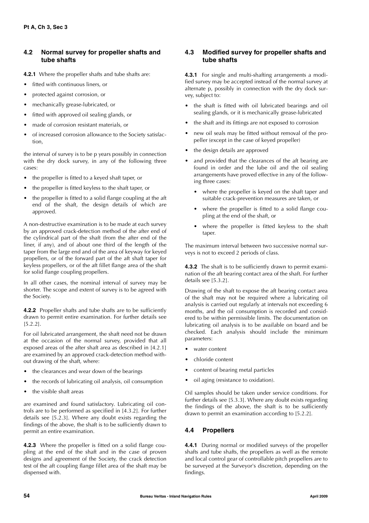### **4.2 Normal survey for propeller shafts and tube shafts**

- **4.2.1** Where the propeller shafts and tube shafts are:
- fitted with continuous liners, or
- protected against corrosion, or
- mechanically grease-lubricated, or
- fitted with approved oil sealing glands, or
- made of corrosion resistant materials, or
- of increased corrosion allowance to the Society satisfaction,

the interval of survey is to be p years possibly in connection with the dry dock survey, in any of the following three cases:

- the propeller is fitted to a keyed shaft taper, or
- the propeller is fitted keyless to the shaft taper, or
- the propeller is fitted to a solid flange coupling at the aft end of the shaft, the design details of which are approved.

A non-destructive examination is to be made at each survey by an approved crack-detection method of the after end of the cylindrical part of the shaft (from the after end of the liner, if any), and of about one third of the length of the taper from the large end and of the area of keyway for keyed propellers, or of the forward part of the aft shaft taper for keyless propellers, or of the aft fillet flange area of the shaft for solid flange coupling propellers.

In all other cases, the nominal interval of survey may be shorter. The scope and extent of survey is to be agreed with the Society.

**4.2.2** Propeller shafts and tube shafts are to be sufficiently drawn to permit entire examination. For further details see [5.2.2].

For oil lubricated arrangement, the shaft need not be drawn at the occasion of the normal survey, provided that all exposed areas of the after shaft area as described in [4.2.1] are examined by an approved crack-detection method without drawing of the shaft, where:

- the clearances and wear down of the bearings
- the records of lubricating oil analysis, oil consumption
- the visible shaft areas

are examined and found satisfactory. Lubricating oil controls are to be performed as specified in [4.3.2]. For further details see [5.2.3]. Where any doubt exists regarding the findings of the above, the shaft is to be sufficiently drawn to permit an entire examination.

**4.2.3** Where the propeller is fitted on a solid flange coupling at the end of the shaft and in the case of proven designs and agreement of the Society, the crack detection test of the aft coupling flange fillet area of the shaft may be dispensed with.

### **4.3 Modified survey for propeller shafts and tube shafts**

**4.3.1** For single and multi-shafting arrangements a modified survey may be accepted instead of the normal survey at alternate p, possibly in connection with the dry dock survey, subject to:

- the shaft is fitted with oil lubricated bearings and oil sealing glands, or it is mechanically grease-lubricated
- the shaft and its fittings are not exposed to corrosion
- new oil seals may be fitted without removal of the propeller (except in the case of keyed propeller)
- the design details are approved
- and provided that the clearances of the aft bearing are found in order and the lube oil and the oil sealing arrangements have proved effective in any of the following three cases:
	- where the propeller is keyed on the shaft taper and suitable crack-prevention measures are taken, or
	- where the propeller is fitted to a solid flange coupling at the end of the shaft, or
	- where the propeller is fitted keyless to the shaft taper.

The maximum interval between two successive normal surveys is not to exceed 2 periods of class.

**4.3.2** The shaft is to be sufficiently drawn to permit examination of the aft bearing contact area of the shaft. For further details see [5.3.2].

Drawing of the shaft to expose the aft bearing contact area of the shaft may not be required where a lubricating oil analysis is carried out regularly at intervals not exceeding 6 months, and the oil consumption is recorded and considered to be within permissible limits. The documentation on lubricating oil analysis is to be available on board and be checked. Each analysis should include the minimum parameters:

- water content
- chloride content
- content of bearing metal particles
- oil aging (resistance to oxidation).

Oil samples should be taken under service conditions. For further details see [5.3.3]. Where any doubt exists regarding the findings of the above, the shaft is to be sufficiently drawn to permit an examination according to [5.2.2].

### **4.4 Propellers**

**4.4.1** During normal or modified surveys of the propeller shafts and tube shafts, the propellers as well as the remote and local control gear of controllable pitch propellers are to be surveyed at the Surveyor's discretion, depending on the findings.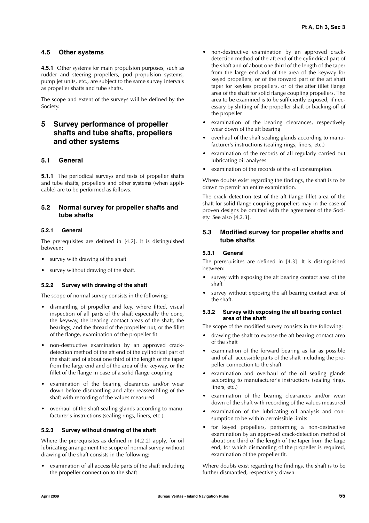### **4.5 Other systems**

**4.5.1** Other systems for main propulsion purposes, such as rudder and steering propellers, pod propulsion systems, pump jet units, etc., are subject to the same survey intervals as propeller shafts and tube shafts.

The scope and extent of the surveys will be defined by the Society.

### **5 Survey performance of propeller shafts and tube shafts, propellers and other systems**

### **5.1 General**

**5.1.1** The periodical surveys and tests of propeller shafts and tube shafts, propellers and other systems (when applicable) are to be performed as follows.

### **5.2 Normal survey for propeller shafts and tube shafts**

### **5.2.1 General**

The prerequisites are defined in [4.2]. It is distinguished between:

- survey with drawing of the shaft
- survey without drawing of the shaft.

### **5.2.2 Survey with drawing of the shaft**

The scope of normal survey consists in the following:

- dismantling of propeller and key, where fitted, visual inspection of all parts of the shaft especially the cone, the keyway, the bearing contact areas of the shaft, the bearings, and the thread of the propeller nut, or the fillet of the flange, examination of the propeller fit
- non-destructive examination by an approved crackdetection method of the aft end of the cylindrical part of the shaft and of about one third of the length of the taper from the large end and of the area of the keyway, or the fillet of the flange in case of a solid flange coupling
- examination of the bearing clearances and/or wear down before dismantling and after reassembling of the shaft with recording of the values measured
- overhaul of the shaft sealing glands according to manufacturer's instructions (sealing rings, liners, etc.).

### **5.2.3 Survey without drawing of the shaft**

Where the prerequisites as defined in [4.2.2] apply, for oil lubricating arrangement the scope of normal survey without drawing of the shaft consists in the following:

• examination of all accessible parts of the shaft including the propeller connection to the shaft

- non-destructive examination by an approved crackdetection method of the aft end of the cylindrical part of the shaft and of about one third of the length of the taper from the large end and of the area of the keyway for keyed propellers, or of the forward part of the aft shaft taper for keyless propellers, or of the after fillet flange area of the shaft for solid flange coupling propellers. The area to be examined is to be sufficiently exposed, if necessary by shifting of the propeller shaft or backing-off of the propeller
- examination of the bearing clearances, respectively wear down of the aft bearing
- overhaul of the shaft sealing glands according to manufacturer's instructions (sealing rings, liners, etc.)
- examination of the records of all regularly carried out lubricating oil analyses
- examination of the records of the oil consumption.

Where doubts exist regarding the findings, the shaft is to be drawn to permit an entire examination.

The crack detection test of the aft flange fillet area of the shaft for solid flange coupling propellers may in the case of proven designs be omitted with the agreement of the Society. See also [4.2.3].

### **5.3 Modified survey for propeller shafts and tube shafts**

### **5.3.1 General**

The prerequisites are defined in [4.3]. It is distinguished between:

- survey with exposing the aft bearing contact area of the shaft
- survey without exposing the aft bearing contact area of the shaft.

### **5.3.2 Survey with exposing the aft bearing contact area of the shaft**

The scope of the modified survey consists in the following:

- drawing the shaft to expose the aft bearing contact area of the shaft
- examination of the forward bearing as far as possible and of all accessible parts of the shaft including the propeller connection to the shaft
- examination and overhaul of the oil sealing glands according to manufacturer's instructions (sealing rings, liners, etc.)
- examination of the bearing clearances and/or wear down of the shaft with recording of the values measured
- examination of the lubricating oil analysis and consumption to be within permissible limits
- for keyed propellers, performing a non-destructive examination by an approved crack-detection method of about one third of the length of the taper from the large end, for which dismantling of the propeller is required, examination of the propeller fit.

Where doubts exist regarding the findings, the shaft is to be further dismantled, respectively drawn.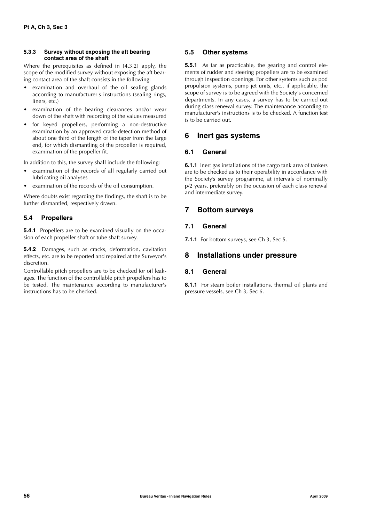### **5.3.3 Survey without exposing the aft bearing contact area of the shaft**

Where the prerequisites as defined in [4.3.2] apply, the scope of the modified survey without exposing the aft bearing contact area of the shaft consists in the following:

- examination and overhaul of the oil sealing glands according to manufacturer's instructions (sealing rings, liners, etc.)
- examination of the bearing clearances and/or wear down of the shaft with recording of the values measured
- for keyed propellers, performing a non-destructive examination by an approved crack-detection method of about one third of the length of the taper from the large end, for which dismantling of the propeller is required, examination of the propeller fit.

In addition to this, the survey shall include the following:

- examination of the records of all regularly carried out lubricating oil analyses
- examination of the records of the oil consumption.

Where doubts exist regarding the findings, the shaft is to be further dismantled, respectively drawn.

### **5.4 Propellers**

**5.4.1** Propellers are to be examined visually on the occasion of each propeller shaft or tube shaft survey.

**5.4.2** Damages, such as cracks, deformation, cavitation effects, etc. are to be reported and repaired at the Surveyor's discretion.

Controllable pitch propellers are to be checked for oil leakages. The function of the controllable pitch propellers has to be tested. The maintenance according to manufacturer's instructions has to be checked.

### **5.5 Other systems**

**5.5.1** As far as practicable, the gearing and control elements of rudder and steering propellers are to be examined through inspection openings. For other systems such as pod propulsion systems, pump jet units, etc., if applicable, the scope of survey is to be agreed with the Society's concerned departments. In any cases, a survey has to be carried out during class renewal survey. The maintenance according to manufacturer's instructions is to be checked. A function test is to be carried out.

### **6 Inert gas systems**

### **6.1 General**

**6.1.1** Inert gas installations of the cargo tank area of tankers are to be checked as to their operability in accordance with the Society's survey programme, at intervals of nominally p/2 years, preferably on the occasion of each class renewal and intermediate survey.

### **7 Bottom surveys**

### **7.1 General**

**7.1.1** For bottom surveys, see Ch 3, Sec 5.

### **8 Installations under pressure**

### **8.1 General**

**8.1.1** For steam boiler installations, thermal oil plants and pressure vessels, see Ch 3, Sec 6.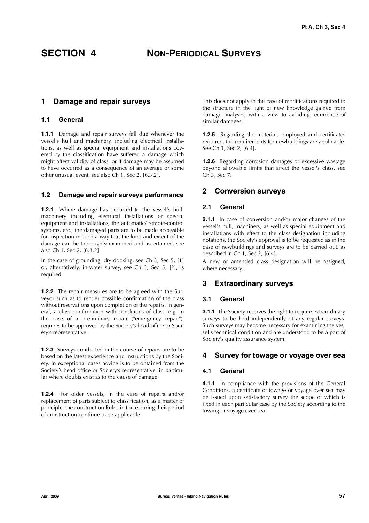### **SECTION 4 NON-PERIODICAL SURVEYS**

### **1 Damage and repair surveys**

### **1.1 General**

**1.1.1** Damage and repair surveys fall due whenever the vessel's hull and machinery, including electrical installations, as well as special equipment and installations covered by the classification have suffered a damage which might affect validity of class, or if damage may be assumed to have occurred as a consequence of an average or some other unusual event, see also Ch 1, Sec 2, [6.3.2].

### **1.2 Damage and repair surveys performance**

**1.2.1** Where damage has occurred to the vessel's hull, machinery including electrical installations or special equipment and installations, the automatic/ remote-control systems, etc., the damaged parts are to be made accessible for inspection in such a way that the kind and extent of the damage can be thoroughly examined and ascertained, see also Ch 1, Sec 2, [6.3.2].

In the case of grounding, dry docking, see Ch 3, Sec 5, [1] or, alternatively, in-water survey, see Ch 3, Sec 5, [2], is required.

**1.2.2** The repair measures are to be agreed with the Surveyor such as to render possible confirmation of the class without reservations upon completion of the repairs. In general, a class confirmation with conditions of class, e.g. in the case of a preliminary repair ("emergency repair"), requires to be approved by the Society's head office or Society's representative.

**1.2.3** Surveys conducted in the course of repairs are to be based on the latest experience and instructions by the Society. In exceptional cases advice is to be obtained from the Society's head office or Society's representative, in particular where doubts exist as to the cause of damage.

**1.2.4** For older vessels, in the case of repairs and/or replacement of parts subject to classification, as a matter of principle, the construction Rules in force during their period of construction continue to be applicable.

This does not apply in the case of modifications required to the structure in the light of new knowledge gained from damage analyses, with a view to avoiding recurrence of similar damages.

**1.2.5** Regarding the materials employed and certificates required, the requirements for newbuildings are applicable. See Ch 1, Sec 2, [6.4].

**1.2.6** Regarding corrosion damages or excessive wastage beyond allowable limits that affect the vessel's class, see  $Ch<sub>3</sub>$  Sec 7.

### **2 Conversion surveys**

### **2.1 General**

**2.1.1** In case of conversion and/or major changes of the vessel's hull, machinery, as well as special equipment and installations with effect to the class designation including notations, the Society's approval is to be requested as in the case of newbuildings and surveys are to be carried out, as described in Ch 1, Sec 2, [6.4].

A new or amended class designation will be assigned, where necessary.

### **3 Extraordinary surveys**

### **3.1 General**

**3.1.1** The Society reserves the right to require extraordinary surveys to be held independently of any regular surveys. Such surveys may become necessary for examining the vessel's technical condition and are understood to be a part of Society's quality assurance system.

### **4 Survey for towage or voyage over sea**

### **4.1 General**

**4.1.1** In compliance with the provisions of the General Conditions, a certificate of towage or voyage over sea may be issued upon satisfactory survey the scope of which is fixed in each particular case by the Society according to the towing or voyage over sea.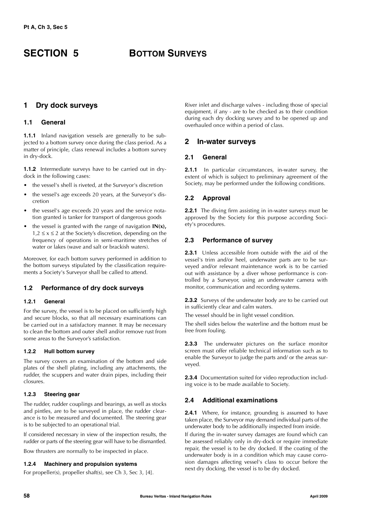## **SECTION 5 BOTTOM SURVEYS**

### **1 Dry dock surveys**

### **1.1 General**

**1.1.1** Inland navigation vessels are generally to be subjected to a bottom survey once during the class period. As a matter of principle, class renewal includes a bottom survey in dry-dock.

**1.1.2** Intermediate surveys have to be carried out in drydock in the following cases:

- the vessel's shell is riveted, at the Surveyor's discretion
- the vessel's age exceeds 20 years, at the Surveyor's discretion
- the vessel's age exceeds 20 years and the service notation granted is tanker for transport of dangerous goods
- the vessel is granted with the range of navigation  $IN(x)$ ,  $1,2 \le x \le 2$  at the Society's discretion, depending on the frequency of operations in semi-maritime stretches of water or lakes (wave and salt or brackish waters).

Moreover, for each bottom survey performed in addition to the bottom surveys stipulated by the classification requirements a Society's Surveyor shall be called to attend.

### **1.2 Performance of dry dock surveys**

### **1.2.1 General**

For the survey, the vessel is to be placed on sufficiently high and secure blocks, so that all necessary examinations can be carried out in a satisfactory manner. It may be necessary to clean the bottom and outer shell and/or remove rust from some areas to the Surveyor's satisfaction.

### **1.2.2 Hull bottom survey**

The survey covers an examination of the bottom and side plates of the shell plating, including any attachments, the rudder, the scuppers and water drain pipes, including their closures.

### **1.2.3 Steering gear**

The rudder, rudder couplings and bearings, as well as stocks and pintles, are to be surveyed in place, the rudder clearance is to be measured and documented. The steering gear is to be subjected to an operational trial.

If considered necessary in view of the inspection results, the rudder or parts of the steering gear will have to be dismantled.

Bow thrusters are normally to be inspected in place.

### **1.2.4 Machinery and propulsion systems**

For propeller(s), propeller shaft(s), see Ch 3, Sec 3, [4].

River inlet and discharge valves - including those of special equipment, if any - are to be checked as to their condition during each dry docking survey and to be opened up and overhauled once within a period of class.

### **2 In-water surveys**

### **2.1 General**

**2.1.1** In particular circumstances, in-water survey, the extent of which is subject to preliminary agreement of the Society, may be performed under the following conditions.

### **2.2 Approval**

**2.2.1** The diving firm assisting in in-water surveys must be approved by the Society for this purpose according Society's procedures.

### **2.3 Performance of survey**

**2.3.1** Unless accessible from outside with the aid of the vessel's trim and/or heel, underwater parts are to be surveyed and/or relevant maintenance work is to be carried out with assistance by a diver whose performance is controlled by a Surveyor, using an underwater camera with monitor, communication and recording systems.

**2.3.2** Surveys of the underwater body are to be carried out in sufficiently clear and calm waters.

The vessel should be in light vessel condition.

The shell sides below the waterline and the bottom must be free from fouling.

**2.3.3** The underwater pictures on the surface monitor screen must offer reliable technical information such as to enable the Surveyor to judge the parts and/ or the areas surveyed.

**2.3.4** Documentation suited for video reproduction including voice is to be made available to Society.

### **2.4 Additional examinations**

**2.4.1** Where, for instance, grounding is assumed to have taken place, the Surveyor may demand individual parts of the underwater body to be additionally inspected from inside.

If during the in-water survey damages are found which can be assessed reliably only in dry-dock or require immediate repair, the vessel is to be dry docked. If the coating of the underwater body is in a condition which may cause corrosion damages affecting vessel's class to occur before the next dry docking, the vessel is to be dry docked.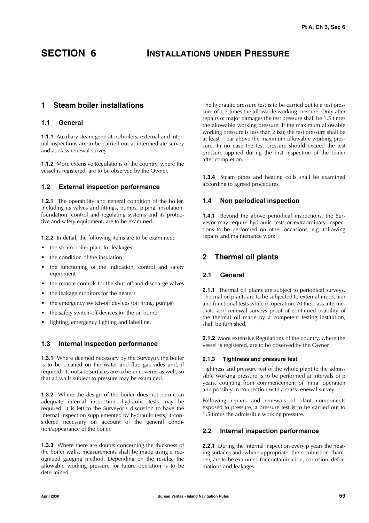### **SECTION 6 INSTALLATIONS UNDER PRESSURE**

### **1 Steam boiler installations**

### **1.1 General**

**1.1.1** Auxiliary steam generators/boilers, external and internal inspections are to be carried out at intermediate survey and at class renewal survey.

**1.1.2** More extensive Regulations of the country, where the vessel is registered, are to be observed by the Owner.

### **1.2 External inspection performance**

**1.2.1** The operability and general condition of the boiler, including its valves and fittings, pumps, piping, insulation, foundation, control and regulating systems and its protective and safety equipment, are to be examined.

**1.2.2** In detail, the following items are to be examined:

- the steam boiler plant for leakages
- the condition of the insulation
- the functioning of the indication, control and safety equipment
- the remote controls for the shut-off and discharge valves
- the leakage monitors for the heaters
- the emergency switch-off devices (oil firing, pumps)
- the safety switch-off devices for the oil burner
- lighting, emergency lighting and labelling.

### **1.3 Internal inspection performance**

**1.3.1** Where deemed necessary by the Surveyor, the boiler is to be cleaned on the water and flue gas sides and, if required, its outside surfaces are to be uncovered as well, so that all walls subject to pressure may be examined.

**1.3.2** Where the design of the boiler does not permit an adequate internal inspection, hydraulic tests may be required. It is left to the Surveyor's discretion to have the internal inspection supplemented by hydraulic tests, if considered necessary on account of the general condition/appearance of the boiler.

**1.3.3** Where there are doubts concerning the thickness of the boiler walls, measurements shall be made using a recognized gauging method. Depending on the results, the allowable working pressure for future operation is to be determined.

The hydraulic pressure test is to be carried out to a test pressure of 1,3 times the allowable working pressure. Only after repairs of major damages the test pressure shall be 1,5 times the allowable working pressure. If the maximum allowable working pressure is less than 2 bar, the test pressure shall be at least 1 bar above the maximum allowable working pressure. In no case the test pressure should exceed the test pressure applied during the first inspection of the boiler after completion.

**1.3.4** Steam pipes and heating coils shall be examined according to agreed procedures.

### **1.4 Non periodical inspection**

**1.4.1** Beyond the above periodical inspections, the Surveyor may require hydraulic tests or extraordinary inspections to be performed on other occasions, e.g. following repairs and maintenance work.

### **2 Thermal oil plants**

### **2.1 General**

**2.1.1** Thermal oil plants are subject to periodical surveys. Thermal oil plants are to be subjected to external inspection and functional tests while in operation. At the class intermediate and renewal surveys proof of continued usability of the thermal oil made by a competent testing institution, shall be furnished.

**2.1.2** More extensive Regulations of the country, where the vessel is registered, are to be observed by the Owner.

### **2.1.3 Tightness and pressure test**

Tightness and pressure test of the whole plant to the admissible working pressure is to be performed at intervals of p years, counting from commencement of initial operation and possibly in connection with a class renewal survey.

Following repairs and renewals of plant components exposed to pressure, a pressure test is to be carried out to 1,5 times the admissible working pressure.

### **2.2 Internal inspection performance**

**2.2.1** During the internal inspection every p years the heating surfaces and, where appropriate, the combustion chamber, are to be examined for contamination, corrosion, deformations and leakages.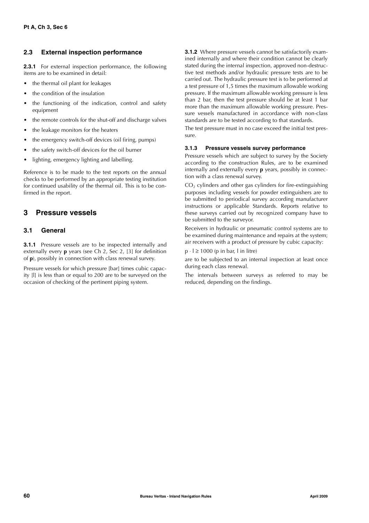### **2.3 External inspection performance**

**2.3.1** For external inspection performance, the following items are to be examined in detail:

- the thermal oil plant for leakages
- the condition of the insulation
- the functioning of the indication, control and safety equipment
- the remote controls for the shut-off and discharge valves
- the leakage monitors for the heaters
- the emergency switch-off devices (oil firing, pumps)
- the safety switch-off devices for the oil burner
- lighting, emergency lighting and labelling.

Reference is to be made to the test reports on the annual checks to be performed by an appropriate testing institution for continued usability of the thermal oil. This is to be confirmed in the report.

### **3 Pressure vessels**

### **3.1 General**

**3.1.1** Pressure vessels are to be inspected internally and externally every **p** years (see Ch 2, Sec 2, [3] for definition of **p**), possibly in connection with class renewal survey.

Pressure vessels for which pressure [bar] times cubic capacity [l] is less than or equal to 200 are to be surveyed on the occasion of checking of the pertinent piping system.

**3.1.2** Where pressure vessels cannot be satisfactorily examined internally and where their condition cannot be clearly stated during the internal inspection, approved non-destructive test methods and/or hydraulic pressure tests are to be carried out. The hydraulic pressure test is to be performed at a test pressure of  $1,5$  times the maximum allowable working pressure. If the maximum allowable working pressure is less than 2 bar, then the test pressure should be at least 1 bar more than the maximum allowable working pressure. Pressure vessels manufactured in accordance with non-class standards are to be tested according to that standards.

The test pressure must in no case exceed the initial test pressure.

### **3.1.3 Pressure vessels survey performance**

Pressure vessels which are subject to survey by the Society according to the construction Rules, are to be examined internally and externally every **p** years, possibly in connection with a class renewal survey.

 $CO<sub>2</sub>$  cylinders and other gas cylinders for fire-extinguishing purposes including vessels for powder extinguishers are to be submitted to periodical survey according manufacturer instructions or applicable Standards. Reports relative to these surveys carried out by recognized company have to be submitted to the surveyor.

Receivers in hydraulic or pneumatic control systems are to be examined during maintenance and repairs at the system; air receivers with a product of pressure by cubic capacity:

 $p \cdot l \ge 1000$  (p in bar, l in litre)

are to be subjected to an internal inspection at least once during each class renewal.

The intervals between surveys as referred to may be reduced, depending on the findings.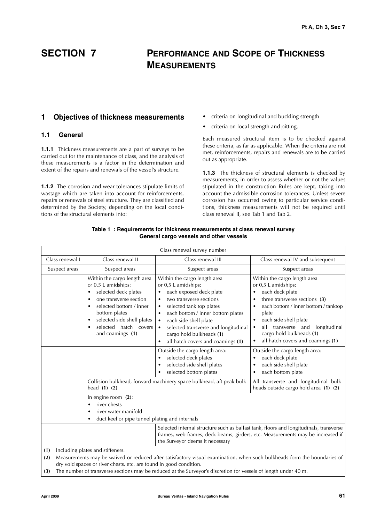### **SECTION 7 PERFORMANCE AND SCOPE OF THICKNESS MEASUREMENTS**

### **1 Objectives of thickness measurements**

### **1.1 General**

**1.1.1** Thickness measurements are a part of surveys to be carried out for the maintenance of class, and the analysis of these measurements is a factor in the determination and extent of the repairs and renewals of the vessel's structure.

**1.1.2** The corrosion and wear tolerances stipulate limits of wastage which are taken into account for reinforcements, repairs or renewals of steel structure. They are classified and determined by the Society, depending on the local conditions of the structural elements into:

- criteria on longitudinal and buckling strength
- criteria on local strength and pitting.

Each measured structural item is to be checked against these criteria, as far as applicable. When the criteria are not met, reinforcements, repairs and renewals are to be carried out as appropriate.

**1.1.3** The thickness of structural elements is checked by measurements, in order to assess whether or not the values stipulated in the construction Rules are kept, taking into account the admissible corrosion tolerances. Unless severe corrosion has occurred owing to particular service conditions, thickness measurements will not be required until class renewal II, see Tab 1 and Tab 2.

| Class renewal survey number                                                                                                                                                                                                                                                                                                                                               |                                                                                                                                                                                                                                                        |                                                                                                                                                                                                                                                                                                                                                  |                                                                                                                                                                                                                                                                                                                                                |  |
|---------------------------------------------------------------------------------------------------------------------------------------------------------------------------------------------------------------------------------------------------------------------------------------------------------------------------------------------------------------------------|--------------------------------------------------------------------------------------------------------------------------------------------------------------------------------------------------------------------------------------------------------|--------------------------------------------------------------------------------------------------------------------------------------------------------------------------------------------------------------------------------------------------------------------------------------------------------------------------------------------------|------------------------------------------------------------------------------------------------------------------------------------------------------------------------------------------------------------------------------------------------------------------------------------------------------------------------------------------------|--|
| Class renewal I                                                                                                                                                                                                                                                                                                                                                           | Class renewal II                                                                                                                                                                                                                                       | Class renewal III                                                                                                                                                                                                                                                                                                                                | Class renewal IV and subsequent                                                                                                                                                                                                                                                                                                                |  |
| Suspect areas                                                                                                                                                                                                                                                                                                                                                             | Suspect areas                                                                                                                                                                                                                                          | Suspect areas                                                                                                                                                                                                                                                                                                                                    | Suspect areas                                                                                                                                                                                                                                                                                                                                  |  |
|                                                                                                                                                                                                                                                                                                                                                                           | Within the cargo length area<br>or 0,5 L amidships:<br>selected deck plates<br>$\bullet$<br>one transverse section<br>selected bottom / inner<br>bottom plates<br>selected side shell plates<br>$\bullet$<br>selected hatch covers<br>and coamings (1) | Within the cargo length area<br>or 0,5 L amidships:<br>each exposed deck plate<br>two transverse sections<br>٠<br>selected tank top plates<br>each bottom / inner bottom plates<br>٠<br>each side shell plate<br>$\bullet$<br>selected transverse and longitudinal<br>cargo hold bulkheads (1)<br>all hatch covers and coamings (1)<br>$\bullet$ | Within the cargo length area<br>or 0,5 L amidships:<br>each deck plate<br>٠<br>three transverse sections (3)<br>٠<br>each bottom / inner bottom / tanktop<br>٠<br>plate<br>each side shell plate<br>$\bullet$<br>all transverse and<br>longitudinal<br>$\bullet$<br>cargo hold bulkheads (1)<br>all hatch covers and coamings (1)<br>$\bullet$ |  |
|                                                                                                                                                                                                                                                                                                                                                                           |                                                                                                                                                                                                                                                        | Outside the cargo length area:<br>selected deck plates<br>selected side shell plates<br>selected bottom plates                                                                                                                                                                                                                                   | Outside the cargo length area:<br>each deck plate<br>٠<br>each side shell plate<br>٠<br>each bottom plate<br>٠                                                                                                                                                                                                                                 |  |
| Collision bulkhead, forward machinery space bulkhead, aft peak bulk-<br>head $(1)$ $(2)$                                                                                                                                                                                                                                                                                  |                                                                                                                                                                                                                                                        | All transverse and longitudinal bulk-<br>heads outside cargo hold area (1) (2)                                                                                                                                                                                                                                                                   |                                                                                                                                                                                                                                                                                                                                                |  |
|                                                                                                                                                                                                                                                                                                                                                                           | In engine room (2):<br>river chests<br>river water manifold<br>٠<br>duct keel or pipe tunnel plating and internals                                                                                                                                     |                                                                                                                                                                                                                                                                                                                                                  |                                                                                                                                                                                                                                                                                                                                                |  |
|                                                                                                                                                                                                                                                                                                                                                                           |                                                                                                                                                                                                                                                        | Selected internal structure such as ballast tank, floors and longitudinals, transverse<br>frames, web frames, deck beams, girders, etc. Measurements may be increased if<br>the Surveyor deems it necessary                                                                                                                                      |                                                                                                                                                                                                                                                                                                                                                |  |
| Including plates and stiffeners.<br>(1)<br>Measurements may be waived or reduced after satisfactory visual examination, when such bulkheads form the boundaries of<br>(2)<br>dry void spaces or river chests, etc. are found in good condition.<br>The number of transverse sections may be reduced at the Surveyor's discretion for vessels of length under 40 m.<br>(3) |                                                                                                                                                                                                                                                        |                                                                                                                                                                                                                                                                                                                                                  |                                                                                                                                                                                                                                                                                                                                                |  |

### **Table 1 : Requirements for thickness measurements at class renewal survey General cargo vessels and other vessels**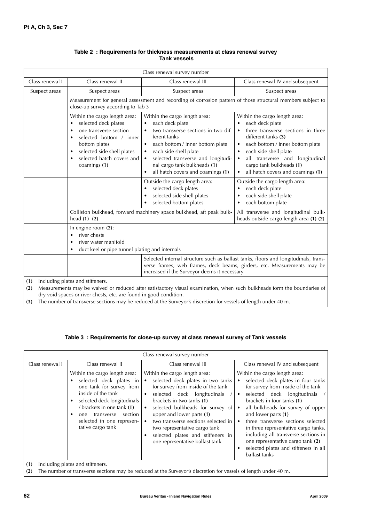| Class renewal survey number                                                                                                                                                                                                                                                                                                                                               |                                                                                                                                                                                                             |                                                                                                                                                                                                                                                                                                                                     |                                                                                                                                                                                                                                                                                             |  |  |
|---------------------------------------------------------------------------------------------------------------------------------------------------------------------------------------------------------------------------------------------------------------------------------------------------------------------------------------------------------------------------|-------------------------------------------------------------------------------------------------------------------------------------------------------------------------------------------------------------|-------------------------------------------------------------------------------------------------------------------------------------------------------------------------------------------------------------------------------------------------------------------------------------------------------------------------------------|---------------------------------------------------------------------------------------------------------------------------------------------------------------------------------------------------------------------------------------------------------------------------------------------|--|--|
| Class renewal I                                                                                                                                                                                                                                                                                                                                                           | Class renewal II                                                                                                                                                                                            | Class renewal III                                                                                                                                                                                                                                                                                                                   | Class renewal IV and subsequent                                                                                                                                                                                                                                                             |  |  |
| Suspect areas                                                                                                                                                                                                                                                                                                                                                             | Suspect areas                                                                                                                                                                                               | Suspect areas                                                                                                                                                                                                                                                                                                                       | Suspect areas                                                                                                                                                                                                                                                                               |  |  |
|                                                                                                                                                                                                                                                                                                                                                                           | Measurement for general assessment and recording of corrosion pattern of those structural members subject to<br>close-up survey according to Tab 3                                                          |                                                                                                                                                                                                                                                                                                                                     |                                                                                                                                                                                                                                                                                             |  |  |
|                                                                                                                                                                                                                                                                                                                                                                           | Within the cargo length area:<br>selected deck plates<br>one transverse section<br>selected bottom / inner<br>bottom plates<br>selected side shell plates<br>٠<br>selected hatch covers and<br>coamings (1) | Within the cargo length area:<br>each deck plate<br>two transverse sections in two dif-<br>ferent tanks<br>each bottom / inner bottom plate<br>$\bullet$<br>each side shell plate<br>$\bullet$<br>selected transverse and longitudi-<br>$\bullet$<br>nal cargo tank bulkheads (1)<br>all hatch covers and coamings (1)<br>$\bullet$ | Within the cargo length area:<br>each deck plate<br>three transverse sections in three<br>different tanks (3)<br>each bottom / inner bottom plate<br>$\bullet$<br>each side shell plate<br>all transverse and longitudinal<br>cargo tank bulkheads (1)<br>all hatch covers and coamings (1) |  |  |
|                                                                                                                                                                                                                                                                                                                                                                           |                                                                                                                                                                                                             | Outside the cargo length area:<br>selected deck plates<br>selected side shell plates<br>selected bottom plates                                                                                                                                                                                                                      | Outside the cargo length area:<br>each deck plate<br>each side shell plate<br>each bottom plate<br>All transverse and longitudinal bulk-                                                                                                                                                    |  |  |
|                                                                                                                                                                                                                                                                                                                                                                           | Collision bulkhead, forward machinery space bulkhead, aft peak bulk-<br>head $(1)$ $(2)$                                                                                                                    |                                                                                                                                                                                                                                                                                                                                     | heads outside cargo length area (1) (2)                                                                                                                                                                                                                                                     |  |  |
|                                                                                                                                                                                                                                                                                                                                                                           | In engine room $(2)$ :<br>river chests<br>river water manifold<br>duct keel or pipe tunnel plating and internals                                                                                            |                                                                                                                                                                                                                                                                                                                                     |                                                                                                                                                                                                                                                                                             |  |  |
|                                                                                                                                                                                                                                                                                                                                                                           |                                                                                                                                                                                                             | Selected internal structure such as ballast tanks, floors and longitudinals, trans-<br>verse frames, web frames, deck beams, girders, etc. Measurements may be<br>increased if the Surveyor deems it necessary                                                                                                                      |                                                                                                                                                                                                                                                                                             |  |  |
| Including plates and stiffeners.<br>(1)<br>Measurements may be waived or reduced after satisfactory visual examination, when such bulkheads form the boundaries of<br>(2)<br>dry void spaces or river chests, etc. are found in good condition.<br>The number of transverse sections may be reduced at the Surveyor's discretion for vessels of length under 40 m.<br>(3) |                                                                                                                                                                                                             |                                                                                                                                                                                                                                                                                                                                     |                                                                                                                                                                                                                                                                                             |  |  |

### **Table 2 : Requirements for thickness measurements at class renewal survey Tank vessels**

### **Table 3 : Requirements for close-up survey at class renewal survey of Tank vessels**

| Class renewal survey number                                                                                                                                       |                                                                                                                                                                                                                                                                         |                                                                                                                                                                                                                                                                                                                                                                                                                       |                                                                                                                                                                                                                                                                                                                                                                                                                                                         |  |
|-------------------------------------------------------------------------------------------------------------------------------------------------------------------|-------------------------------------------------------------------------------------------------------------------------------------------------------------------------------------------------------------------------------------------------------------------------|-----------------------------------------------------------------------------------------------------------------------------------------------------------------------------------------------------------------------------------------------------------------------------------------------------------------------------------------------------------------------------------------------------------------------|---------------------------------------------------------------------------------------------------------------------------------------------------------------------------------------------------------------------------------------------------------------------------------------------------------------------------------------------------------------------------------------------------------------------------------------------------------|--|
| Class renewal I                                                                                                                                                   | Class renewal II                                                                                                                                                                                                                                                        | Class renewal III                                                                                                                                                                                                                                                                                                                                                                                                     | Class renewal IV and subsequent                                                                                                                                                                                                                                                                                                                                                                                                                         |  |
|                                                                                                                                                                   | Within the cargo length area:<br>selected deck plates in<br>one tank for survey from<br>inside of the tank<br>selected deck longitudinals<br>$\bullet$<br>/ brackets in one tank (1)<br>section<br>transverse<br>one.<br>selected in one represen-<br>tative cargo tank | Within the cargo length area:<br>selected deck plates in two tanks<br>$\bullet$<br>for survey from inside of the tank<br>selected deck longitudinals<br>$\bullet$<br>brackets in two tanks (1)<br>selected bulkheads for survey of   •<br>upper and lower parts (1)<br>two transverse sections selected in I<br>two representative cargo tank<br>selected plates and stiffeners in<br>one representative ballast tank | Within the cargo length area:<br>selected deck plates in four tanks<br>for survey from inside of the tank<br>selected deck longitudinals<br>brackets in four tanks (1)<br>all bulkheads for survey of upper<br>and lower parts (1)<br>three transverse sections selected<br>in three representative cargo tanks,<br>including all transverse sections in<br>one representative cargo tank (2)<br>selected plates and stiffeners in all<br>ballast tanks |  |
| Including plates and stiffeners.<br>(1)<br>The number of transverse sections may be reduced at the Surveyor's discretion for vessels of length under 40 m.<br>(2) |                                                                                                                                                                                                                                                                         |                                                                                                                                                                                                                                                                                                                                                                                                                       |                                                                                                                                                                                                                                                                                                                                                                                                                                                         |  |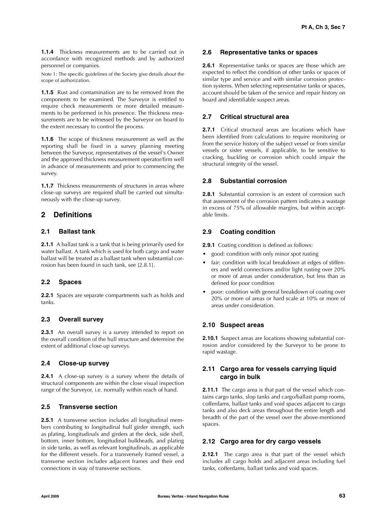**1.1.4** Thickness measurements are to be carried out in accordance with recognized methods and by authorized personnel or companies.

Note 1: The specific guidelines of the Society give details about the scope of authorization.

**1.1.5** Rust and contamination are to be removed from the components to be examined. The Surveyor is entitled to require check measurements or more detailed measurements to be performed in his presence. The thickness measurements are to be witnessed by the Surveyor on board to the extent necessary to control the process.

**1.1.6** The scope of thickness measurement as well as the reporting shall be fixed in a survey planning meeting between the Surveyor, representatives of the vessel's Owner and the approved thickness measurement operator/firm well in advance of measurements and prior to commencing the survey.

**1.1.7** Thickness measurements of structures in areas where close-up surveys are required shall be carried out simultaneously with the close-up survey.

### **2 Definitions**

### **2.1 Ballast tank**

**2.1.1** A ballast tank is a tank that is being primarily used for water ballast. A tank which is used for both cargo and water ballast will be treated as a ballast tank when substantial corrosion has been found in such tank, see [2.8.1].

### **2.2 Spaces**

**2.2.1** Spaces are separate compartments such as holds and tanks.

### **2.3 Overall survey**

**2.3.1** An overall survey is a survey intended to report on the overall condition of the hull structure and determine the extent of additional close-up surveys.

### **2.4 Close-up survey**

**2.4.1** A close-up survey is a survey where the details of structural components are within the close visual inspection range of the Surveyor, i.e. normally within reach of hand.

### **2.5 Transverse section**

**2.5.1** A transverse section includes all longitudinal members contributing to longitudinal hull girder strength, such as plating, longitudinals and girders at the deck, side shell, bottom, inner bottom, longitudinal bulkheads, and plating in side tanks, as well as relevant longitudinals, as applicable for the different vessels. For a transversely framed vessel, a transverse section includes adjacent frames and their end connections in way of transverse sections.

### **2.6 Representative tanks or spaces**

**2.6.1** Representative tanks or spaces are those which are expected to reflect the condition of other tanks or spaces of similar type and service and with similar corrosion protection systems. When selecting representative tanks or spaces, account should be taken of the service and repair history on board and identifiable suspect areas.

### **2.7 Critical structural area**

**2.7.1** Critical structural areas are locations which have been identified from calculations to require monitoring or from the service history of the subject vessel or from similar vessels or sister vessels, if applicable, to be sensitive to cracking, buckling or corrosion which could impair the structural integrity of the vessel.

### **2.8 Substantial corrosion**

**2.8.1** Substantial corrosion is an extent of corrosion such that assessment of the corrosion pattern indicates a wastage in excess of 75% of allowable margins, but within acceptable limits.

### **2.9 Coating condition**

**2.9.1** Coating condition is defined as follows:

- good: condition with only minor spot rusting
- fair: condition with local breakdown at edges of stiffeners and weld connections and/or light rusting over 20% or more of areas under consideration, but less than as defined for poor condition
- poor: condition with general breakdown of coating over 20% or more of areas or hard scale at 10% or more of areas under consideration.

### **2.10 Suspect areas**

**2.10.1** Suspect areas are locations showing substantial corrosion and/or considered by the Surveyor to be prone to rapid wastage.

### **2.11 Cargo area for vessels carrying liquid cargo in bulk**

**2.11.1** The cargo area is that part of the vessel which contains cargo tanks, slop tanks and cargo/ballast pump rooms, cofferdams, ballast tanks and void spaces adjacent to cargo tanks and also deck areas throughout the entire length and breadth of the part of the vessel over the above-mentioned spaces.

### **2.12 Cargo area for dry cargo vessels**

**2.12.1** The cargo area is that part of the vessel which includes all cargo holds and adjacent areas including fuel tanks, cofferdams, ballast tanks and void spaces.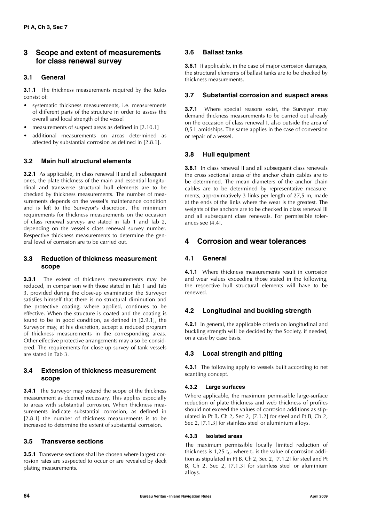### **3 Scope and extent of measurements for class renewal survey**

### **3.1 General**

**3.1.1** The thickness measurements required by the Rules consist of:

- systematic thickness measurements, i.e. measurements of different parts of the structure in order to assess the overall and local strength of the vessel
- measurements of suspect areas as defined in [2.10.1]
- additional measurements on areas determined as affected by substantial corrosion as defined in [2.8.1].

### **3.2 Main hull structural elements**

**3.2.1** As applicable, in class renewal II and all subsequent ones, the plate thickness of the main and essential longitudinal and transverse structural hull elements are to be checked by thickness measurements. The number of measurements depends on the vessel's maintenance condition and is left to the Surveyor's discretion. The minimum requirements for thickness measurements on the occasion of class renewal surveys are stated in Tab 1 and Tab 2, depending on the vessel's class renewal survey number. Respective thickness measurements to determine the general level of corrosion are to be carried out.

### **3.3 Reduction of thickness measurement scope**

**3.3.1** The extent of thickness measurements may be reduced, in comparison with those stated in Tab 1 and Tab 3, provided during the close-up examination the Surveyor satisfies himself that there is no structural diminution and the protective coating, where applied, continues to be effective. When the structure is coated and the coating is found to be in good condition, as defined in [2.9.1], the Surveyor may, at his discretion, accept a reduced program of thickness measurements in the corresponding areas. Other effective protective arrangements may also be considered. The requirements for close-up survey of tank vessels are stated in Tab 3.

### **3.4 Extension of thickness measurement scope**

**3.4.1** The Surveyor may extend the scope of the thickness measurement as deemed necessary. This applies especially to areas with substantial corrosion. When thickness measurements indicate substantial corrosion, as defined in [2.8.1] the number of thickness measurements is to be increased to determine the extent of substantial corrosion.

### **3.5 Transverse sections**

**3.5.1** Transverse sections shall be chosen where largest corrosion rates are suspected to occur or are revealed by deck plating measurements.

### **3.6 Ballast tanks**

**3.6.1** If applicable, in the case of major corrosion damages, the structural elements of ballast tanks are to be checked by thickness measurements.

### **3.7 Substantial corrosion and suspect areas**

**3.7.1** Where special reasons exist, the Surveyor may demand thickness measurements to be carried out already on the occasion of class renewal I, also outside the area of 0,5 L amidships. The same applies in the case of conversion or repair of a vessel.

### **3.8 Hull equipment**

**3.8.1** In class renewal II and all subsequent class renewals the cross sectional areas of the anchor chain cables are to be determined. The mean diameters of the anchor chain cables are to be determined by representative measurements, approximatively 3 links per length of 27,5 m, made at the ends of the links where the wear is the greatest. The weights of the anchors are to be checked in class renewal III and all subsequent class renewals. For permissible tolerances see [4.4].

### **4 Corrosion and wear tolerances**

### **4.1 General**

**4.1.1** Where thickness measurements result in corrosion and wear values exceeding those stated in the following, the respective hull structural elements will have to be renewed.

### **4.2 Longitudinal and buckling strength**

**4.2.1** In general, the applicable criteria on longitudinal and buckling strength will be decided by the Society, if needed, on a case by case basis.

### **4.3 Local strength and pitting**

**4.3.1** The following apply to vessels built according to net scantling concept.

### **4.3.2 Large surfaces**

Where applicable, the maximum permissible large-surface reduction of plate thickness and web thickness of profiles should not exceed the values of corrosion additions as stipulated in Pt B, Ch 2, Sec 2, [7.1.2] for steel and Pt B, Ch 2, Sec 2, [7.1.3] for stainless steel or aluminium alloys.

### **4.3.3 Isolated areas**

The maximum permissible locally limited reduction of thickness is 1,25  $t_C$ , where  $t_C$  is the value of corrosion addition as stipulated in Pt B, Ch 2, Sec 2, [7.1.2] for steel and Pt B, Ch 2, Sec 2, [7.1.3] for stainless steel or aluminium alloys.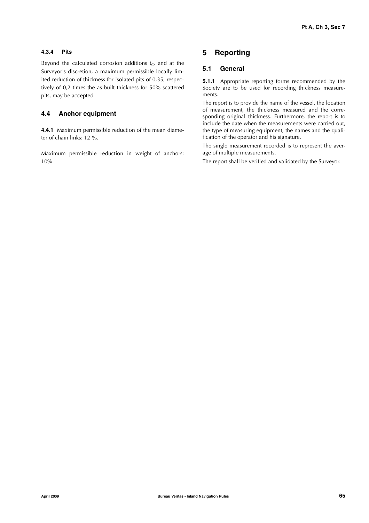### **4.3.4 Pits**

Beyond the calculated corrosion additions  $t_C$ , and at the Surveyor's discretion, a maximum permissible locally limited reduction of thickness for isolated pits of 0,35, respectively of 0,2 times the as-built thickness for 50% scattered pits, may be accepted.

### **4.4 Anchor equipment**

**4.4.1** Maximum permissible reduction of the mean diameter of chain links: 12 %.

Maximum permissible reduction in weight of anchors: 10%.

### **5 Reporting**

### **5.1 General**

**5.1.1** Appropriate reporting forms recommended by the Society are to be used for recording thickness measurements.

The report is to provide the name of the vessel, the location of measurement, the thickness measured and the corresponding original thickness. Furthermore, the report is to include the date when the measurements were carried out, the type of measuring equipment, the names and the qualification of the operator and his signature.

The single measurement recorded is to represent the average of multiple measurements.

The report shall be verified and validated by the Surveyor.